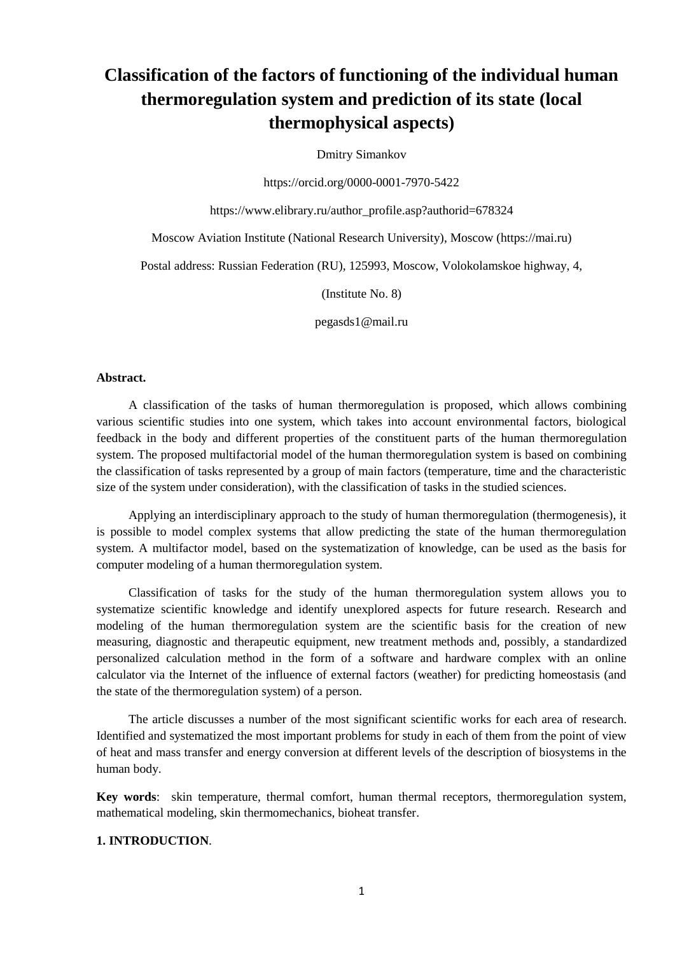# **Classification of the factors of functioning of the individual human thermoregulation system and prediction of its state (local thermophysical aspects)**

Dmitry Simankov

https://orcid.org/0000-0001-7970-5422

https://www.elibrary.ru/author\_profile.asp?authorid=678324

Moscow Aviation Institute (National Research University), Moscow (https://mai.ru)

Postal address: Russian Federation (RU), 125993, Moscow, Volokolamskoe highway, 4,

(Institute No. 8)

pegasds1@mail.ru

### **Abstract.**

A classification of the tasks of human thermoregulation is proposed, which allows combining various scientific studies into one system, which takes into account environmental factors, biological feedback in the body and different properties of the constituent parts of the human thermoregulation system. The proposed multifactorial model of the human thermoregulation system is based on combining the classification of tasks represented by a group of main factors (temperature, time and the characteristic size of the system under consideration), with the classification of tasks in the studied sciences.

Applying an interdisciplinary approach to the study of human thermoregulation (thermogenesis), it is possible to model complex systems that allow predicting the state of the human thermoregulation system. A multifactor model, based on the systematization of knowledge, can be used as the basis for computer modeling of a human thermoregulation system.

Classification of tasks for the study of the human thermoregulation system allows you to systematize scientific knowledge and identify unexplored aspects for future research. Research and modeling of the human thermoregulation system are the scientific basis for the creation of new measuring, diagnostic and therapeutic equipment, new treatment methods and, possibly, a standardized personalized calculation method in the form of a software and hardware complex with an online calculator via the Internet of the influence of external factors (weather) for predicting homeostasis (and the state of the thermoregulation system) of a person.

The article discusses a number of the most significant scientific works for each area of research. Identified and systematized the most important problems for study in each of them from the point of view of heat and mass transfer and energy conversion at different levels of the description of biosystems in the human body.

**Key words**: skin temperature, thermal comfort, human thermal receptors, thermoregulation system, mathematical modeling, skin thermomechanics, bioheat transfer.

### **1. INTRODUCTION**.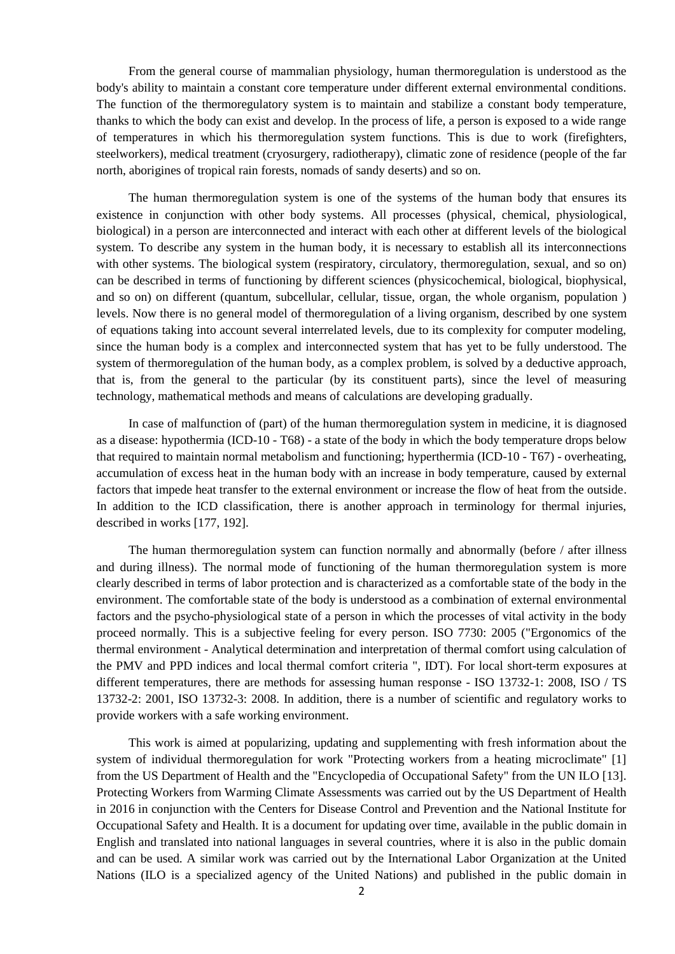From the general course of mammalian physiology, human thermoregulation is understood as the body's ability to maintain a constant core temperature under different external environmental conditions. The function of the thermoregulatory system is to maintain and stabilize a constant body temperature, thanks to which the body can exist and develop. In the process of life, a person is exposed to a wide range of temperatures in which his thermoregulation system functions. This is due to work (firefighters, steelworkers), medical treatment (cryosurgery, radiotherapy), climatic zone of residence (people of the far north, aborigines of tropical rain forests, nomads of sandy deserts) and so on.

The human thermoregulation system is one of the systems of the human body that ensures its existence in conjunction with other body systems. All processes (physical, chemical, physiological, biological) in a person are interconnected and interact with each other at different levels of the biological system. To describe any system in the human body, it is necessary to establish all its interconnections with other systems. The biological system (respiratory, circulatory, thermoregulation, sexual, and so on) can be described in terms of functioning by different sciences (physicochemical, biological, biophysical, and so on) on different (quantum, subcellular, cellular, tissue, organ, the whole organism, population ) levels. Now there is no general model of thermoregulation of a living organism, described by one system of equations taking into account several interrelated levels, due to its complexity for computer modeling, since the human body is a complex and interconnected system that has yet to be fully understood. The system of thermoregulation of the human body, as a complex problem, is solved by a deductive approach, that is, from the general to the particular (by its constituent parts), since the level of measuring technology, mathematical methods and means of calculations are developing gradually.

In case of malfunction of (part) of the human thermoregulation system in medicine, it is diagnosed as a disease: hypothermia (ICD-10 - T68) - a state of the body in which the body temperature drops below that required to maintain normal metabolism and functioning; hyperthermia (ICD-10 - T67) - overheating, accumulation of excess heat in the human body with an increase in body temperature, caused by external factors that impede heat transfer to the external environment or increase the flow of heat from the outside. In addition to the ICD classification, there is another approach in terminology for thermal injuries, described in works [177, 192].

The human thermoregulation system can function normally and abnormally (before / after illness and during illness). The normal mode of functioning of the human thermoregulation system is more clearly described in terms of labor protection and is characterized as a comfortable state of the body in the environment. The comfortable state of the body is understood as a combination of external environmental factors and the psycho-physiological state of a person in which the processes of vital activity in the body proceed normally. This is a subjective feeling for every person. ISO 7730: 2005 ("Ergonomics of the thermal environment - Analytical determination and interpretation of thermal comfort using calculation of the PMV and PPD indices and local thermal comfort criteria ", IDT). For local short-term exposures at different temperatures, there are methods for assessing human response - ISO 13732-1: 2008, ISO / TS 13732-2: 2001, ISO 13732-3: 2008. In addition, there is a number of scientific and regulatory works to provide workers with a safe working environment.

This work is aimed at popularizing, updating and supplementing with fresh information about the system of individual thermoregulation for work "Protecting workers from a heating microclimate" [1] from the US Department of Health and the "Encyclopedia of Occupational Safety" from the UN ILO [13]. Protecting Workers from Warming Climate Assessments was carried out by the US Department of Health in 2016 in conjunction with the Centers for Disease Control and Prevention and the National Institute for Occupational Safety and Health. It is a document for updating over time, available in the public domain in English and translated into national languages in several countries, where it is also in the public domain and can be used. A similar work was carried out by the International Labor Organization at the United Nations (ILO is a specialized agency of the United Nations) and published in the public domain in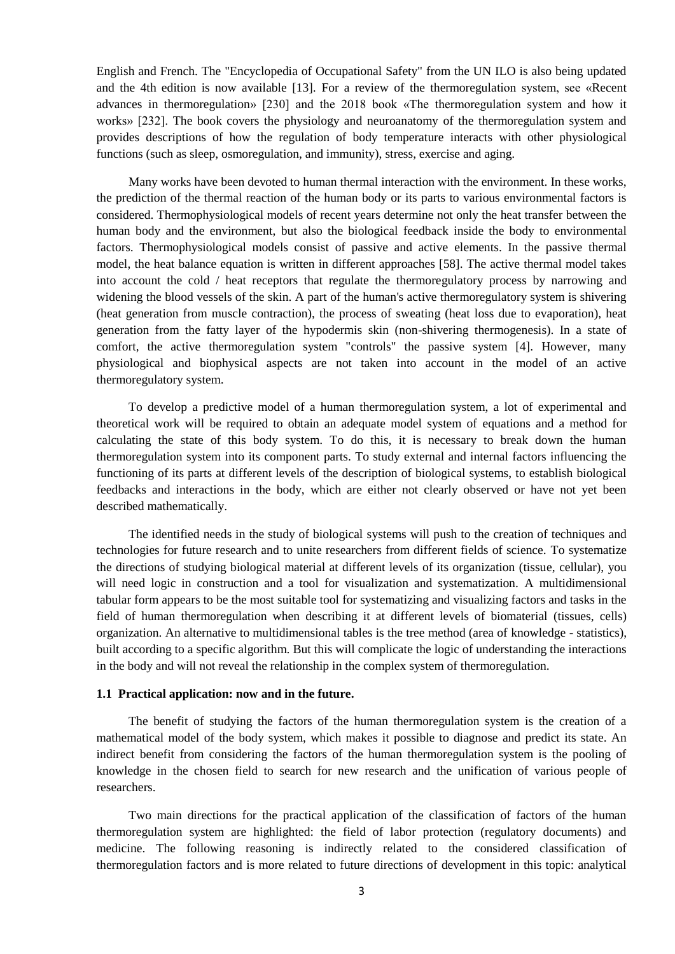English and French. The "Encyclopedia of Occupational Safety" from the UN ILO is also being updated and the 4th edition is now available [13]. For a review of the thermoregulation system, see «Recent advances in thermoregulation» [230] and the 2018 book «The thermoregulation system and how it works» [232]. The book covers the physiology and neuroanatomy of the thermoregulation system and provides descriptions of how the regulation of body temperature interacts with other physiological functions (such as sleep, osmoregulation, and immunity), stress, exercise and aging.

Many works have been devoted to human thermal interaction with the environment. In these works, the prediction of the thermal reaction of the human body or its parts to various environmental factors is considered. Thermophysiological models of recent years determine not only the heat transfer between the human body and the environment, but also the biological feedback inside the body to environmental factors. Thermophysiological models consist of passive and active elements. In the passive thermal model, the heat balance equation is written in different approaches [58]. The active thermal model takes into account the cold / heat receptors that regulate the thermoregulatory process by narrowing and widening the blood vessels of the skin. A part of the human's active thermoregulatory system is shivering (heat generation from muscle contraction), the process of sweating (heat loss due to evaporation), heat generation from the fatty layer of the hypodermis skin (non-shivering thermogenesis). In a state of comfort, the active thermoregulation system "controls" the passive system [4]. However, many physiological and biophysical aspects are not taken into account in the model of an active thermoregulatory system.

To develop a predictive model of a human thermoregulation system, a lot of experimental and theoretical work will be required to obtain an adequate model system of equations and a method for calculating the state of this body system. To do this, it is necessary to break down the human thermoregulation system into its component parts. To study external and internal factors influencing the functioning of its parts at different levels of the description of biological systems, to establish biological feedbacks and interactions in the body, which are either not clearly observed or have not yet been described mathematically.

The identified needs in the study of biological systems will push to the creation of techniques and technologies for future research and to unite researchers from different fields of science. To systematize the directions of studying biological material at different levels of its organization (tissue, cellular), you will need logic in construction and a tool for visualization and systematization. A multidimensional tabular form appears to be the most suitable tool for systematizing and visualizing factors and tasks in the field of human thermoregulation when describing it at different levels of biomaterial (tissues, cells) organization. An alternative to multidimensional tables is the tree method (area of knowledge - statistics), built according to a specific algorithm. But this will complicate the logic of understanding the interactions in the body and will not reveal the relationship in the complex system of thermoregulation.

### **1.1 Practical application: now and in the future.**

The benefit of studying the factors of the human thermoregulation system is the creation of a mathematical model of the body system, which makes it possible to diagnose and predict its state. An indirect benefit from considering the factors of the human thermoregulation system is the pooling of knowledge in the chosen field to search for new research and the unification of various people of researchers.

Two main directions for the practical application of the classification of factors of the human thermoregulation system are highlighted: the field of labor protection (regulatory documents) and medicine. The following reasoning is indirectly related to the considered classification of thermoregulation factors and is more related to future directions of development in this topic: analytical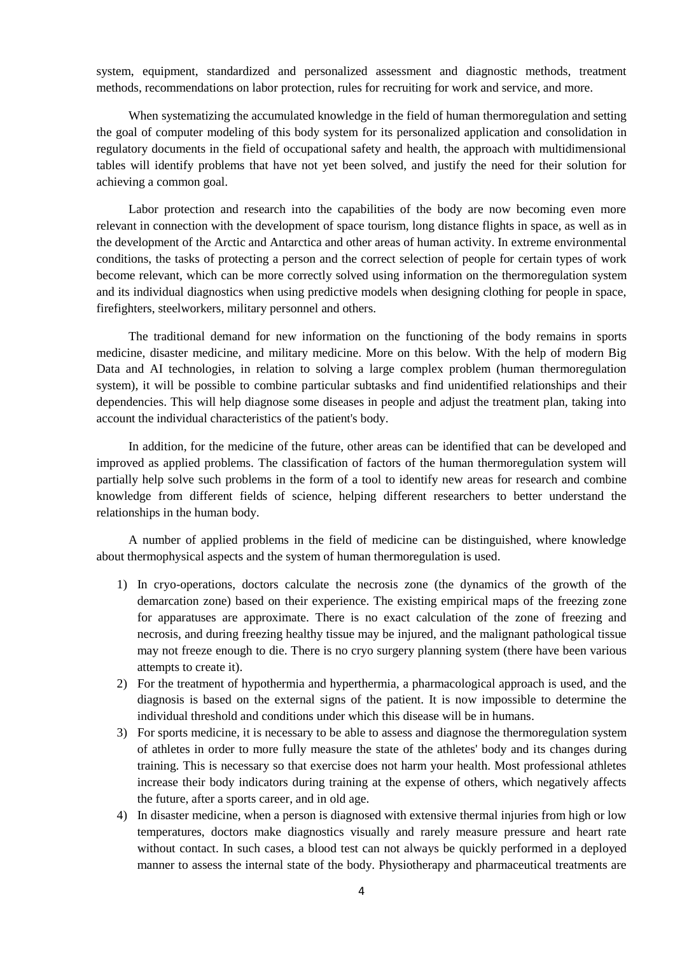system, equipment, standardized and personalized assessment and diagnostic methods, treatment methods, recommendations on labor protection, rules for recruiting for work and service, and more.

When systematizing the accumulated knowledge in the field of human thermoregulation and setting the goal of computer modeling of this body system for its personalized application and consolidation in regulatory documents in the field of occupational safety and health, the approach with multidimensional tables will identify problems that have not yet been solved, and justify the need for their solution for achieving a common goal.

Labor protection and research into the capabilities of the body are now becoming even more relevant in connection with the development of space tourism, long distance flights in space, as well as in the development of the Arctic and Antarctica and other areas of human activity. In extreme environmental conditions, the tasks of protecting a person and the correct selection of people for certain types of work become relevant, which can be more correctly solved using information on the thermoregulation system and its individual diagnostics when using predictive models when designing clothing for people in space, firefighters, steelworkers, military personnel and others.

The traditional demand for new information on the functioning of the body remains in sports medicine, disaster medicine, and military medicine. More on this below. With the help of modern Big Data and AI technologies, in relation to solving a large complex problem (human thermoregulation system), it will be possible to combine particular subtasks and find unidentified relationships and their dependencies. This will help diagnose some diseases in people and adjust the treatment plan, taking into account the individual characteristics of the patient's body.

In addition, for the medicine of the future, other areas can be identified that can be developed and improved as applied problems. The classification of factors of the human thermoregulation system will partially help solve such problems in the form of a tool to identify new areas for research and combine knowledge from different fields of science, helping different researchers to better understand the relationships in the human body.

A number of applied problems in the field of medicine can be distinguished, where knowledge about thermophysical aspects and the system of human thermoregulation is used.

- 1) In cryo-operations, doctors calculate the necrosis zone (the dynamics of the growth of the demarcation zone) based on their experience. The existing empirical maps of the freezing zone for apparatuses are approximate. There is no exact calculation of the zone of freezing and necrosis, and during freezing healthy tissue may be injured, and the malignant pathological tissue may not freeze enough to die. There is no cryo surgery planning system (there have been various attempts to create it).
- 2) For the treatment of hypothermia and hyperthermia, a pharmacological approach is used, and the diagnosis is based on the external signs of the patient. It is now impossible to determine the individual threshold and conditions under which this disease will be in humans.
- 3) For sports medicine, it is necessary to be able to assess and diagnose the thermoregulation system of athletes in order to more fully measure the state of the athletes' body and its changes during training. This is necessary so that exercise does not harm your health. Most professional athletes increase their body indicators during training at the expense of others, which negatively affects the future, after a sports career, and in old age.
- 4) In disaster medicine, when a person is diagnosed with extensive thermal injuries from high or low temperatures, doctors make diagnostics visually and rarely measure pressure and heart rate without contact. In such cases, a blood test can not always be quickly performed in a deployed manner to assess the internal state of the body. Physiotherapy and pharmaceutical treatments are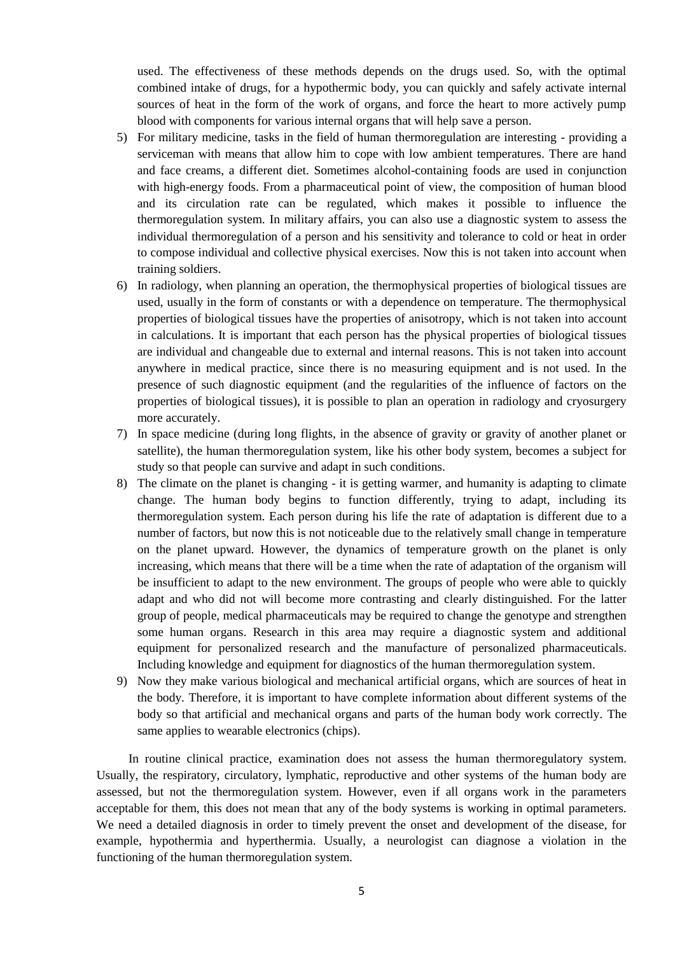used. The effectiveness of these methods depends on the drugs used. So, with the optimal combined intake of drugs, for a hypothermic body, you can quickly and safely activate internal sources of heat in the form of the work of organs, and force the heart to more actively pump blood with components for various internal organs that will help save a person.

- 5) For military medicine, tasks in the field of human thermoregulation are interesting providing a serviceman with means that allow him to cope with low ambient temperatures. There are hand and face creams, a different diet. Sometimes alcohol-containing foods are used in conjunction with high-energy foods. From a pharmaceutical point of view, the composition of human blood and its circulation rate can be regulated, which makes it possible to influence the thermoregulation system. In military affairs, you can also use a diagnostic system to assess the individual thermoregulation of a person and his sensitivity and tolerance to cold or heat in order to compose individual and collective physical exercises. Now this is not taken into account when training soldiers.
- 6) In radiology, when planning an operation, the thermophysical properties of biological tissues are used, usually in the form of constants or with a dependence on temperature. The thermophysical properties of biological tissues have the properties of anisotropy, which is not taken into account in calculations. It is important that each person has the physical properties of biological tissues are individual and changeable due to external and internal reasons. This is not taken into account anywhere in medical practice, since there is no measuring equipment and is not used. In the presence of such diagnostic equipment (and the regularities of the influence of factors on the properties of biological tissues), it is possible to plan an operation in radiology and cryosurgery more accurately.
- 7) In space medicine (during long flights, in the absence of gravity or gravity of another planet or satellite), the human thermoregulation system, like his other body system, becomes a subject for study so that people can survive and adapt in such conditions.
- 8) The climate on the planet is changing it is getting warmer, and humanity is adapting to climate change. The human body begins to function differently, trying to adapt, including its thermoregulation system. Each person during his life the rate of adaptation is different due to a number of factors, but now this is not noticeable due to the relatively small change in temperature on the planet upward. However, the dynamics of temperature growth on the planet is only increasing, which means that there will be a time when the rate of adaptation of the organism will be insufficient to adapt to the new environment. The groups of people who were able to quickly adapt and who did not will become more contrasting and clearly distinguished. For the latter group of people, medical pharmaceuticals may be required to change the genotype and strengthen some human organs. Research in this area may require a diagnostic system and additional equipment for personalized research and the manufacture of personalized pharmaceuticals. Including knowledge and equipment for diagnostics of the human thermoregulation system.
- 9) Now they make various biological and mechanical artificial organs, which are sources of heat in the body. Therefore, it is important to have complete information about different systems of the body so that artificial and mechanical organs and parts of the human body work correctly. The same applies to wearable electronics (chips).

In routine clinical practice, examination does not assess the human thermoregulatory system. Usually, the respiratory, circulatory, lymphatic, reproductive and other systems of the human body are assessed, but not the thermoregulation system. However, even if all organs work in the parameters acceptable for them, this does not mean that any of the body systems is working in optimal parameters. We need a detailed diagnosis in order to timely prevent the onset and development of the disease, for example, hypothermia and hyperthermia. Usually, a neurologist can diagnose a violation in the functioning of the human thermoregulation system.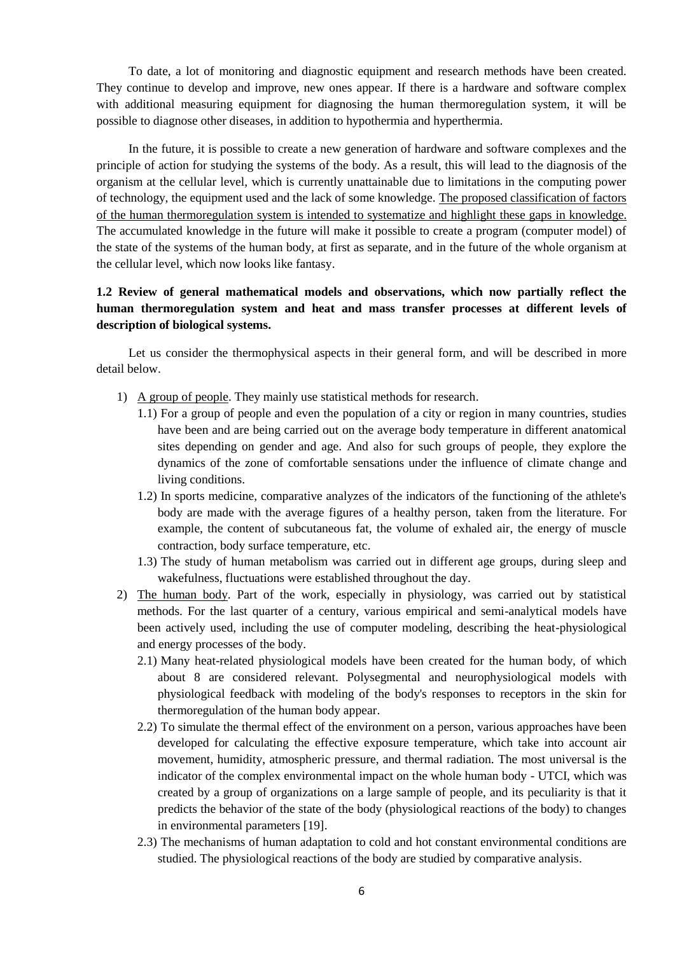To date, a lot of monitoring and diagnostic equipment and research methods have been created. They continue to develop and improve, new ones appear. If there is a hardware and software complex with additional measuring equipment for diagnosing the human thermoregulation system, it will be possible to diagnose other diseases, in addition to hypothermia and hyperthermia.

In the future, it is possible to create a new generation of hardware and software complexes and the principle of action for studying the systems of the body. As a result, this will lead to the diagnosis of the organism at the cellular level, which is currently unattainable due to limitations in the computing power of technology, the equipment used and the lack of some knowledge. The proposed classification of factors of the human thermoregulation system is intended to systematize and highlight these gaps in knowledge. The accumulated knowledge in the future will make it possible to create a program (computer model) of the state of the systems of the human body, at first as separate, and in the future of the whole organism at the cellular level, which now looks like fantasy.

# **1.2 Review of general mathematical models and observations, which now partially reflect the human thermoregulation system and heat and mass transfer processes at different levels of description of biological systems.**

Let us consider the thermophysical aspects in their general form, and will be described in more detail below.

- 1) A group of people. They mainly use statistical methods for research.
	- 1.1) For a group of people and even the population of a city or region in many countries, studies have been and are being carried out on the average body temperature in different anatomical sites depending on gender and age. And also for such groups of people, they explore the dynamics of the zone of comfortable sensations under the influence of climate change and living conditions.
	- 1.2) In sports medicine, comparative analyzes of the indicators of the functioning of the athlete's body are made with the average figures of a healthy person, taken from the literature. For example, the content of subcutaneous fat, the volume of exhaled air, the energy of muscle contraction, body surface temperature, etc.
	- 1.3) The study of human metabolism was carried out in different age groups, during sleep and wakefulness, fluctuations were established throughout the day.
- 2) The human body. Part of the work, especially in physiology, was carried out by statistical methods. For the last quarter of a century, various empirical and semi-analytical models have been actively used, including the use of computer modeling, describing the heat-physiological and energy processes of the body.
	- 2.1) Many heat-related physiological models have been created for the human body, of which about 8 are considered relevant. Polysegmental and neurophysiological models with physiological feedback with modeling of the body's responses to receptors in the skin for thermoregulation of the human body appear.
	- 2.2) To simulate the thermal effect of the environment on a person, various approaches have been developed for calculating the effective exposure temperature, which take into account air movement, humidity, atmospheric pressure, and thermal radiation. The most universal is the indicator of the complex environmental impact on the whole human body - UTCI, which was created by a group of organizations on a large sample of people, and its peculiarity is that it predicts the behavior of the state of the body (physiological reactions of the body) to changes in environmental parameters [19].
	- 2.3) The mechanisms of human adaptation to cold and hot constant environmental conditions are studied. The physiological reactions of the body are studied by comparative analysis.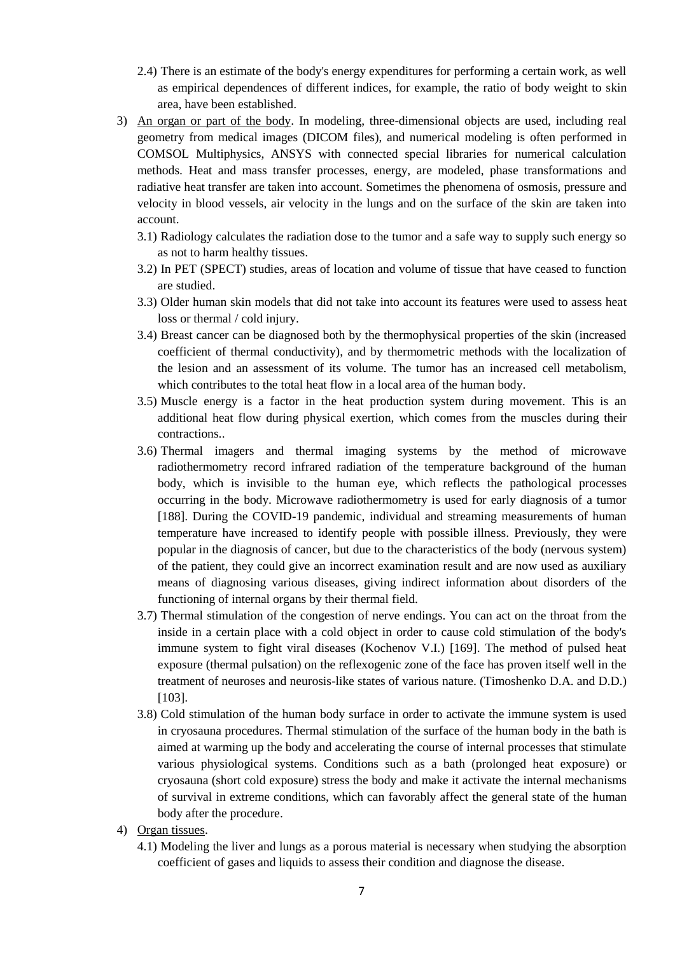- 2.4) There is an estimate of the body's energy expenditures for performing a certain work, as well as empirical dependences of different indices, for example, the ratio of body weight to skin area, have been established.
- 3) An organ or part of the body. In modeling, three-dimensional objects are used, including real geometry from medical images (DICOM files), and numerical modeling is often performed in COMSOL Multiphysics, ANSYS with connected special libraries for numerical calculation methods. Heat and mass transfer processes, energy, are modeled, phase transformations and radiative heat transfer are taken into account. Sometimes the phenomena of osmosis, pressure and velocity in blood vessels, air velocity in the lungs and on the surface of the skin are taken into account.
	- 3.1) Radiology calculates the radiation dose to the tumor and a safe way to supply such energy so as not to harm healthy tissues.
	- 3.2) In PET (SPECT) studies, areas of location and volume of tissue that have ceased to function are studied.
	- 3.3) Older human skin models that did not take into account its features were used to assess heat loss or thermal / cold injury.
	- 3.4) Breast cancer can be diagnosed both by the thermophysical properties of the skin (increased coefficient of thermal conductivity), and by thermometric methods with the localization of the lesion and an assessment of its volume. The tumor has an increased cell metabolism, which contributes to the total heat flow in a local area of the human body.
	- 3.5) Muscle energy is a factor in the heat production system during movement. This is an additional heat flow during physical exertion, which comes from the muscles during their contractions..
	- 3.6) Thermal imagers and thermal imaging systems by the method of microwave radiothermometry record infrared radiation of the temperature background of the human body, which is invisible to the human eye, which reflects the pathological processes occurring in the body. Microwave radiothermometry is used for early diagnosis of a tumor [188]. During the COVID-19 pandemic, individual and streaming measurements of human temperature have increased to identify people with possible illness. Previously, they were popular in the diagnosis of cancer, but due to the characteristics of the body (nervous system) of the patient, they could give an incorrect examination result and are now used as auxiliary means of diagnosing various diseases, giving indirect information about disorders of the functioning of internal organs by their thermal field.
	- 3.7) Thermal stimulation of the congestion of nerve endings. You can act on the throat from the inside in a certain place with a cold object in order to cause cold stimulation of the body's immune system to fight viral diseases (Kochenov V.I.) [169]. The method of pulsed heat exposure (thermal pulsation) on the reflexogenic zone of the face has proven itself well in the treatment of neuroses and neurosis-like states of various nature. (Timoshenko D.A. and D.D.) [103].
	- 3.8) Cold stimulation of the human body surface in order to activate the immune system is used in cryosauna procedures. Thermal stimulation of the surface of the human body in the bath is aimed at warming up the body and accelerating the course of internal processes that stimulate various physiological systems. Conditions such as a bath (prolonged heat exposure) or cryosauna (short cold exposure) stress the body and make it activate the internal mechanisms of survival in extreme conditions, which can favorably affect the general state of the human body after the procedure.
- 4) Organ tissues.
	- 4.1) Modeling the liver and lungs as a porous material is necessary when studying the absorption coefficient of gases and liquids to assess their condition and diagnose the disease.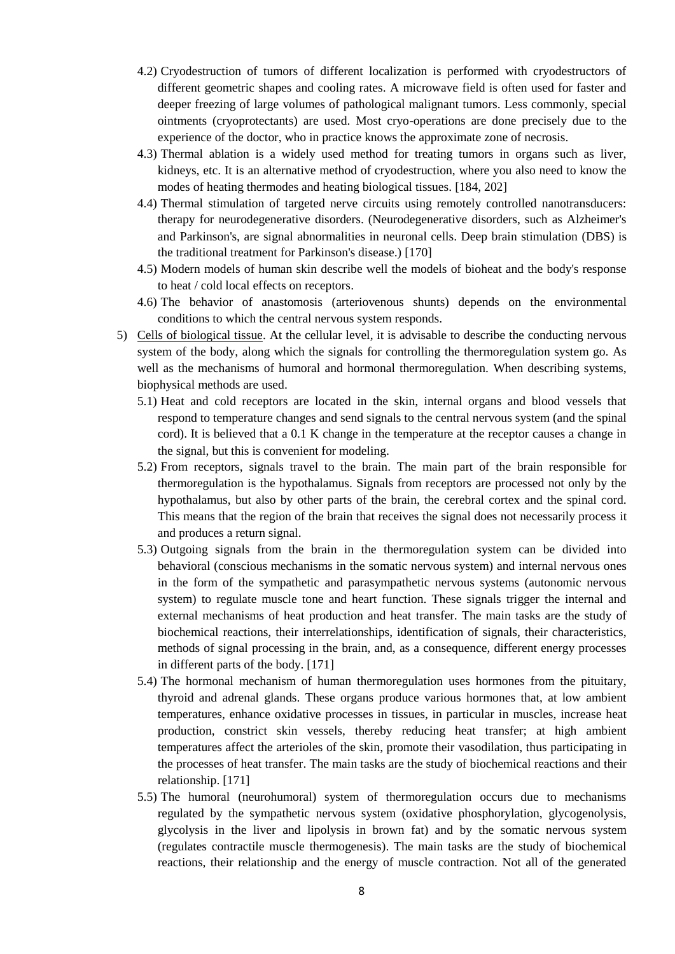- 4.2) Cryodestruction of tumors of different localization is performed with cryodestructors of different geometric shapes and cooling rates. A microwave field is often used for faster and deeper freezing of large volumes of pathological malignant tumors. Less commonly, special ointments (cryoprotectants) are used. Most cryo-operations are done precisely due to the experience of the doctor, who in practice knows the approximate zone of necrosis.
- 4.3) Thermal ablation is a widely used method for treating tumors in organs such as liver, kidneys, etc. It is an alternative method of cryodestruction, where you also need to know the modes of heating thermodes and heating biological tissues. [184, 202]
- 4.4) Thermal stimulation of targeted nerve circuits using remotely controlled nanotransducers: therapy for neurodegenerative disorders. (Neurodegenerative disorders, such as Alzheimer's and Parkinson's, are signal abnormalities in neuronal cells. Deep brain stimulation (DBS) is the traditional treatment for Parkinson's disease.) [170]
- 4.5) Modern models of human skin describe well the models of bioheat and the body's response to heat / cold local effects on receptors.
- 4.6) The behavior of anastomosis (arteriovenous shunts) depends on the environmental conditions to which the central nervous system responds.
- 5) Cells of biological tissue. At the cellular level, it is advisable to describe the conducting nervous system of the body, along which the signals for controlling the thermoregulation system go. As well as the mechanisms of humoral and hormonal thermoregulation. When describing systems, biophysical methods are used.
	- 5.1) Heat and cold receptors are located in the skin, internal organs and blood vessels that respond to temperature changes and send signals to the central nervous system (and the spinal cord). It is believed that a 0.1 K change in the temperature at the receptor causes a change in the signal, but this is convenient for modeling.
	- 5.2) From receptors, signals travel to the brain. The main part of the brain responsible for thermoregulation is the hypothalamus. Signals from receptors are processed not only by the hypothalamus, but also by other parts of the brain, the cerebral cortex and the spinal cord. This means that the region of the brain that receives the signal does not necessarily process it and produces a return signal.
	- 5.3) Outgoing signals from the brain in the thermoregulation system can be divided into behavioral (conscious mechanisms in the somatic nervous system) and internal nervous ones in the form of the sympathetic and parasympathetic nervous systems (autonomic nervous system) to regulate muscle tone and heart function. These signals trigger the internal and external mechanisms of heat production and heat transfer. The main tasks are the study of biochemical reactions, their interrelationships, identification of signals, their characteristics, methods of signal processing in the brain, and, as a consequence, different energy processes in different parts of the body. [171]
	- 5.4) The hormonal mechanism of human thermoregulation uses hormones from the pituitary, thyroid and adrenal glands. These organs produce various hormones that, at low ambient temperatures, enhance oxidative processes in tissues, in particular in muscles, increase heat production, constrict skin vessels, thereby reducing heat transfer; at high ambient temperatures affect the arterioles of the skin, promote their vasodilation, thus participating in the processes of heat transfer. The main tasks are the study of biochemical reactions and their relationship. [171]
	- 5.5) The humoral (neurohumoral) system of thermoregulation occurs due to mechanisms regulated by the sympathetic nervous system (oxidative phosphorylation, glycogenolysis, glycolysis in the liver and lipolysis in brown fat) and by the somatic nervous system (regulates contractile muscle thermogenesis). The main tasks are the study of biochemical reactions, their relationship and the energy of muscle contraction. Not all of the generated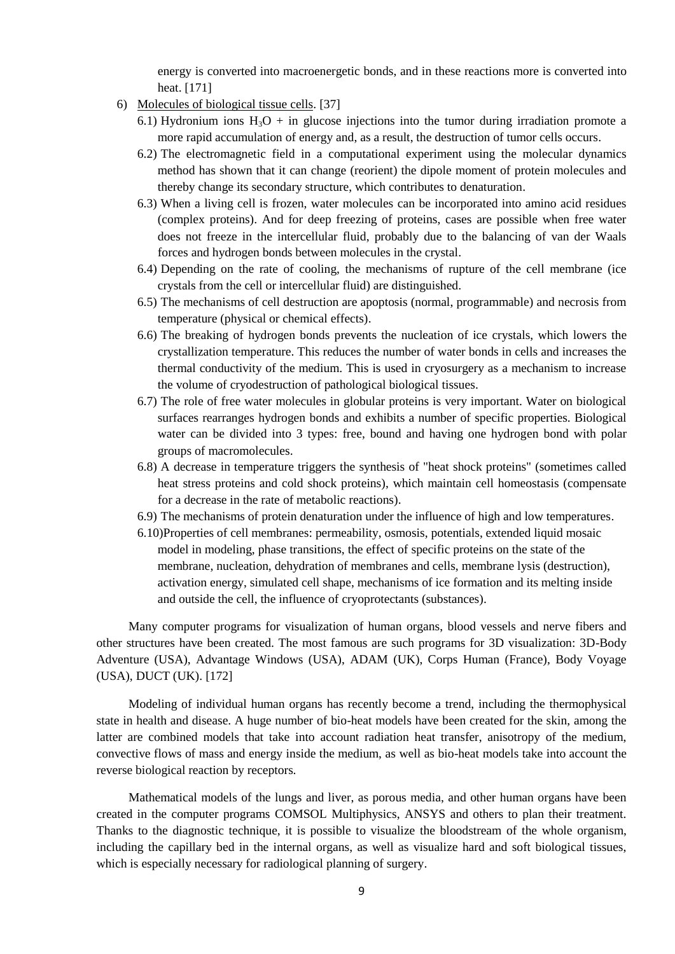energy is converted into macroenergetic bonds, and in these reactions more is converted into heat. [171]

- 6) Molecules of biological tissue cells. [37]
	- 6.1) Hydronium ions  $H_3O +$  in glucose injections into the tumor during irradiation promote a more rapid accumulation of energy and, as a result, the destruction of tumor cells occurs.
	- 6.2) The electromagnetic field in a computational experiment using the molecular dynamics method has shown that it can change (reorient) the dipole moment of protein molecules and thereby change its secondary structure, which contributes to denaturation.
	- 6.3) When a living cell is frozen, water molecules can be incorporated into amino acid residues (complex proteins). And for deep freezing of proteins, cases are possible when free water does not freeze in the intercellular fluid, probably due to the balancing of van der Waals forces and hydrogen bonds between molecules in the crystal.
	- 6.4) Depending on the rate of cooling, the mechanisms of rupture of the cell membrane (ice crystals from the cell or intercellular fluid) are distinguished.
	- 6.5) The mechanisms of cell destruction are apoptosis (normal, programmable) and necrosis from temperature (physical or chemical effects).
	- 6.6) The breaking of hydrogen bonds prevents the nucleation of ice crystals, which lowers the crystallization temperature. This reduces the number of water bonds in cells and increases the thermal conductivity of the medium. This is used in cryosurgery as a mechanism to increase the volume of cryodestruction of pathological biological tissues.
	- 6.7) The role of free water molecules in globular proteins is very important. Water on biological surfaces rearranges hydrogen bonds and exhibits a number of specific properties. Biological water can be divided into 3 types: free, bound and having one hydrogen bond with polar groups of macromolecules.
	- 6.8) A decrease in temperature triggers the synthesis of "heat shock proteins" (sometimes called heat stress proteins and cold shock proteins), which maintain cell homeostasis (compensate for a decrease in the rate of metabolic reactions).
	- 6.9) The mechanisms of protein denaturation under the influence of high and low temperatures.
	- 6.10)Properties of cell membranes: permeability, osmosis, potentials, extended liquid mosaic model in modeling, phase transitions, the effect of specific proteins on the state of the membrane, nucleation, dehydration of membranes and cells, membrane lysis (destruction), activation energy, simulated cell shape, mechanisms of ice formation and its melting inside and outside the cell, the influence of cryoprotectants (substances).

Many computer programs for visualization of human organs, blood vessels and nerve fibers and other structures have been created. The most famous are such programs for 3D visualization: 3D-Body Adventure (USA), Advantage Windows (USA), ADAM (UK), Corps Human (France), Body Voyage (USA), DUCT (UK). [172]

Modeling of individual human organs has recently become a trend, including the thermophysical state in health and disease. A huge number of bio-heat models have been created for the skin, among the latter are combined models that take into account radiation heat transfer, anisotropy of the medium, convective flows of mass and energy inside the medium, as well as bio-heat models take into account the reverse biological reaction by receptors.

Mathematical models of the lungs and liver, as porous media, and other human organs have been created in the computer programs COMSOL Multiphysics, ANSYS and others to plan their treatment. Thanks to the diagnostic technique, it is possible to visualize the bloodstream of the whole organism, including the capillary bed in the internal organs, as well as visualize hard and soft biological tissues, which is especially necessary for radiological planning of surgery.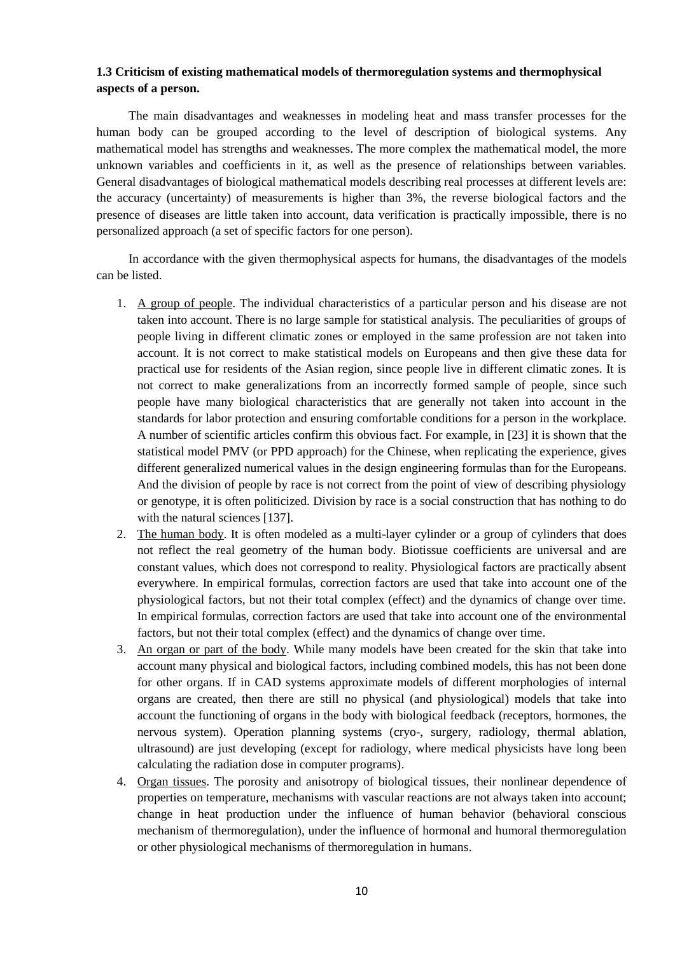## **1.3 Criticism of existing mathematical models of thermoregulation systems and thermophysical aspects of a person.**

The main disadvantages and weaknesses in modeling heat and mass transfer processes for the human body can be grouped according to the level of description of biological systems. Any mathematical model has strengths and weaknesses. The more complex the mathematical model, the more unknown variables and coefficients in it, as well as the presence of relationships between variables. General disadvantages of biological mathematical models describing real processes at different levels are: the accuracy (uncertainty) of measurements is higher than 3%, the reverse biological factors and the presence of diseases are little taken into account, data verification is practically impossible, there is no personalized approach (a set of specific factors for one person).

In accordance with the given thermophysical aspects for humans, the disadvantages of the models can be listed.

- 1. A group of people. The individual characteristics of a particular person and his disease are not taken into account. There is no large sample for statistical analysis. The peculiarities of groups of people living in different climatic zones or employed in the same profession are not taken into account. It is not correct to make statistical models on Europeans and then give these data for practical use for residents of the Asian region, since people live in different climatic zones. It is not correct to make generalizations from an incorrectly formed sample of people, since such people have many biological characteristics that are generally not taken into account in the standards for labor protection and ensuring comfortable conditions for a person in the workplace. A number of scientific articles confirm this obvious fact. For example, in [23] it is shown that the statistical model PMV (or PPD approach) for the Chinese, when replicating the experience, gives different generalized numerical values in the design engineering formulas than for the Europeans. And the division of people by race is not correct from the point of view of describing physiology or genotype, it is often politicized. Division by race is a social construction that has nothing to do with the natural sciences [137].
- 2. The human body. It is often modeled as a multi-layer cylinder or a group of cylinders that does not reflect the real geometry of the human body. Biotissue coefficients are universal and are constant values, which does not correspond to reality. Physiological factors are practically absent everywhere. In empirical formulas, correction factors are used that take into account one of the physiological factors, but not their total complex (effect) and the dynamics of change over time. In empirical formulas, correction factors are used that take into account one of the environmental factors, but not their total complex (effect) and the dynamics of change over time.
- 3. An organ or part of the body. While many models have been created for the skin that take into account many physical and biological factors, including combined models, this has not been done for other organs. If in CAD systems approximate models of different morphologies of internal organs are created, then there are still no physical (and physiological) models that take into account the functioning of organs in the body with biological feedback (receptors, hormones, the nervous system). Operation planning systems (cryo-, surgery, radiology, thermal ablation, ultrasound) are just developing (except for radiology, where medical physicists have long been calculating the radiation dose in computer programs).
- 4. Organ tissues. The porosity and anisotropy of biological tissues, their nonlinear dependence of properties on temperature, mechanisms with vascular reactions are not always taken into account; change in heat production under the influence of human behavior (behavioral conscious mechanism of thermoregulation), under the influence of hormonal and humoral thermoregulation or other physiological mechanisms of thermoregulation in humans.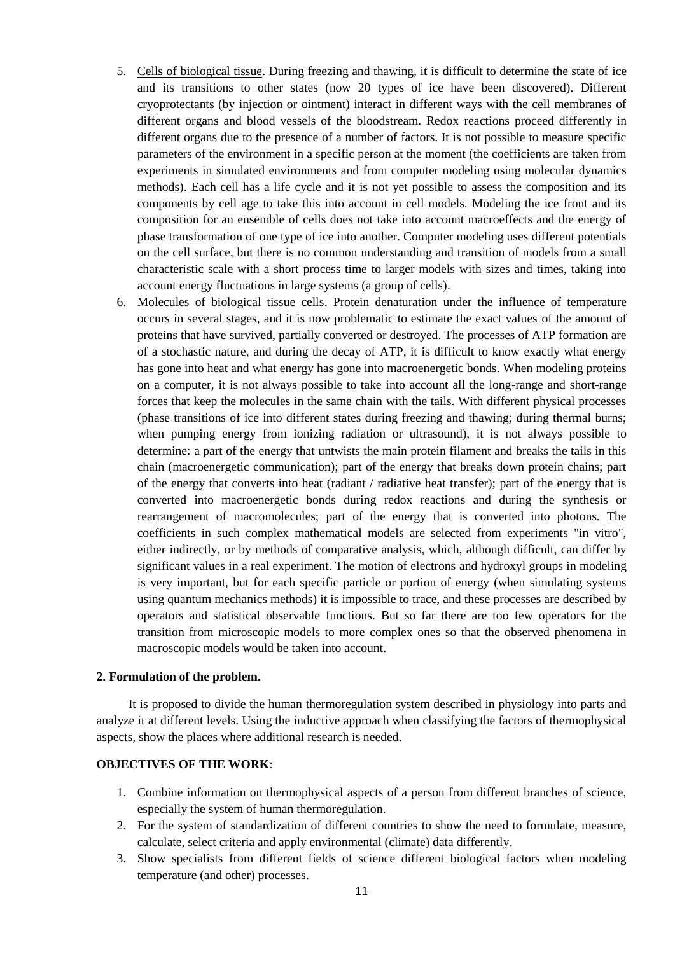- 5. Cells of biological tissue. During freezing and thawing, it is difficult to determine the state of ice and its transitions to other states (now 20 types of ice have been discovered). Different cryoprotectants (by injection or ointment) interact in different ways with the cell membranes of different organs and blood vessels of the bloodstream. Redox reactions proceed differently in different organs due to the presence of a number of factors. It is not possible to measure specific parameters of the environment in a specific person at the moment (the coefficients are taken from experiments in simulated environments and from computer modeling using molecular dynamics methods). Each cell has a life cycle and it is not yet possible to assess the composition and its components by cell age to take this into account in cell models. Modeling the ice front and its composition for an ensemble of cells does not take into account macroeffects and the energy of phase transformation of one type of ice into another. Computer modeling uses different potentials on the cell surface, but there is no common understanding and transition of models from a small characteristic scale with a short process time to larger models with sizes and times, taking into account energy fluctuations in large systems (a group of cells).
- 6. Molecules of biological tissue cells. Protein denaturation under the influence of temperature occurs in several stages, and it is now problematic to estimate the exact values of the amount of proteins that have survived, partially converted or destroyed. The processes of ATP formation are of a stochastic nature, and during the decay of ATP, it is difficult to know exactly what energy has gone into heat and what energy has gone into macroenergetic bonds. When modeling proteins on a computer, it is not always possible to take into account all the long-range and short-range forces that keep the molecules in the same chain with the tails. With different physical processes (phase transitions of ice into different states during freezing and thawing; during thermal burns; when pumping energy from ionizing radiation or ultrasound), it is not always possible to determine: a part of the energy that untwists the main protein filament and breaks the tails in this chain (macroenergetic communication); part of the energy that breaks down protein chains; part of the energy that converts into heat (radiant / radiative heat transfer); part of the energy that is converted into macroenergetic bonds during redox reactions and during the synthesis or rearrangement of macromolecules; part of the energy that is converted into photons. The coefficients in such complex mathematical models are selected from experiments "in vitro", either indirectly, or by methods of comparative analysis, which, although difficult, can differ by significant values in a real experiment. The motion of electrons and hydroxyl groups in modeling is very important, but for each specific particle or portion of energy (when simulating systems using quantum mechanics methods) it is impossible to trace, and these processes are described by operators and statistical observable functions. But so far there are too few operators for the transition from microscopic models to more complex ones so that the observed phenomena in macroscopic models would be taken into account.

### **2. Formulation of the problem.**

It is proposed to divide the human thermoregulation system described in physiology into parts and analyze it at different levels. Using the inductive approach when classifying the factors of thermophysical aspects, show the places where additional research is needed.

### **OBJECTIVES OF THE WORK**:

- 1. Combine information on thermophysical aspects of a person from different branches of science, especially the system of human thermoregulation.
- 2. For the system of standardization of different countries to show the need to formulate, measure, calculate, select criteria and apply environmental (climate) data differently.
- 3. Show specialists from different fields of science different biological factors when modeling temperature (and other) processes.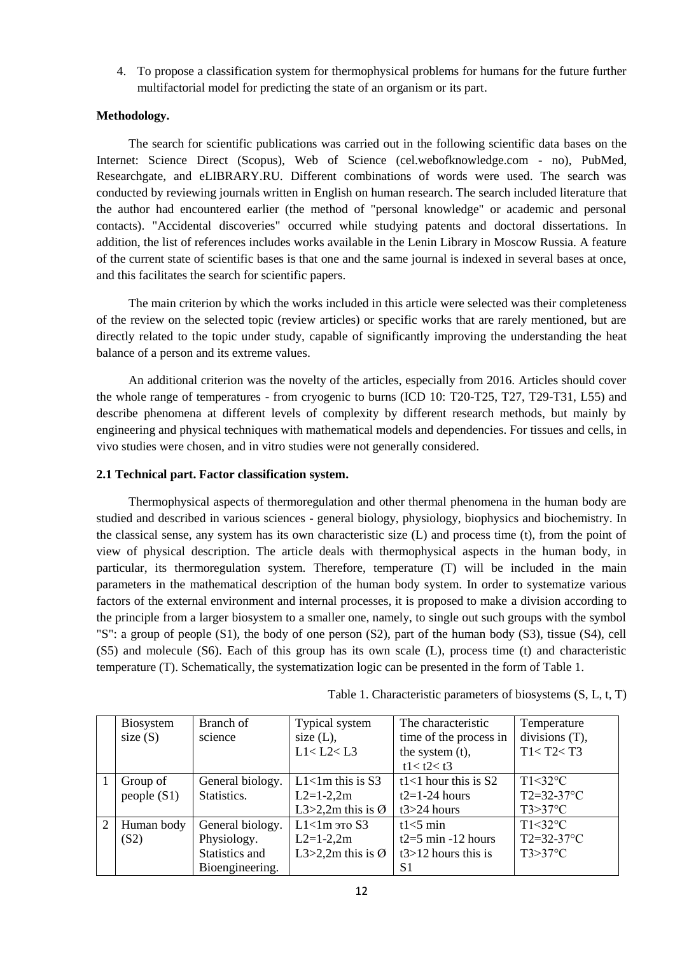4. To propose a classification system for thermophysical problems for humans for the future further multifactorial model for predicting the state of an organism or its part.

### **Methodology.**

The search for scientific publications was carried out in the following scientific data bases on the Internet: Science Direct (Scopus), Web of Science (cel.webofknowledge.com - no), PubMed, Researchgate, and eLIBRARY.RU. Different combinations of words were used. The search was conducted by reviewing journals written in English on human research. The search included literature that the author had encountered earlier (the method of "personal knowledge" or academic and personal contacts). "Accidental discoveries" occurred while studying patents and doctoral dissertations. In addition, the list of references includes works available in the Lenin Library in Moscow Russia. A feature of the current state of scientific bases is that one and the same journal is indexed in several bases at once, and this facilitates the search for scientific papers.

The main criterion by which the works included in this article were selected was their completeness of the review on the selected topic (review articles) or specific works that are rarely mentioned, but are directly related to the topic under study, capable of significantly improving the understanding the heat balance of a person and its extreme values.

An additional criterion was the novelty of the articles, especially from 2016. Articles should cover the whole range of temperatures - from cryogenic to burns (ICD 10: T20-T25, T27, T29-T31, L55) and describe phenomena at different levels of complexity by different research methods, but mainly by engineering and physical techniques with mathematical models and dependencies. For tissues and cells, in vivo studies were chosen, and in vitro studies were not generally considered.

#### **2.1 Technical part. Factor classification system.**

Thermophysical aspects of thermoregulation and other thermal phenomena in the human body are studied and described in various sciences - general biology, physiology, biophysics and biochemistry. In the classical sense, any system has its own characteristic size (L) and process time (t), from the point of view of physical description. The article deals with thermophysical aspects in the human body, in particular, its thermoregulation system. Therefore, temperature (T) will be included in the main parameters in the mathematical description of the human body system. In order to systematize various factors of the external environment and internal processes, it is proposed to make a division according to the principle from a larger biosystem to a smaller one, namely, to single out such groups with the symbol "S": a group of people (S1), the body of one person (S2), part of the human body (S3), tissue (S4), cell (S5) and molecule (S6). Each of this group has its own scale (L), process time (t) and characteristic temperature (T). Schematically, the systematization logic can be presented in the form of Table 1.

|                | <b>Biosystem</b> | Branch of        | Typical system                | The characteristic     | Temperature       |
|----------------|------------------|------------------|-------------------------------|------------------------|-------------------|
|                | size $(S)$       | science          | size $(L)$ ,                  | time of the process in | divisions $(T)$ , |
|                |                  |                  | L1 < L2 < L3                  | the system (t),        | T1 < T2 < T3      |
|                |                  |                  |                               | t1 < t2 < t3           |                   |
|                | Group of         | General biology. | $L1<1m$ this is S3            | t1<1 hour this is $S2$ | $T1<32$ °C        |
|                | people $(S1)$    | Statistics.      | $L2=1-2,2m$                   | $t2=1-24$ hours        | $T2 = 32 - 37$ °C |
|                |                  |                  | L3>2,2m this is $\varnothing$ | $t3>24$ hours          | $T3>37$ °C        |
| $\overline{2}$ | Human body       | General biology. | $L1$ <1m это S3               | $t1<5$ min             | $T1<32$ °C        |
|                | (S2)             | Physiology.      | $L2=1-2,2m$                   | t $2=5$ min -12 hours  | $T2 = 32 - 37$ °C |
|                |                  | Statistics and   | L3>2,2m this is $\varnothing$ | $t3>12$ hours this is  | $T3>37$ °C        |
|                |                  | Bioengineering.  |                               | S1                     |                   |

Table 1. Characteristic parameters of biosystems (S, L, t, T)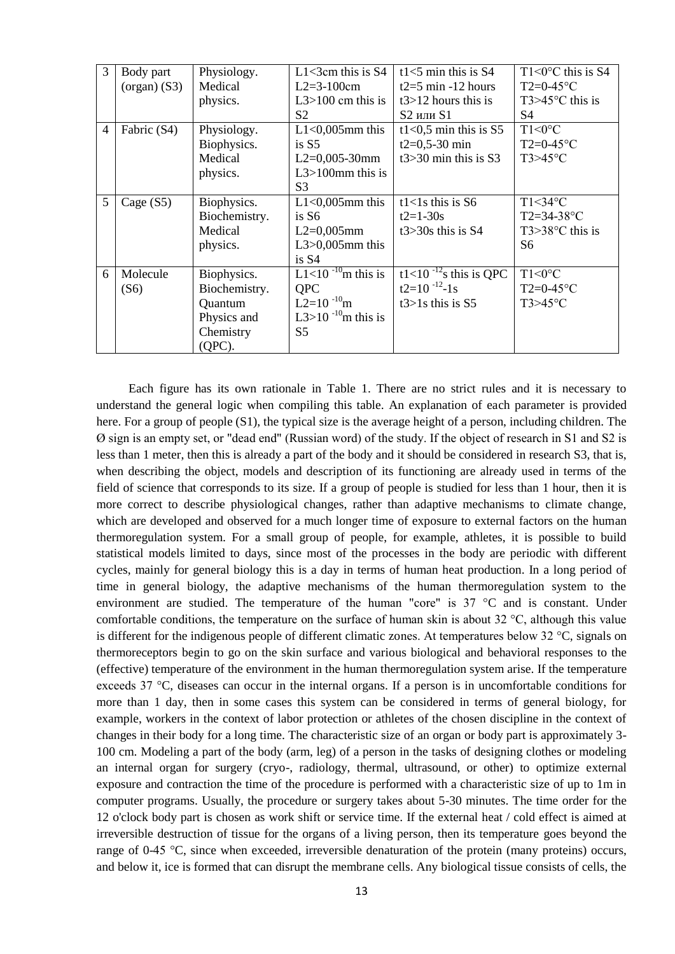| 3              | Body part<br>$(organ)$ (S3) | Physiology.<br>Medical<br>physics.                                               | $L1 < 3$ cm this is S4<br>$L2 = 3 - 100$ cm<br>L $3>100$ cm this is                                                      | t1<5 min this is $S4$<br>t $2=5$ min -12 hours<br>$t3>12$ hours this is                                 | $T1 \leq 0^{\circ}$ C this is S4<br>$T2=0-45$ °C<br>$T3>45^{\circ}$ C this is |
|----------------|-----------------------------|----------------------------------------------------------------------------------|--------------------------------------------------------------------------------------------------------------------------|---------------------------------------------------------------------------------------------------------|-------------------------------------------------------------------------------|
|                |                             |                                                                                  | S <sub>2</sub>                                                                                                           | $S2$ или $S1$                                                                                           | S <sub>4</sub>                                                                |
| $\overline{4}$ | Fabric (S4)                 | Physiology.<br>Biophysics.                                                       | $L1<0,005$ mm this<br>is $S5$                                                                                            | t1<0,5 min this is $S5$<br>$t2=0,5-30$ min                                                              | $T1<0$ °C<br>$T2=0-45$ °C                                                     |
|                |                             | Medical<br>physics.                                                              | $L2=0,005-30$ mm<br>$L3 > 100$ mm this is<br>S <sub>3</sub>                                                              | $t3 > 30$ min this is S3                                                                                | $T3>45$ °C                                                                    |
| 5              | Cage $(S5)$                 | Biophysics.<br>Biochemistry.<br>Medical<br>physics.                              | $L1<0,005$ mm this<br>is S6<br>$L2=0,005$ mm<br>$L3>0,005$ mm this<br>is S4                                              | $t1<1s$ this is S6<br>$t2=1-30s$<br>$t3 > 30s$ this is S4                                               | $T1<34$ °C<br>$T2 = 34 - 38$ °C<br>$T3>38$ °C this is<br>S6                   |
| 6              | Molecule<br>(S6)            | Biophysics.<br>Biochemistry.<br>Quantum<br>Physics and<br>Chemistry<br>$(QPC)$ . | L1<10 $^{-10}$ m this is<br><b>QPC</b><br>$L2=10^{-10}$ m<br>L3>10 <sup>-10</sup> <sub>m</sub> this is<br>S <sub>5</sub> | $\overline{t1}$ <10 <sup>-12</sup> <sub>s</sub> this is QPC<br>$t2=10^{-12} - 1s$<br>$t3>1s$ this is S5 | $T1<0$ °C<br>$T2=0-45$ °C<br>$T3>45$ °C                                       |

Each figure has its own rationale in Table 1. There are no strict rules and it is necessary to understand the general logic when compiling this table. An explanation of each parameter is provided here. For a group of people (S1), the typical size is the average height of a person, including children. The Ø sign is an empty set, or "dead end" (Russian word) of the study. If the object of research in S1 and S2 is less than 1 meter, then this is already a part of the body and it should be considered in research S3, that is, when describing the object, models and description of its functioning are already used in terms of the field of science that corresponds to its size. If a group of people is studied for less than 1 hour, then it is more correct to describe physiological changes, rather than adaptive mechanisms to climate change, which are developed and observed for a much longer time of exposure to external factors on the human thermoregulation system. For a small group of people, for example, athletes, it is possible to build statistical models limited to days, since most of the processes in the body are periodic with different cycles, mainly for general biology this is a day in terms of human heat production. In a long period of time in general biology, the adaptive mechanisms of the human thermoregulation system to the environment are studied. The temperature of the human "core" is  $37 \text{ °C}$  and is constant. Under comfortable conditions, the temperature on the surface of human skin is about 32 °C, although this value is different for the indigenous people of different climatic zones. At temperatures below 32 °C, signals on thermoreceptors begin to go on the skin surface and various biological and behavioral responses to the (effective) temperature of the environment in the human thermoregulation system arise. If the temperature exceeds 37 °C, diseases can occur in the internal organs. If a person is in uncomfortable conditions for more than 1 day, then in some cases this system can be considered in terms of general biology, for example, workers in the context of labor protection or athletes of the chosen discipline in the context of changes in their body for a long time. The characteristic size of an organ or body part is approximately 3- 100 cm. Modeling a part of the body (arm, leg) of a person in the tasks of designing clothes or modeling an internal organ for surgery (cryo-, radiology, thermal, ultrasound, or other) to optimize external exposure and contraction the time of the procedure is performed with a characteristic size of up to 1m in computer programs. Usually, the procedure or surgery takes about 5-30 minutes. The time order for the 12 o'clock body part is chosen as work shift or service time. If the external heat / cold effect is aimed at irreversible destruction of tissue for the organs of a living person, then its temperature goes beyond the range of 0-45 °C, since when exceeded, irreversible denaturation of the protein (many proteins) occurs, and below it, ice is formed that can disrupt the membrane cells. Any biological tissue consists of cells, the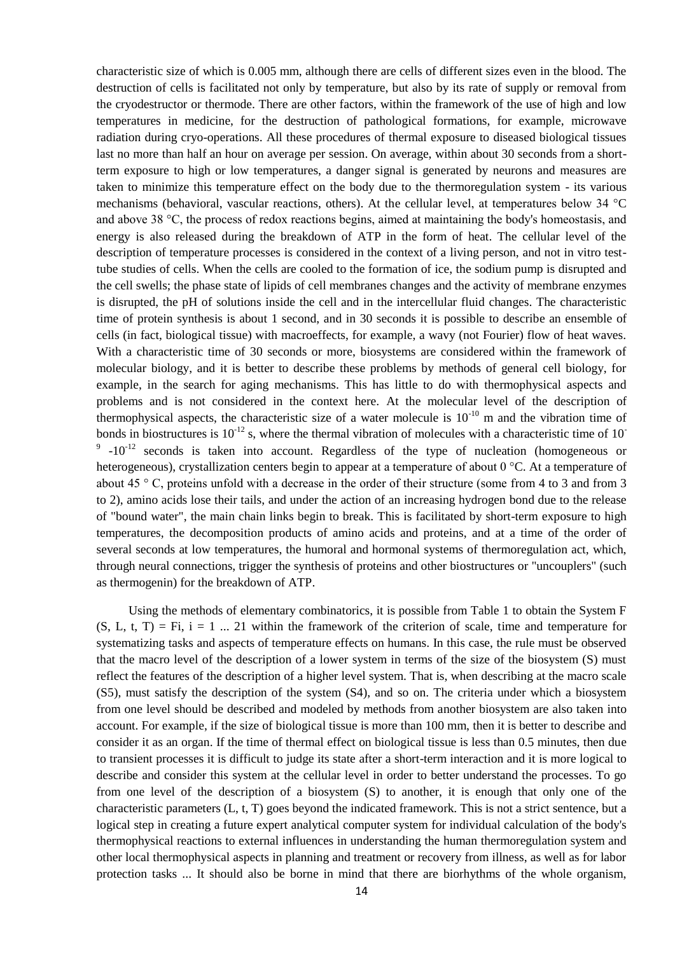characteristic size of which is 0.005 mm, although there are cells of different sizes even in the blood. The destruction of cells is facilitated not only by temperature, but also by its rate of supply or removal from the cryodestructor or thermode. There are other factors, within the framework of the use of high and low temperatures in medicine, for the destruction of pathological formations, for example, microwave radiation during cryo-operations. All these procedures of thermal exposure to diseased biological tissues last no more than half an hour on average per session. On average, within about 30 seconds from a shortterm exposure to high or low temperatures, a danger signal is generated by neurons and measures are taken to minimize this temperature effect on the body due to the thermoregulation system - its various mechanisms (behavioral, vascular reactions, others). At the cellular level, at temperatures below 34 °C and above 38 °C, the process of redox reactions begins, aimed at maintaining the body's homeostasis, and energy is also released during the breakdown of ATP in the form of heat. The cellular level of the description of temperature processes is considered in the context of a living person, and not in vitro testtube studies of cells. When the cells are cooled to the formation of ice, the sodium pump is disrupted and the cell swells; the phase state of lipids of cell membranes changes and the activity of membrane enzymes is disrupted, the pH of solutions inside the cell and in the intercellular fluid changes. The characteristic time of protein synthesis is about 1 second, and in 30 seconds it is possible to describe an ensemble of cells (in fact, biological tissue) with macroeffects, for example, a wavy (not Fourier) flow of heat waves. With a characteristic time of 30 seconds or more, biosystems are considered within the framework of molecular biology, and it is better to describe these problems by methods of general cell biology, for example, in the search for aging mechanisms. This has little to do with thermophysical aspects and problems and is not considered in the context here. At the molecular level of the description of thermophysical aspects, the characteristic size of a water molecule is  $10^{-10}$  m and the vibration time of bonds in biostructures is  $10^{-12}$  s, where the thermal vibration of molecules with a characteristic time of  $10^{-12}$  $9 -10^{-12}$  seconds is taken into account. Regardless of the type of nucleation (homogeneous or heterogeneous), crystallization centers begin to appear at a temperature of about 0 °C. At a temperature of about 45 ° C, proteins unfold with a decrease in the order of their structure (some from 4 to 3 and from 3 to 2), amino acids lose their tails, and under the action of an increasing hydrogen bond due to the release of "bound water", the main chain links begin to break. This is facilitated by short-term exposure to high temperatures, the decomposition products of amino acids and proteins, and at a time of the order of several seconds at low temperatures, the humoral and hormonal systems of thermoregulation act, which, through neural connections, trigger the synthesis of proteins and other biostructures or "uncouplers" (such as thermogenin) for the breakdown of ATP.

Using the methods of elementary combinatorics, it is possible from Table 1 to obtain the System F  $(S, L, t, T) = Fi$ ,  $i = 1 ... 21$  within the framework of the criterion of scale, time and temperature for systematizing tasks and aspects of temperature effects on humans. In this case, the rule must be observed that the macro level of the description of a lower system in terms of the size of the biosystem (S) must reflect the features of the description of a higher level system. That is, when describing at the macro scale (S5), must satisfy the description of the system (S4), and so on. The criteria under which a biosystem from one level should be described and modeled by methods from another biosystem are also taken into account. For example, if the size of biological tissue is more than 100 mm, then it is better to describe and consider it as an organ. If the time of thermal effect on biological tissue is less than 0.5 minutes, then due to transient processes it is difficult to judge its state after a short-term interaction and it is more logical to describe and consider this system at the cellular level in order to better understand the processes. To go from one level of the description of a biosystem (S) to another, it is enough that only one of the characteristic parameters (L, t, T) goes beyond the indicated framework. This is not a strict sentence, but a logical step in creating a future expert analytical computer system for individual calculation of the body's thermophysical reactions to external influences in understanding the human thermoregulation system and other local thermophysical aspects in planning and treatment or recovery from illness, as well as for labor protection tasks ... It should also be borne in mind that there are biorhythms of the whole organism,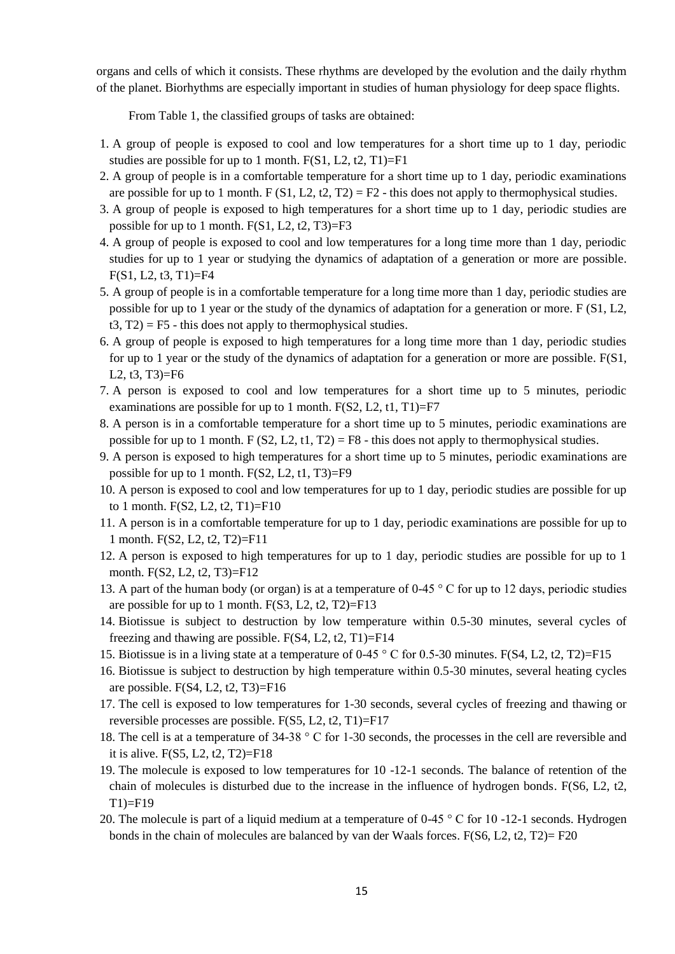organs and cells of which it consists. These rhythms are developed by the evolution and the daily rhythm of the planet. Biorhythms are especially important in studies of human physiology for deep space flights.

From Table 1, the classified groups of tasks are obtained:

- 1. A group of people is exposed to cool and low temperatures for a short time up to 1 day, periodic studies are possible for up to 1 month.  $F(S1, L2, t2, T1)=F1$
- 2. A group of people is in a comfortable temperature for a short time up to 1 day, periodic examinations are possible for up to 1 month. F (S1, L2, t2, T2) = F2 - this does not apply to thermophysical studies.
- 3. A group of people is exposed to high temperatures for a short time up to 1 day, periodic studies are possible for up to 1 month.  $F(S1, L2, t2, T3)=F3$
- 4. A group of people is exposed to cool and low temperatures for a long time more than 1 day, periodic studies for up to 1 year or studying the dynamics of adaptation of a generation or more are possible.  $F(S1, L2, t3, T1)=F4$
- 5. A group of people is in a comfortable temperature for a long time more than 1 day, periodic studies are possible for up to 1 year or the study of the dynamics of adaptation for a generation or more. F (S1, L2,  $t3, T2$  = F5 - this does not apply to thermophysical studies.
- 6. A group of people is exposed to high temperatures for a long time more than 1 day, periodic studies for up to 1 year or the study of the dynamics of adaptation for a generation or more are possible. F(S1, L2, t3, T3)=F6
- 7. A person is exposed to cool and low temperatures for a short time up to 5 minutes, periodic examinations are possible for up to 1 month.  $F(S2, L2, t1, T1)=F7$
- 8. A person is in a comfortable temperature for a short time up to 5 minutes, periodic examinations are possible for up to 1 month.  $F(S2, L2, t1, T2) = F8$  - this does not apply to thermophysical studies.
- 9. A person is exposed to high temperatures for a short time up to 5 minutes, periodic examinations are possible for up to 1 month.  $F(S2, L2, t1, T3)=F9$
- 10. A person is exposed to cool and low temperatures for up to 1 day, periodic studies are possible for up to 1 month. F(S2, L2, t2, T1)=F10
- 11. A person is in a comfortable temperature for up to 1 day, periodic examinations are possible for up to 1 month. F(S2, L2, t2, T2)=F11
- 12. A person is exposed to high temperatures for up to 1 day, periodic studies are possible for up to 1 month. F(S2, L2, t2, T3)=F12
- 13. A part of the human body (or organ) is at a temperature of 0-45 ° C for up to 12 days, periodic studies are possible for up to 1 month.  $F(S3, L2, t2, T2)=F13$
- 14. Biotissue is subject to destruction by low temperature within 0.5-30 minutes, several cycles of freezing and thawing are possible.  $F(S4, L2, t2, T1)=F14$
- 15. Biotissue is in a living state at a temperature of 0-45 ° C for 0.5-30 minutes. F(S4, L2, t2, T2)=F15
- 16. Biotissue is subject to destruction by high temperature within 0.5-30 minutes, several heating cycles are possible. F(S4, L2, t2, T3)=F16
- 17. The cell is exposed to low temperatures for 1-30 seconds, several cycles of freezing and thawing or reversible processes are possible. F(S5, L2, t2, T1)=F17
- 18. The cell is at a temperature of 34-38 ° C for 1-30 seconds, the processes in the cell are reversible and it is alive.  $F(S5, L2, t2, T2)=F18$
- 19. The molecule is exposed to low temperatures for 10 -12-1 seconds. The balance of retention of the chain of molecules is disturbed due to the increase in the influence of hydrogen bonds. F(S6, L2, t2,  $T1$ )=F19
- 20. The molecule is part of a liquid medium at a temperature of 0-45 ° C for 10 -12-1 seconds. Hydrogen bonds in the chain of molecules are balanced by van der Waals forces. F(S6, L2, t2, T2)= F20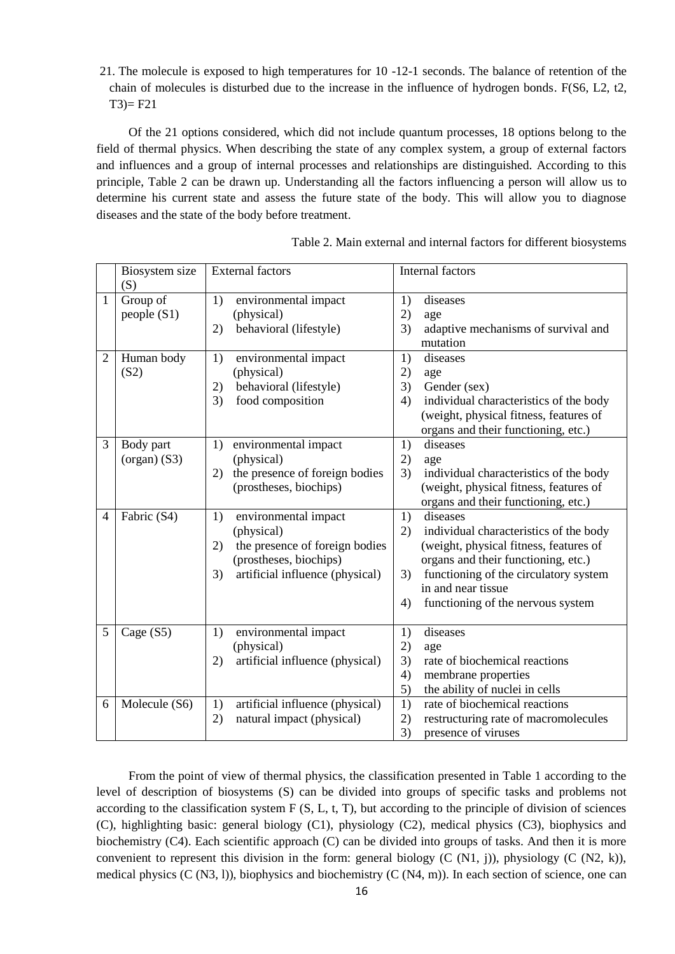21. The molecule is exposed to high temperatures for 10 -12-1 seconds. The balance of retention of the chain of molecules is disturbed due to the increase in the influence of hydrogen bonds. F(S6, L2, t2,  $T3 = F21$ 

Of the 21 options considered, which did not include quantum processes, 18 options belong to the field of thermal physics. When describing the state of any complex system, a group of external factors and influences and a group of internal processes and relationships are distinguished. According to this principle, Table 2 can be drawn up. Understanding all the factors influencing a person will allow us to determine his current state and assess the future state of the body. This will allow you to diagnose diseases and the state of the body before treatment.

|                | Biosystem size | <b>External factors</b>               | Internal factors                             |  |  |
|----------------|----------------|---------------------------------------|----------------------------------------------|--|--|
|                | (S)            |                                       |                                              |  |  |
| $\mathbf{1}$   | Group of       | 1)<br>environmental impact            | 1)<br>diseases                               |  |  |
|                | people (S1)    | (physical)                            | 2)<br>age                                    |  |  |
|                |                | behavioral (lifestyle)<br>2)          | adaptive mechanisms of survival and<br>3)    |  |  |
|                |                |                                       | mutation                                     |  |  |
| $\overline{2}$ | Human body     | 1)<br>environmental impact            | 1)<br>diseases                               |  |  |
|                | (S2)           | (physical)                            | 2)<br>age                                    |  |  |
|                |                | behavioral (lifestyle)<br>2)          | Gender (sex)<br>3)                           |  |  |
|                |                | 3)<br>food composition                | individual characteristics of the body<br>4) |  |  |
|                |                |                                       | (weight, physical fitness, features of       |  |  |
|                |                |                                       | organs and their functioning, etc.)          |  |  |
| 3              | Body part      | environmental impact<br>1)            | diseases<br>1)                               |  |  |
|                | $(organ)$ (S3) | (physical)                            | 2)<br>age                                    |  |  |
|                |                | the presence of foreign bodies<br>2)  | 3)<br>individual characteristics of the body |  |  |
|                |                | (prostheses, biochips)                | (weight, physical fitness, features of       |  |  |
|                |                |                                       | organs and their functioning, etc.)          |  |  |
| 4              | Fabric (S4)    | 1)<br>environmental impact            | 1)<br>diseases                               |  |  |
|                |                | (physical)                            | 2)<br>individual characteristics of the body |  |  |
|                |                | the presence of foreign bodies<br>2)  | (weight, physical fitness, features of       |  |  |
|                |                | (prostheses, biochips)                | organs and their functioning, etc.)          |  |  |
|                |                | artificial influence (physical)<br>3) | functioning of the circulatory system<br>3)  |  |  |
|                |                |                                       | in and near tissue                           |  |  |
|                |                |                                       | functioning of the nervous system<br>4)      |  |  |
|                |                |                                       |                                              |  |  |
| 5              | Cage $(S5)$    | environmental impact<br>1)            | diseases<br>1)                               |  |  |
|                |                | (physical)                            | 2)<br>age                                    |  |  |
|                |                | artificial influence (physical)<br>2) | rate of biochemical reactions<br>3)          |  |  |
|                |                |                                       | 4)<br>membrane properties                    |  |  |
|                |                |                                       | the ability of nuclei in cells<br>5)         |  |  |
| 6              | Molecule (S6)  | artificial influence (physical)<br>1) | rate of biochemical reactions<br>1)          |  |  |
|                |                | 2)<br>natural impact (physical)       | 2)<br>restructuring rate of macromolecules   |  |  |
|                |                |                                       | 3)<br>presence of viruses                    |  |  |

Table 2. Main external and internal factors for different biosystems

From the point of view of thermal physics, the classification presented in Table 1 according to the level of description of biosystems (S) can be divided into groups of specific tasks and problems not according to the classification system  $F(S, L, t, T)$ , but according to the principle of division of sciences (C), highlighting basic: general biology (C1), physiology (C2), medical physics (C3), biophysics and biochemistry (C4). Each scientific approach (C) can be divided into groups of tasks. And then it is more convenient to represent this division in the form: general biology (C  $(N1, i)$ ), physiology (C  $(N2, k)$ ), medical physics (C (N3, 1)), biophysics and biochemistry (C (N4, m)). In each section of science, one can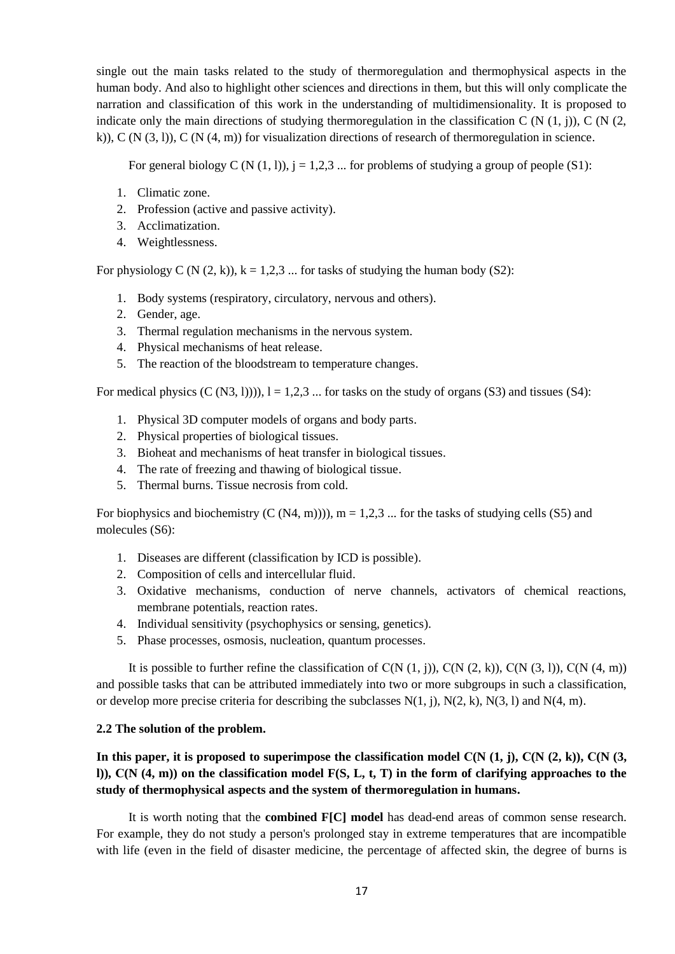single out the main tasks related to the study of thermoregulation and thermophysical aspects in the human body. And also to highlight other sciences and directions in them, but this will only complicate the narration and classification of this work in the understanding of multidimensionality. It is proposed to indicate only the main directions of studying thermoregulation in the classification C (N  $(1, j)$ ), C (N  $(2, j)$ k)), C (N  $(3, 1)$ ), C (N  $(4, m)$ ) for visualization directions of research of thermoregulation in science.

For general biology C (N  $(1, 1)$ ),  $j = 1,2,3$  ... for problems of studying a group of people (S1):

- 1. Climatic zone.
- 2. Profession (active and passive activity).
- 3. Acclimatization.
- 4. Weightlessness.

For physiology C (N  $(2, k)$ ),  $k = 1, 2, 3$  ... for tasks of studying the human body (S2):

- 1. Body systems (respiratory, circulatory, nervous and others).
- 2. Gender, age.
- 3. Thermal regulation mechanisms in the nervous system.
- 4. Physical mechanisms of heat release.
- 5. The reaction of the bloodstream to temperature changes.

For medical physics  $(C (N3, 1))$ ),  $l = 1,2,3$  ... for tasks on the study of organs (S3) and tissues (S4):

- 1. Physical 3D computer models of organs and body parts.
- 2. Physical properties of biological tissues.
- 3. Bioheat and mechanisms of heat transfer in biological tissues.
- 4. The rate of freezing and thawing of biological tissue.
- 5. Thermal burns. Tissue necrosis from cold.

For biophysics and biochemistry  $(C (N4, m)))$ ,  $m = 1,2,3...$  for the tasks of studying cells (S5) and molecules (S6):

- 1. Diseases are different (classification by ICD is possible).
- 2. Composition of cells and intercellular fluid.
- 3. Oxidative mechanisms, conduction of nerve channels, activators of chemical reactions, membrane potentials, reaction rates.
- 4. Individual sensitivity (psychophysics or sensing, genetics).
- 5. Phase processes, osmosis, nucleation, quantum processes.

It is possible to further refine the classification of  $C(N (1, i))$ ,  $C(N (2, k))$ ,  $C(N (3, 1))$ ,  $C(N (4, m))$ and possible tasks that can be attributed immediately into two or more subgroups in such a classification, or develop more precise criteria for describing the subclasses  $N(1, j)$ ,  $N(2, k)$ ,  $N(3, l)$  and  $N(4, m)$ .

### **2.2 The solution of the problem.**

# In this paper, it is proposed to superimpose the classification model  $C(N (1, j), C(N (2, k)), C(N (3, j))$ **l)), С(N (4, m)) on the classification model F(S, L, t, T) in the form of clarifying approaches to the study of thermophysical aspects and the system of thermoregulation in humans.**

It is worth noting that the **combined F[C] model** has dead-end areas of common sense research. For example, they do not study a person's prolonged stay in extreme temperatures that are incompatible with life (even in the field of disaster medicine, the percentage of affected skin, the degree of burns is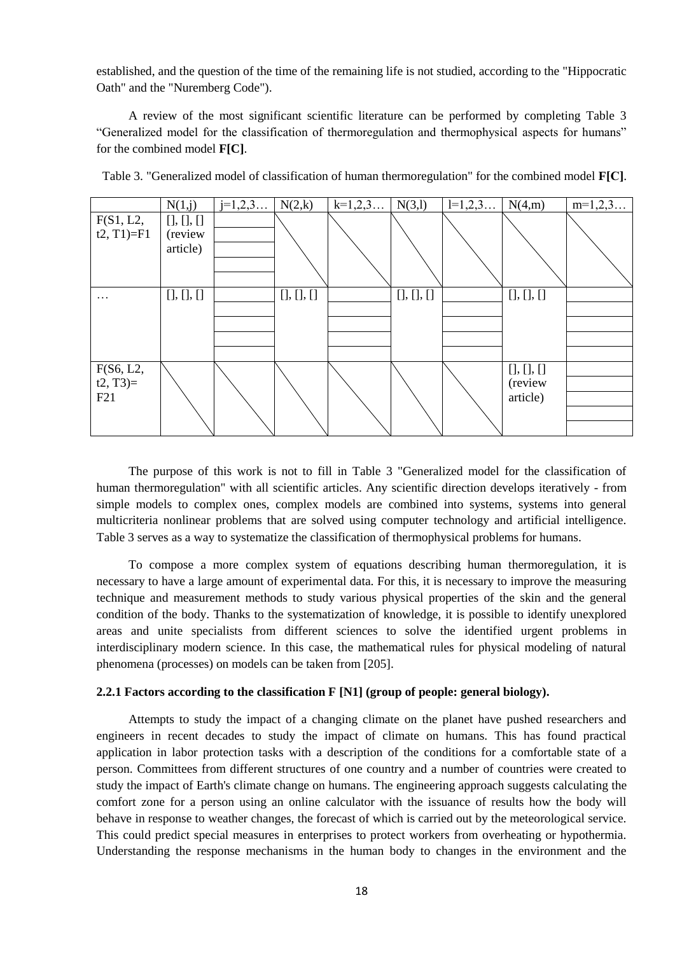established, and the question of the time of the remaining life is not studied, according to the "Hippocratic Oath" and the "Nuremberg Code").

A review of the most significant scientific literature can be performed by completing Table 3 ―Generalized model for the classification of thermoregulation and thermophysical aspects for humans‖ for the combined model **F[C]**.

|              | N(1,j)      | $j=1,2,3$ | N(2,k)      | $k=1,2,3$ | N(3,1)      | $1=1,2,3$ | N(4,m)             | $m=1,2,3$ |
|--------------|-------------|-----------|-------------|-----------|-------------|-----------|--------------------|-----------|
| F(S1, L2,    | [], [], []  |           |             |           |             |           |                    |           |
| $t2, T1)=F1$ | (review     |           |             |           |             |           |                    |           |
|              | article)    |           |             |           |             |           |                    |           |
|              |             |           |             |           |             |           |                    |           |
|              |             |           |             |           |             |           |                    |           |
| $\cdots$     | $[]$ , $[]$ |           | $[]$ , $[]$ |           | $[]$ , $[]$ |           | $[]$ , $[]$ , $[]$ |           |
|              |             |           |             |           |             |           |                    |           |
|              |             |           |             |           |             |           |                    |           |
|              |             |           |             |           |             |           |                    |           |
|              |             |           |             |           |             |           |                    |           |
| F(S6, L2,    |             |           |             |           |             |           | [], [], []         |           |
| $t2, T3=$    |             |           |             |           |             |           | (review            |           |
| F21          |             |           |             |           |             |           | article)           |           |
|              |             |           |             |           |             |           |                    |           |
|              |             |           |             |           |             |           |                    |           |

Table 3. "Generalized model of classification of human thermoregulation" for the combined model **F[С]**.

The purpose of this work is not to fill in Table 3 "Generalized model for the classification of human thermoregulation" with all scientific articles. Any scientific direction develops iteratively - from simple models to complex ones, complex models are combined into systems, systems into general multicriteria nonlinear problems that are solved using computer technology and artificial intelligence. Table 3 serves as a way to systematize the classification of thermophysical problems for humans.

To compose a more complex system of equations describing human thermoregulation, it is necessary to have a large amount of experimental data. For this, it is necessary to improve the measuring technique and measurement methods to study various physical properties of the skin and the general condition of the body. Thanks to the systematization of knowledge, it is possible to identify unexplored areas and unite specialists from different sciences to solve the identified urgent problems in interdisciplinary modern science. In this case, the mathematical rules for physical modeling of natural phenomena (processes) on models can be taken from [205].

# **2.2.1 Factors according to the classification F [N1] (group of people: general biology).**

Attempts to study the impact of a changing climate on the planet have pushed researchers and engineers in recent decades to study the impact of climate on humans. This has found practical application in labor protection tasks with a description of the conditions for a comfortable state of a person. Committees from different structures of one country and a number of countries were created to study the impact of Earth's climate change on humans. The engineering approach suggests calculating the comfort zone for a person using an online calculator with the issuance of results how the body will behave in response to weather changes, the forecast of which is carried out by the meteorological service. This could predict special measures in enterprises to protect workers from overheating or hypothermia. Understanding the response mechanisms in the human body to changes in the environment and the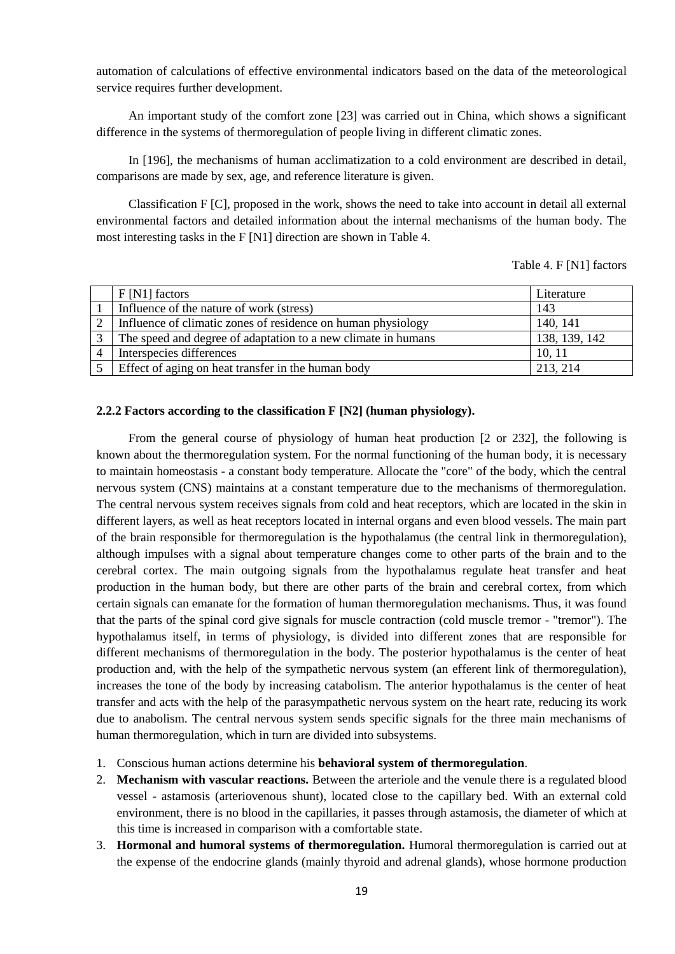automation of calculations of effective environmental indicators based on the data of the meteorological service requires further development.

An important study of the comfort zone [23] was carried out in China, which shows a significant difference in the systems of thermoregulation of people living in different climatic zones.

In [196], the mechanisms of human acclimatization to a cold environment are described in detail, comparisons are made by sex, age, and reference literature is given.

Classification F [C], proposed in the work, shows the need to take into account in detail all external environmental factors and detailed information about the internal mechanisms of the human body. The most interesting tasks in the F [N1] direction are shown in Table 4.

Table 4. F [N1] factors

|                   | $F[N1]$ factors                                               | Literature    |
|-------------------|---------------------------------------------------------------|---------------|
|                   | Influence of the nature of work (stress)                      | 143           |
|                   | Influence of climatic zones of residence on human physiology  | 140, 141      |
| $\mathbf{\Omega}$ | The speed and degree of adaptation to a new climate in humans | 138, 139, 142 |
| $\overline{4}$    | Interspecies differences                                      | 10, 11        |
|                   | Effect of aging on heat transfer in the human body            | 213, 214      |

### **2.2.2 Factors according to the classification F [N2] (human physiology).**

From the general course of physiology of human heat production [2 or 232], the following is known about the thermoregulation system. For the normal functioning of the human body, it is necessary to maintain homeostasis - a constant body temperature. Allocate the "core" of the body, which the central nervous system (CNS) maintains at a constant temperature due to the mechanisms of thermoregulation. The central nervous system receives signals from cold and heat receptors, which are located in the skin in different layers, as well as heat receptors located in internal organs and even blood vessels. The main part of the brain responsible for thermoregulation is the hypothalamus (the central link in thermoregulation), although impulses with a signal about temperature changes come to other parts of the brain and to the cerebral cortex. The main outgoing signals from the hypothalamus regulate heat transfer and heat production in the human body, but there are other parts of the brain and cerebral cortex, from which certain signals can emanate for the formation of human thermoregulation mechanisms. Thus, it was found that the parts of the spinal cord give signals for muscle contraction (cold muscle tremor - "tremor"). The hypothalamus itself, in terms of physiology, is divided into different zones that are responsible for different mechanisms of thermoregulation in the body. The posterior hypothalamus is the center of heat production and, with the help of the sympathetic nervous system (an efferent link of thermoregulation), increases the tone of the body by increasing catabolism. The anterior hypothalamus is the center of heat transfer and acts with the help of the parasympathetic nervous system on the heart rate, reducing its work due to anabolism. The central nervous system sends specific signals for the three main mechanisms of human thermoregulation, which in turn are divided into subsystems.

- 1. Conscious human actions determine his **behavioral system of thermoregulation**.
- 2. **Mechanism with vascular reactions.** Between the arteriole and the venule there is a regulated blood vessel - astamosis (arteriovenous shunt), located close to the capillary bed. With an external cold environment, there is no blood in the capillaries, it passes through astamosis, the diameter of which at this time is increased in comparison with a comfortable state.
- 3. **Hormonal and humoral systems of thermoregulation.** Humoral thermoregulation is carried out at the expense of the endocrine glands (mainly thyroid and adrenal glands), whose hormone production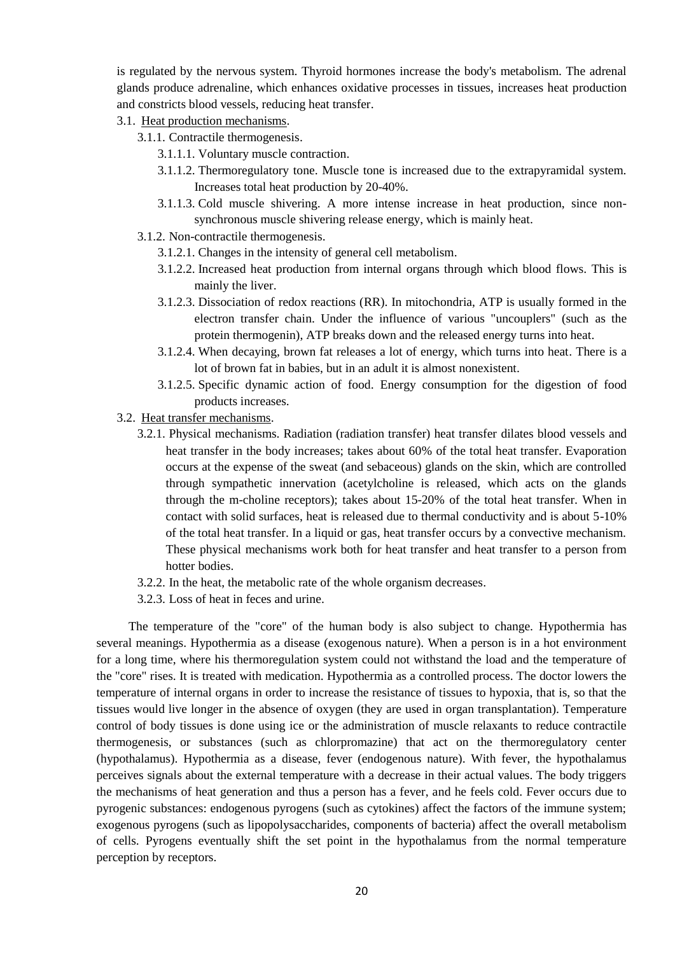is regulated by the nervous system. Thyroid hormones increase the body's metabolism. The adrenal glands produce adrenaline, which enhances oxidative processes in tissues, increases heat production and constricts blood vessels, reducing heat transfer.

### 3.1. Heat production mechanisms.

- 3.1.1. Contractile thermogenesis.
	- 3.1.1.1. Voluntary muscle contraction.
	- 3.1.1.2. Thermoregulatory tone. Muscle tone is increased due to the extrapyramidal system. Increases total heat production by 20-40%.
	- 3.1.1.3. Cold muscle shivering. A more intense increase in heat production, since nonsynchronous muscle shivering release energy, which is mainly heat.
- 3.1.2. Non-contractile thermogenesis.
	- 3.1.2.1. Changes in the intensity of general cell metabolism.
	- 3.1.2.2. Increased heat production from internal organs through which blood flows. This is mainly the liver.
	- 3.1.2.3. Dissociation of redox reactions (RR). In mitochondria, ATP is usually formed in the electron transfer chain. Under the influence of various "uncouplers" (such as the protein thermogenin), ATP breaks down and the released energy turns into heat.
	- 3.1.2.4. When decaying, brown fat releases a lot of energy, which turns into heat. There is a lot of brown fat in babies, but in an adult it is almost nonexistent.
	- 3.1.2.5. Specific dynamic action of food. Energy consumption for the digestion of food products increases.
- 3.2. Heat transfer mechanisms.
	- 3.2.1. Physical mechanisms. Radiation (radiation transfer) heat transfer dilates blood vessels and heat transfer in the body increases; takes about 60% of the total heat transfer. Evaporation occurs at the expense of the sweat (and sebaceous) glands on the skin, which are controlled through sympathetic innervation (acetylcholine is released, which acts on the glands through the m-choline receptors); takes about 15-20% of the total heat transfer. When in contact with solid surfaces, heat is released due to thermal conductivity and is about 5-10% of the total heat transfer. In a liquid or gas, heat transfer occurs by a convective mechanism. These physical mechanisms work both for heat transfer and heat transfer to a person from hotter bodies.
	- 3.2.2. In the heat, the metabolic rate of the whole organism decreases.
	- 3.2.3. Loss of heat in feces and urine.

The temperature of the "core" of the human body is also subject to change. Hypothermia has several meanings. Hypothermia as a disease (exogenous nature). When a person is in a hot environment for a long time, where his thermoregulation system could not withstand the load and the temperature of the "core" rises. It is treated with medication. Hypothermia as a controlled process. The doctor lowers the temperature of internal organs in order to increase the resistance of tissues to hypoxia, that is, so that the tissues would live longer in the absence of oxygen (they are used in organ transplantation). Temperature control of body tissues is done using ice or the administration of muscle relaxants to reduce contractile thermogenesis, or substances (such as chlorpromazine) that act on the thermoregulatory center (hypothalamus). Hypothermia as a disease, fever (endogenous nature). With fever, the hypothalamus perceives signals about the external temperature with a decrease in their actual values. The body triggers the mechanisms of heat generation and thus a person has a fever, and he feels cold. Fever occurs due to pyrogenic substances: endogenous pyrogens (such as cytokines) affect the factors of the immune system; exogenous pyrogens (such as lipopolysaccharides, components of bacteria) affect the overall metabolism of cells. Pyrogens eventually shift the set point in the hypothalamus from the normal temperature perception by receptors.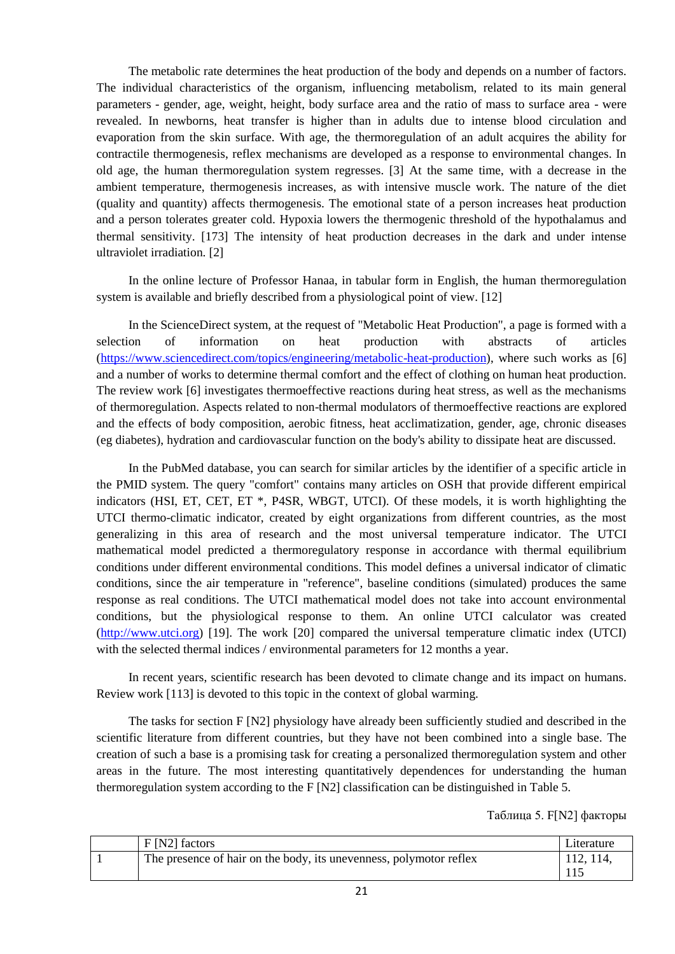The metabolic rate determines the heat production of the body and depends on a number of factors. The individual characteristics of the organism, influencing metabolism, related to its main general parameters - gender, age, weight, height, body surface area and the ratio of mass to surface area - were revealed. In newborns, heat transfer is higher than in adults due to intense blood circulation and evaporation from the skin surface. With age, the thermoregulation of an adult acquires the ability for contractile thermogenesis, reflex mechanisms are developed as a response to environmental changes. In old age, the human thermoregulation system regresses. [3] At the same time, with a decrease in the ambient temperature, thermogenesis increases, as with intensive muscle work. The nature of the diet (quality and quantity) affects thermogenesis. The emotional state of a person increases heat production and a person tolerates greater cold. Hypoxia lowers the thermogenic threshold of the hypothalamus and thermal sensitivity. [173] The intensity of heat production decreases in the dark and under intense ultraviolet irradiation. [2]

In the online lecture of Professor Hanaa, in tabular form in English, the human thermoregulation system is available and briefly described from a physiological point of view. [12]

In the ScienceDirect system, at the request of "Metabolic Heat Production", a page is formed with a selection of information on heat production with abstracts of articles [\(https://www.sciencedirect.com/topics/engineering/metabolic-heat-production\)](https://www.sciencedirect.com/topics/engineering/metabolic-heat-production), where such works as [6] and a number of works to determine thermal comfort and the effect of clothing on human heat production. The review work [6] investigates thermoeffective reactions during heat stress, as well as the mechanisms of thermoregulation. Aspects related to non-thermal modulators of thermoeffective reactions are explored and the effects of body composition, aerobic fitness, heat acclimatization, gender, age, chronic diseases (eg diabetes), hydration and cardiovascular function on the body's ability to dissipate heat are discussed.

In the PubMed database, you can search for similar articles by the identifier of a specific article in the PMID system. The query "comfort" contains many articles on OSH that provide different empirical indicators (HSI, ET, CET, ET \*, P4SR, WBGT, UTCI). Of these models, it is worth highlighting the UTCI thermo-climatic indicator, created by eight organizations from different countries, as the most generalizing in this area of research and the most universal temperature indicator. The UTCI mathematical model predicted a thermoregulatory response in accordance with thermal equilibrium conditions under different environmental conditions. This model defines a universal indicator of climatic conditions, since the air temperature in "reference", baseline conditions (simulated) produces the same response as real conditions. The UTCI mathematical model does not take into account environmental conditions, but the physiological response to them. An online UTCI calculator was created [\(http://www.utci.org\)](http://www.utci.org/) [19]. The work [20] compared the universal temperature climatic index (UTCI) with the selected thermal indices / environmental parameters for 12 months a year.

In recent years, scientific research has been devoted to climate change and its impact on humans. Review work [113] is devoted to this topic in the context of global warming.

The tasks for section F [N2] physiology have already been sufficiently studied and described in the scientific literature from different countries, but they have not been combined into a single base. The creation of such a base is a promising task for creating a personalized thermoregulation system and other areas in the future. The most interesting quantitatively dependences for understanding the human thermoregulation system according to the F [N2] classification can be distinguished in Table 5.

Таблица 5. F[N2] факторы

| $F[N2]$ factors                                                    | Literature |
|--------------------------------------------------------------------|------------|
| The presence of hair on the body, its unevenness, polymotor reflex | 112, 114,  |
|                                                                    |            |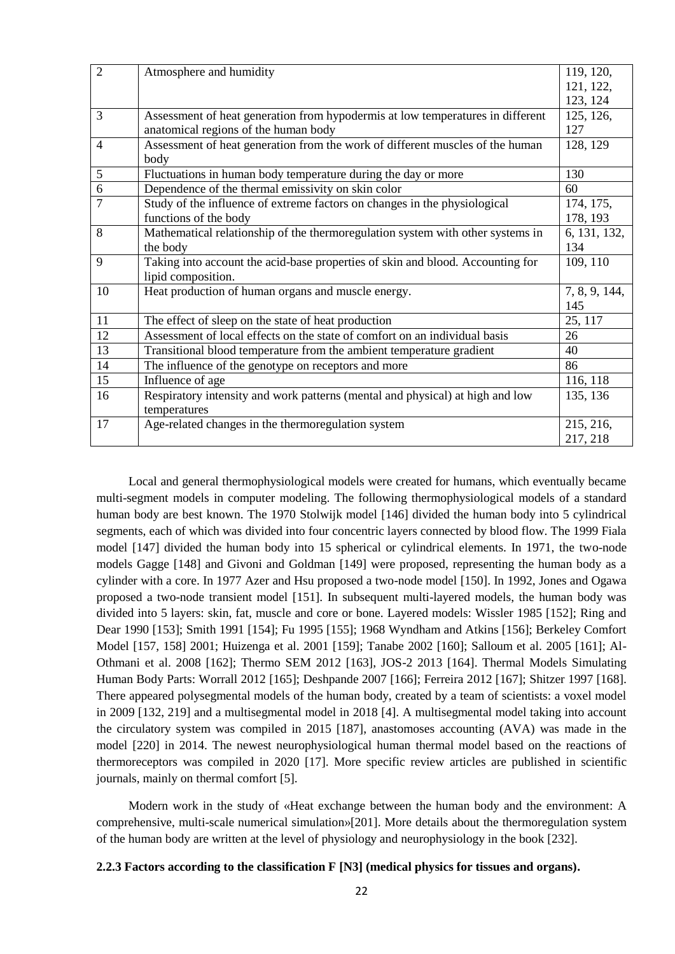| $\overline{2}$ | Atmosphere and humidity                                                        | 119, 120,     |
|----------------|--------------------------------------------------------------------------------|---------------|
|                |                                                                                | 121, 122,     |
|                |                                                                                | 123, 124      |
| 3              | Assessment of heat generation from hypodermis at low temperatures in different | 125, 126,     |
|                | anatomical regions of the human body                                           | 127           |
| $\overline{4}$ | Assessment of heat generation from the work of different muscles of the human  | 128, 129      |
|                | body                                                                           |               |
| 5              | Fluctuations in human body temperature during the day or more                  | 130           |
| 6              | Dependence of the thermal emissivity on skin color                             | 60            |
| 7              | Study of the influence of extreme factors on changes in the physiological      | 174, 175,     |
|                | functions of the body                                                          | 178, 193      |
| 8              | Mathematical relationship of the thermoregulation system with other systems in | 6, 131, 132,  |
|                | the body                                                                       | 134           |
| 9              | Taking into account the acid-base properties of skin and blood. Accounting for | 109, 110      |
|                | lipid composition.                                                             |               |
| 10             | Heat production of human organs and muscle energy.                             | 7, 8, 9, 144, |
|                |                                                                                | 145           |
| 11             | The effect of sleep on the state of heat production                            | 25, 117       |
| 12             | Assessment of local effects on the state of comfort on an individual basis     | 26            |
| 13             | Transitional blood temperature from the ambient temperature gradient           | 40            |
| 14             | The influence of the genotype on receptors and more                            | 86            |
| 15             | Influence of age                                                               | 116, 118      |
| 16             | Respiratory intensity and work patterns (mental and physical) at high and low  | 135, 136      |
|                | temperatures                                                                   |               |
| 17             | Age-related changes in the thermoregulation system                             | 215, 216,     |
|                |                                                                                | 217, 218      |

Local and general thermophysiological models were created for humans, which eventually became multi-segment models in computer modeling. The following thermophysiological models of a standard human body are best known. The 1970 Stolwijk model [146] divided the human body into 5 cylindrical segments, each of which was divided into four concentric layers connected by blood flow. The 1999 Fiala model [147] divided the human body into 15 spherical or cylindrical elements. In 1971, the two-node models Gagge [148] and Givoni and Goldman [149] were proposed, representing the human body as a cylinder with a core. In 1977 Azer and Hsu proposed a two-node model [150]. In 1992, Jones and Ogawa proposed a two-node transient model [151]. In subsequent multi-layered models, the human body was divided into 5 layers: skin, fat, muscle and core or bone. Layered models: Wissler 1985 [152]; Ring and Dear 1990 [153]; Smith 1991 [154]; Fu 1995 [155]; 1968 Wyndham and Atkins [156]; Berkeley Comfort Model [157, 158] 2001; Huizenga et al. 2001 [159]; Tanabe 2002 [160]; Salloum et al. 2005 [161]; Al-Othmani et al. 2008 [162]; Thermo SEM 2012 [163], JOS-2 2013 [164]. Thermal Models Simulating Human Body Parts: Worrall 2012 [165]; Deshpande 2007 [166]; Ferreira 2012 [167]; Shitzer 1997 [168]. There appeared polysegmental models of the human body, created by a team of scientists: a voxel model in 2009 [132, 219] and a multisegmental model in 2018 [4]. A multisegmental model taking into account the circulatory system was compiled in 2015 [187], anastomoses accounting (AVA) was made in the model [220] in 2014. The newest neurophysiological human thermal model based on the reactions of thermoreceptors was compiled in 2020 [17]. More specific review articles are published in scientific journals, mainly on thermal comfort [5].

Modern work in the study of «Heat exchange between the human body and the environment: A comprehensive, multi-scale numerical simulation»[201]. More details about the thermoregulation system of the human body are written at the level of physiology and neurophysiology in the book [232].

### **2.2.3 Factors according to the classification F [N3] (medical physics for tissues and organs).**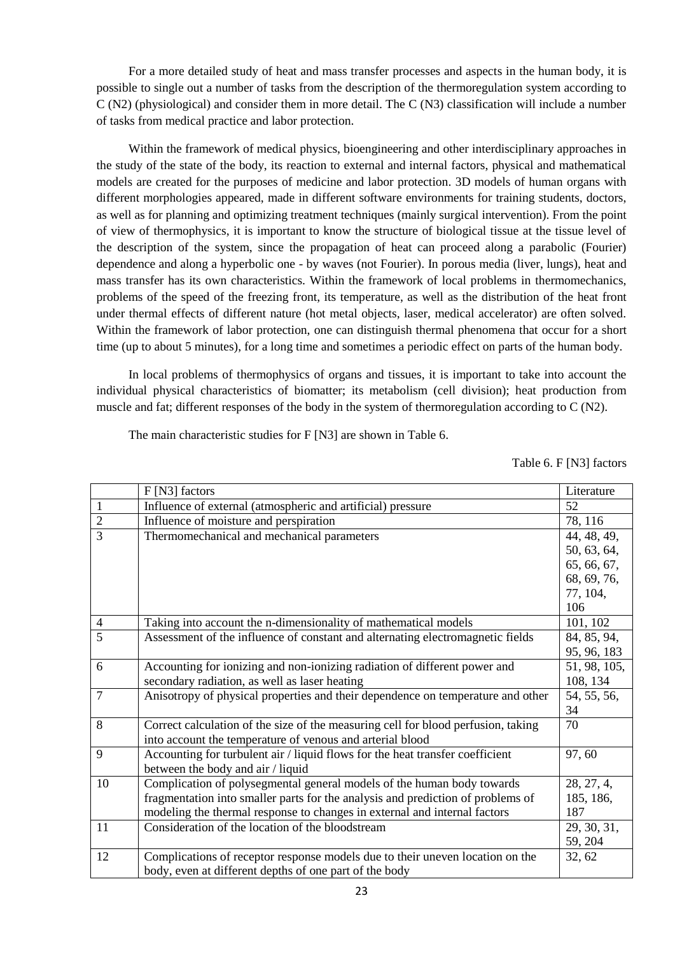For a more detailed study of heat and mass transfer processes and aspects in the human body, it is possible to single out a number of tasks from the description of the thermoregulation system according to C (N2) (physiological) and consider them in more detail. The C (N3) classification will include a number of tasks from medical practice and labor protection.

Within the framework of medical physics, bioengineering and other interdisciplinary approaches in the study of the state of the body, its reaction to external and internal factors, physical and mathematical models are created for the purposes of medicine and labor protection. 3D models of human organs with different morphologies appeared, made in different software environments for training students, doctors, as well as for planning and optimizing treatment techniques (mainly surgical intervention). From the point of view of thermophysics, it is important to know the structure of biological tissue at the tissue level of the description of the system, since the propagation of heat can proceed along a parabolic (Fourier) dependence and along a hyperbolic one - by waves (not Fourier). In porous media (liver, lungs), heat and mass transfer has its own characteristics. Within the framework of local problems in thermomechanics, problems of the speed of the freezing front, its temperature, as well as the distribution of the heat front under thermal effects of different nature (hot metal objects, laser, medical accelerator) are often solved. Within the framework of labor protection, one can distinguish thermal phenomena that occur for a short time (up to about 5 minutes), for a long time and sometimes a periodic effect on parts of the human body.

In local problems of thermophysics of organs and tissues, it is important to take into account the individual physical characteristics of biomatter; its metabolism (cell division); heat production from muscle and fat; different responses of the body in the system of thermoregulation according to C (N2).

The main characteristic studies for F [N3] are shown in Table 6.

Table 6. F [N3] factors

|                | F [N3] factors                                                                    | Literature   |
|----------------|-----------------------------------------------------------------------------------|--------------|
| $\mathbf{1}$   | Influence of external (atmospheric and artificial) pressure                       | 52           |
| $\overline{2}$ | Influence of moisture and perspiration                                            | 78, 116      |
| $\overline{3}$ | Thermomechanical and mechanical parameters                                        | 44, 48, 49,  |
|                |                                                                                   | 50, 63, 64,  |
|                |                                                                                   | 65, 66, 67,  |
|                |                                                                                   | 68, 69, 76,  |
|                |                                                                                   | 77, 104,     |
|                |                                                                                   | 106          |
| $\overline{4}$ | Taking into account the n-dimensionality of mathematical models                   | 101, 102     |
| 5              | Assessment of the influence of constant and alternating electromagnetic fields    | 84, 85, 94,  |
|                |                                                                                   | 95, 96, 183  |
| 6              | Accounting for ionizing and non-ionizing radiation of different power and         | 51, 98, 105, |
|                | secondary radiation, as well as laser heating                                     | 108, 134     |
| $\overline{7}$ | Anisotropy of physical properties and their dependence on temperature and other   | 54, 55, 56,  |
|                |                                                                                   | 34           |
| 8              | Correct calculation of the size of the measuring cell for blood perfusion, taking | 70           |
|                | into account the temperature of venous and arterial blood                         |              |
| 9              | Accounting for turbulent air / liquid flows for the heat transfer coefficient     | 97,60        |
|                | between the body and air / liquid                                                 |              |
| 10             | Complication of polysegmental general models of the human body towards            | 28, 27, 4,   |
|                | fragmentation into smaller parts for the analysis and prediction of problems of   | 185, 186,    |
|                | modeling the thermal response to changes in external and internal factors         | 187          |
| 11             | Consideration of the location of the bloodstream                                  | 29, 30, 31,  |
|                |                                                                                   | 59, 204      |
| 12             | Complications of receptor response models due to their uneven location on the     | 32, 62       |
|                | body, even at different depths of one part of the body                            |              |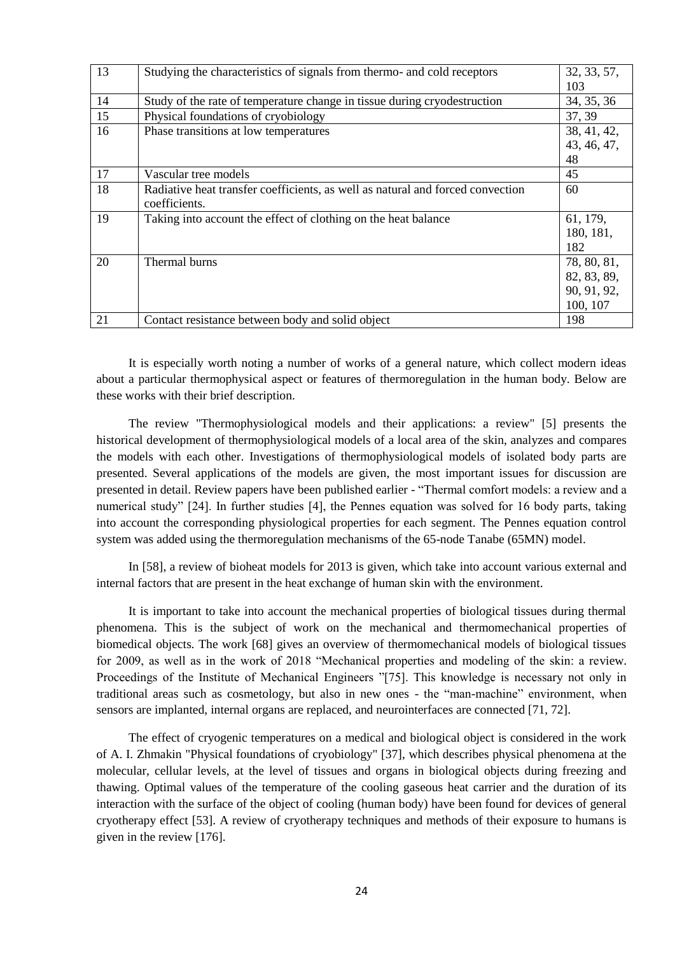| 13 | Studying the characteristics of signals from thermo- and cold receptors        | 32, 33, 57, |
|----|--------------------------------------------------------------------------------|-------------|
|    |                                                                                | 103         |
| 14 | Study of the rate of temperature change in tissue during cryodestruction       | 34, 35, 36  |
| 15 | Physical foundations of cryobiology                                            | 37, 39      |
| 16 | Phase transitions at low temperatures                                          | 38, 41, 42, |
|    |                                                                                | 43, 46, 47, |
|    |                                                                                | 48          |
| 17 | Vascular tree models                                                           | 45          |
| 18 | Radiative heat transfer coefficients, as well as natural and forced convection | 60          |
|    | coefficients.                                                                  |             |
| 19 | Taking into account the effect of clothing on the heat balance                 | 61, 179,    |
|    |                                                                                | 180, 181,   |
|    |                                                                                | 182         |
| 20 | Thermal burns                                                                  | 78, 80, 81, |
|    |                                                                                | 82, 83, 89, |
|    |                                                                                | 90, 91, 92, |
|    |                                                                                | 100, 107    |
| 21 | Contact resistance between body and solid object                               | 198         |

It is especially worth noting a number of works of a general nature, which collect modern ideas about a particular thermophysical aspect or features of thermoregulation in the human body. Below are these works with their brief description.

The review "Thermophysiological models and their applications: a review" [5] presents the historical development of thermophysiological models of a local area of the skin, analyzes and compares the models with each other. Investigations of thermophysiological models of isolated body parts are presented. Several applications of the models are given, the most important issues for discussion are presented in detail. Review papers have been published earlier - "Thermal comfort models: a review and a numerical study" [24]. In further studies [4], the Pennes equation was solved for 16 body parts, taking into account the corresponding physiological properties for each segment. The Pennes equation control system was added using the thermoregulation mechanisms of the 65-node Tanabe (65MN) model.

In [58], a review of bioheat models for 2013 is given, which take into account various external and internal factors that are present in the heat exchange of human skin with the environment.

It is important to take into account the mechanical properties of biological tissues during thermal phenomena. This is the subject of work on the mechanical and thermomechanical properties of biomedical objects. The work [68] gives an overview of thermomechanical models of biological tissues for 2009, as well as in the work of 2018 "Mechanical properties and modeling of the skin: a review. Proceedings of the Institute of Mechanical Engineers ‖[75]. This knowledge is necessary not only in traditional areas such as cosmetology, but also in new ones - the "man-machine" environment, when sensors are implanted, internal organs are replaced, and neurointerfaces are connected [71, 72].

The effect of cryogenic temperatures on a medical and biological object is considered in the work of A. I. Zhmakin "Physical foundations of cryobiology" [37], which describes physical phenomena at the molecular, cellular levels, at the level of tissues and organs in biological objects during freezing and thawing. Optimal values of the temperature of the cooling gaseous heat carrier and the duration of its interaction with the surface of the object of cooling (human body) have been found for devices of general cryotherapy effect [53]. A review of cryotherapy techniques and methods of their exposure to humans is given in the review [176].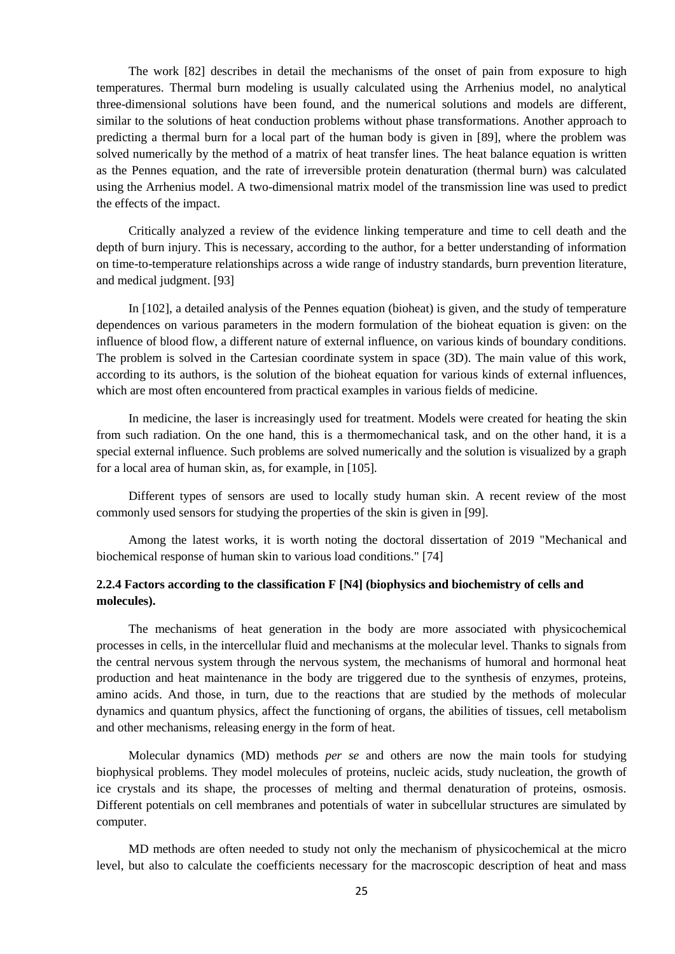The work [82] describes in detail the mechanisms of the onset of pain from exposure to high temperatures. Thermal burn modeling is usually calculated using the Arrhenius model, no analytical three-dimensional solutions have been found, and the numerical solutions and models are different, similar to the solutions of heat conduction problems without phase transformations. Another approach to predicting a thermal burn for a local part of the human body is given in [89], where the problem was solved numerically by the method of a matrix of heat transfer lines. The heat balance equation is written as the Pennes equation, and the rate of irreversible protein denaturation (thermal burn) was calculated using the Arrhenius model. A two-dimensional matrix model of the transmission line was used to predict the effects of the impact.

Critically analyzed a review of the evidence linking temperature and time to cell death and the depth of burn injury. This is necessary, according to the author, for a better understanding of information on time-to-temperature relationships across a wide range of industry standards, burn prevention literature, and medical judgment. [93]

In [102], a detailed analysis of the Pennes equation (bioheat) is given, and the study of temperature dependences on various parameters in the modern formulation of the bioheat equation is given: on the influence of blood flow, a different nature of external influence, on various kinds of boundary conditions. The problem is solved in the Cartesian coordinate system in space (3D). The main value of this work, according to its authors, is the solution of the bioheat equation for various kinds of external influences, which are most often encountered from practical examples in various fields of medicine.

In medicine, the laser is increasingly used for treatment. Models were created for heating the skin from such radiation. On the one hand, this is a thermomechanical task, and on the other hand, it is a special external influence. Such problems are solved numerically and the solution is visualized by a graph for a local area of human skin, as, for example, in [105].

Different types of sensors are used to locally study human skin. A recent review of the most commonly used sensors for studying the properties of the skin is given in [99].

Among the latest works, it is worth noting the doctoral dissertation of 2019 "Mechanical and biochemical response of human skin to various load conditions." [74]

### **2.2.4 Factors according to the classification F [N4] (biophysics and biochemistry of cells and molecules).**

The mechanisms of heat generation in the body are more associated with physicochemical processes in cells, in the intercellular fluid and mechanisms at the molecular level. Thanks to signals from the central nervous system through the nervous system, the mechanisms of humoral and hormonal heat production and heat maintenance in the body are triggered due to the synthesis of enzymes, proteins, amino acids. And those, in turn, due to the reactions that are studied by the methods of molecular dynamics and quantum physics, affect the functioning of organs, the abilities of tissues, cell metabolism and other mechanisms, releasing energy in the form of heat.

Molecular dynamics (MD) methods *per se* and others are now the main tools for studying biophysical problems. They model molecules of proteins, nucleic acids, study nucleation, the growth of ice crystals and its shape, the processes of melting and thermal denaturation of proteins, osmosis. Different potentials on cell membranes and potentials of water in subcellular structures are simulated by computer.

MD methods are often needed to study not only the mechanism of physicochemical at the micro level, but also to calculate the coefficients necessary for the macroscopic description of heat and mass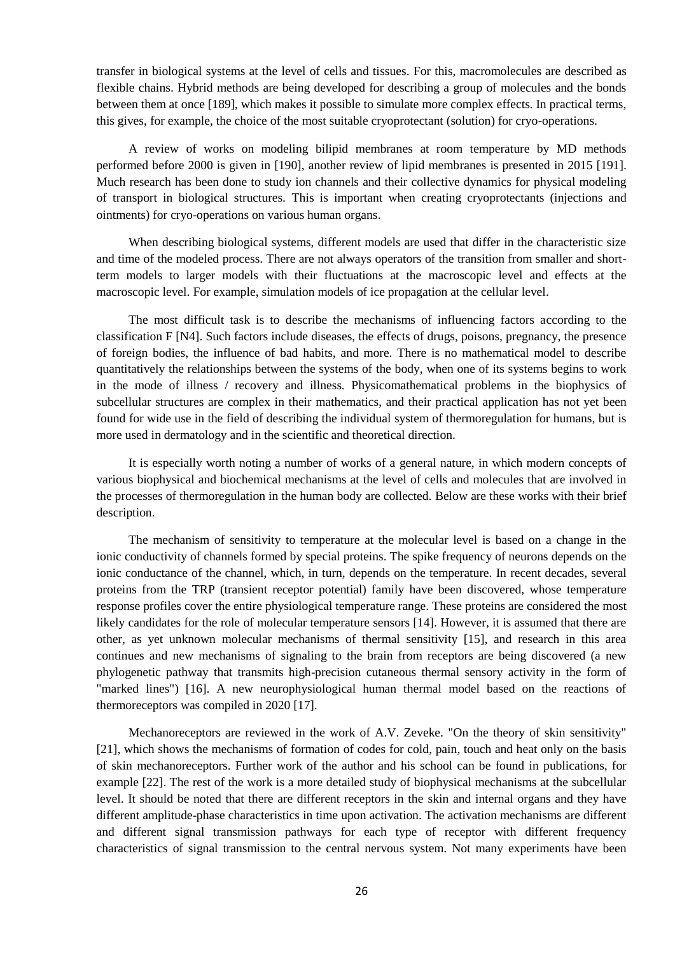transfer in biological systems at the level of cells and tissues. For this, macromolecules are described as flexible chains. Hybrid methods are being developed for describing a group of molecules and the bonds between them at once [189], which makes it possible to simulate more complex effects. In practical terms, this gives, for example, the choice of the most suitable cryoprotectant (solution) for cryo-operations.

A review of works on modeling bilipid membranes at room temperature by MD methods performed before 2000 is given in [190], another review of lipid membranes is presented in 2015 [191]. Much research has been done to study ion channels and their collective dynamics for physical modeling of transport in biological structures. This is important when creating cryoprotectants (injections and ointments) for cryo-operations on various human organs.

When describing biological systems, different models are used that differ in the characteristic size and time of the modeled process. There are not always operators of the transition from smaller and shortterm models to larger models with their fluctuations at the macroscopic level and effects at the macroscopic level. For example, simulation models of ice propagation at the cellular level.

The most difficult task is to describe the mechanisms of influencing factors according to the classification F [N4]. Such factors include diseases, the effects of drugs, poisons, pregnancy, the presence of foreign bodies, the influence of bad habits, and more. There is no mathematical model to describe quantitatively the relationships between the systems of the body, when one of its systems begins to work in the mode of illness / recovery and illness. Physicomathematical problems in the biophysics of subcellular structures are complex in their mathematics, and their practical application has not yet been found for wide use in the field of describing the individual system of thermoregulation for humans, but is more used in dermatology and in the scientific and theoretical direction.

It is especially worth noting a number of works of a general nature, in which modern concepts of various biophysical and biochemical mechanisms at the level of cells and molecules that are involved in the processes of thermoregulation in the human body are collected. Below are these works with their brief description.

The mechanism of sensitivity to temperature at the molecular level is based on a change in the ionic conductivity of channels formed by special proteins. The spike frequency of neurons depends on the ionic conductance of the channel, which, in turn, depends on the temperature. In recent decades, several proteins from the TRP (transient receptor potential) family have been discovered, whose temperature response profiles cover the entire physiological temperature range. These proteins are considered the most likely candidates for the role of molecular temperature sensors [14]. However, it is assumed that there are other, as yet unknown molecular mechanisms of thermal sensitivity [15], and research in this area continues and new mechanisms of signaling to the brain from receptors are being discovered (a new phylogenetic pathway that transmits high-precision cutaneous thermal sensory activity in the form of "marked lines") [16]. A new neurophysiological human thermal model based on the reactions of thermoreceptors was compiled in 2020 [17].

Mechanoreceptors are reviewed in the work of A.V. Zeveke. "On the theory of skin sensitivity" [21], which shows the mechanisms of formation of codes for cold, pain, touch and heat only on the basis of skin mechanoreceptors. Further work of the author and his school can be found in publications, for example [22]. The rest of the work is a more detailed study of biophysical mechanisms at the subcellular level. It should be noted that there are different receptors in the skin and internal organs and they have different amplitude-phase characteristics in time upon activation. The activation mechanisms are different and different signal transmission pathways for each type of receptor with different frequency characteristics of signal transmission to the central nervous system. Not many experiments have been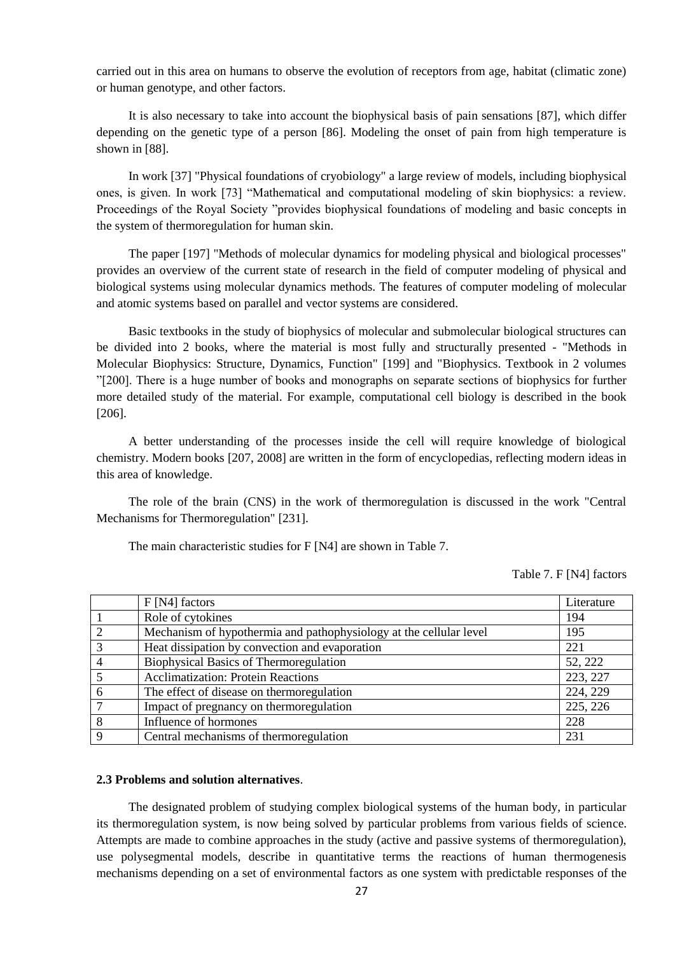carried out in this area on humans to observe the evolution of receptors from age, habitat (climatic zone) or human genotype, and other factors.

It is also necessary to take into account the biophysical basis of pain sensations [87], which differ depending on the genetic type of a person [86]. Modeling the onset of pain from high temperature is shown in [88].

In work [37] "Physical foundations of cryobiology" a large review of models, including biophysical ones, is given. In work [73] "Mathematical and computational modeling of skin biophysics: a review. Proceedings of the Royal Society "provides biophysical foundations of modeling and basic concepts in the system of thermoregulation for human skin.

The paper [197] "Methods of molecular dynamics for modeling physical and biological processes" provides an overview of the current state of research in the field of computer modeling of physical and biological systems using molecular dynamics methods. The features of computer modeling of molecular and atomic systems based on parallel and vector systems are considered.

Basic textbooks in the study of biophysics of molecular and submolecular biological structures can be divided into 2 books, where the material is most fully and structurally presented - "Methods in Molecular Biophysics: Structure, Dynamics, Function" [199] and "Biophysics. Textbook in 2 volumes ‖[200]. There is a huge number of books and monographs on separate sections of biophysics for further more detailed study of the material. For example, computational cell biology is described in the book [206].

A better understanding of the processes inside the cell will require knowledge of biological chemistry. Modern books [207, 2008] are written in the form of encyclopedias, reflecting modern ideas in this area of knowledge.

The role of the brain (CNS) in the work of thermoregulation is discussed in the work "Central Mechanisms for Thermoregulation" [231].

The main characteristic studies for F [N4] are shown in Table 7.

Table 7. F [N4] factors

|                             | $F[N4]$ factors                                                    | Literature |
|-----------------------------|--------------------------------------------------------------------|------------|
|                             | Role of cytokines                                                  | 194        |
| $\mathcal{D}_{\mathcal{L}}$ | Mechanism of hypothermia and pathophysiology at the cellular level | 195        |
| $\mathcal{R}$               | Heat dissipation by convection and evaporation                     | 221        |
| $\overline{4}$              | <b>Biophysical Basics of Thermoregulation</b>                      | 52, 222    |
|                             | <b>Acclimatization: Protein Reactions</b>                          | 223, 227   |
| 6                           | The effect of disease on thermoregulation                          | 224, 229   |
|                             | Impact of pregnancy on thermoregulation                            | 225, 226   |
| 8                           | Influence of hormones                                              | 228        |
| Q                           | Central mechanisms of thermoregulation                             | 231        |

#### **2.3 Problems and solution alternatives**.

The designated problem of studying complex biological systems of the human body, in particular its thermoregulation system, is now being solved by particular problems from various fields of science. Attempts are made to combine approaches in the study (active and passive systems of thermoregulation), use polysegmental models, describe in quantitative terms the reactions of human thermogenesis mechanisms depending on a set of environmental factors as one system with predictable responses of the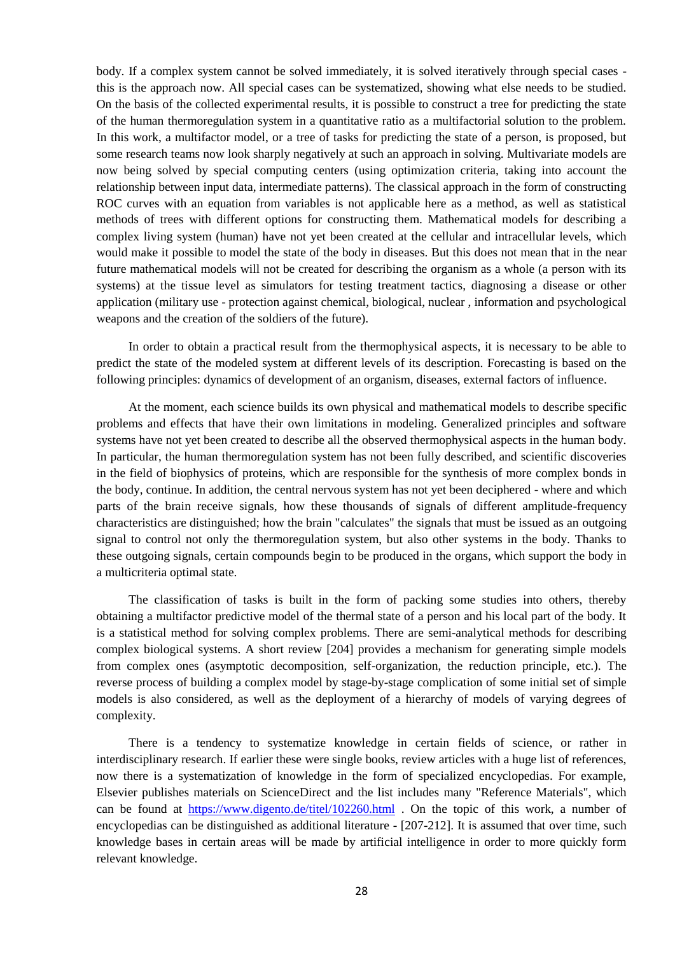body. If a complex system cannot be solved immediately, it is solved iteratively through special cases this is the approach now. All special cases can be systematized, showing what else needs to be studied. On the basis of the collected experimental results, it is possible to construct a tree for predicting the state of the human thermoregulation system in a quantitative ratio as a multifactorial solution to the problem. In this work, a multifactor model, or a tree of tasks for predicting the state of a person, is proposed, but some research teams now look sharply negatively at such an approach in solving. Multivariate models are now being solved by special computing centers (using optimization criteria, taking into account the relationship between input data, intermediate patterns). The classical approach in the form of constructing ROC curves with an equation from variables is not applicable here as a method, as well as statistical methods of trees with different options for constructing them. Mathematical models for describing a complex living system (human) have not yet been created at the cellular and intracellular levels, which would make it possible to model the state of the body in diseases. But this does not mean that in the near future mathematical models will not be created for describing the organism as a whole (a person with its systems) at the tissue level as simulators for testing treatment tactics, diagnosing a disease or other application (military use - protection against chemical, biological, nuclear , information and psychological weapons and the creation of the soldiers of the future).

In order to obtain a practical result from the thermophysical aspects, it is necessary to be able to predict the state of the modeled system at different levels of its description. Forecasting is based on the following principles: dynamics of development of an organism, diseases, external factors of influence.

At the moment, each science builds its own physical and mathematical models to describe specific problems and effects that have their own limitations in modeling. Generalized principles and software systems have not yet been created to describe all the observed thermophysical aspects in the human body. In particular, the human thermoregulation system has not been fully described, and scientific discoveries in the field of biophysics of proteins, which are responsible for the synthesis of more complex bonds in the body, continue. In addition, the central nervous system has not yet been deciphered - where and which parts of the brain receive signals, how these thousands of signals of different amplitude-frequency characteristics are distinguished; how the brain "calculates" the signals that must be issued as an outgoing signal to control not only the thermoregulation system, but also other systems in the body. Thanks to these outgoing signals, certain compounds begin to be produced in the organs, which support the body in a multicriteria optimal state.

The classification of tasks is built in the form of packing some studies into others, thereby obtaining a multifactor predictive model of the thermal state of a person and his local part of the body. It is a statistical method for solving complex problems. There are semi-analytical methods for describing complex biological systems. A short review [204] provides a mechanism for generating simple models from complex ones (asymptotic decomposition, self-organization, the reduction principle, etc.). The reverse process of building a complex model by stage-by-stage complication of some initial set of simple models is also considered, as well as the deployment of a hierarchy of models of varying degrees of complexity.

There is a tendency to systematize knowledge in certain fields of science, or rather in interdisciplinary research. If earlier these were single books, review articles with a huge list of references, now there is a systematization of knowledge in the form of specialized encyclopedias. For example, Elsevier publishes materials on ScienceDirect and the list includes many "Reference Materials", which can be found at <https://www.digento.de/titel/102260.html> . On the topic of this work, a number of encyclopedias can be distinguished as additional literature - [207-212]. It is assumed that over time, such knowledge bases in certain areas will be made by artificial intelligence in order to more quickly form relevant knowledge.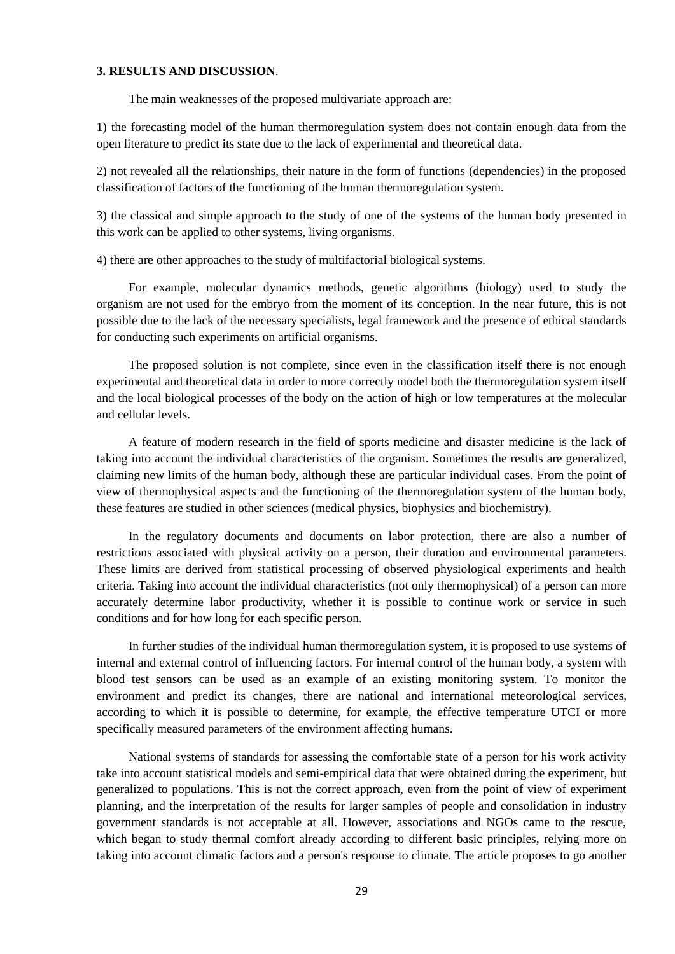### **3. RESULTS AND DISCUSSION**.

The main weaknesses of the proposed multivariate approach are:

1) the forecasting model of the human thermoregulation system does not contain enough data from the open literature to predict its state due to the lack of experimental and theoretical data.

2) not revealed all the relationships, their nature in the form of functions (dependencies) in the proposed classification of factors of the functioning of the human thermoregulation system.

3) the classical and simple approach to the study of one of the systems of the human body presented in this work can be applied to other systems, living organisms.

4) there are other approaches to the study of multifactorial biological systems.

For example, molecular dynamics methods, genetic algorithms (biology) used to study the organism are not used for the embryo from the moment of its conception. In the near future, this is not possible due to the lack of the necessary specialists, legal framework and the presence of ethical standards for conducting such experiments on artificial organisms.

The proposed solution is not complete, since even in the classification itself there is not enough experimental and theoretical data in order to more correctly model both the thermoregulation system itself and the local biological processes of the body on the action of high or low temperatures at the molecular and cellular levels.

A feature of modern research in the field of sports medicine and disaster medicine is the lack of taking into account the individual characteristics of the organism. Sometimes the results are generalized, claiming new limits of the human body, although these are particular individual cases. From the point of view of thermophysical aspects and the functioning of the thermoregulation system of the human body, these features are studied in other sciences (medical physics, biophysics and biochemistry).

In the regulatory documents and documents on labor protection, there are also a number of restrictions associated with physical activity on a person, their duration and environmental parameters. These limits are derived from statistical processing of observed physiological experiments and health criteria. Taking into account the individual characteristics (not only thermophysical) of a person can more accurately determine labor productivity, whether it is possible to continue work or service in such conditions and for how long for each specific person.

In further studies of the individual human thermoregulation system, it is proposed to use systems of internal and external control of influencing factors. For internal control of the human body, a system with blood test sensors can be used as an example of an existing monitoring system. To monitor the environment and predict its changes, there are national and international meteorological services, according to which it is possible to determine, for example, the effective temperature UTCI or more specifically measured parameters of the environment affecting humans.

National systems of standards for assessing the comfortable state of a person for his work activity take into account statistical models and semi-empirical data that were obtained during the experiment, but generalized to populations. This is not the correct approach, even from the point of view of experiment planning, and the interpretation of the results for larger samples of people and consolidation in industry government standards is not acceptable at all. However, associations and NGOs came to the rescue, which began to study thermal comfort already according to different basic principles, relying more on taking into account climatic factors and a person's response to climate. The article proposes to go another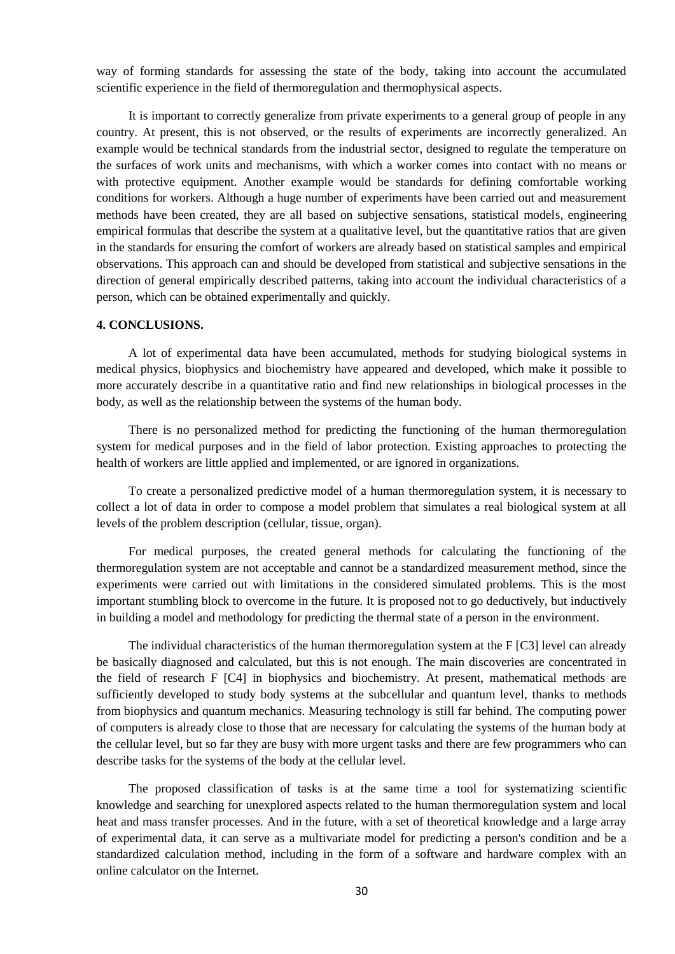way of forming standards for assessing the state of the body, taking into account the accumulated scientific experience in the field of thermoregulation and thermophysical aspects.

It is important to correctly generalize from private experiments to a general group of people in any country. At present, this is not observed, or the results of experiments are incorrectly generalized. An example would be technical standards from the industrial sector, designed to regulate the temperature on the surfaces of work units and mechanisms, with which a worker comes into contact with no means or with protective equipment. Another example would be standards for defining comfortable working conditions for workers. Although a huge number of experiments have been carried out and measurement methods have been created, they are all based on subjective sensations, statistical models, engineering empirical formulas that describe the system at a qualitative level, but the quantitative ratios that are given in the standards for ensuring the comfort of workers are already based on statistical samples and empirical observations. This approach can and should be developed from statistical and subjective sensations in the direction of general empirically described patterns, taking into account the individual characteristics of a person, which can be obtained experimentally and quickly.

#### **4. CONCLUSIONS.**

A lot of experimental data have been accumulated, methods for studying biological systems in medical physics, biophysics and biochemistry have appeared and developed, which make it possible to more accurately describe in a quantitative ratio and find new relationships in biological processes in the body, as well as the relationship between the systems of the human body.

There is no personalized method for predicting the functioning of the human thermoregulation system for medical purposes and in the field of labor protection. Existing approaches to protecting the health of workers are little applied and implemented, or are ignored in organizations.

To create a personalized predictive model of a human thermoregulation system, it is necessary to collect a lot of data in order to compose a model problem that simulates a real biological system at all levels of the problem description (cellular, tissue, organ).

For medical purposes, the created general methods for calculating the functioning of the thermoregulation system are not acceptable and cannot be a standardized measurement method, since the experiments were carried out with limitations in the considered simulated problems. This is the most important stumbling block to overcome in the future. It is proposed not to go deductively, but inductively in building a model and methodology for predicting the thermal state of a person in the environment.

The individual characteristics of the human thermoregulation system at the F [C3] level can already be basically diagnosed and calculated, but this is not enough. The main discoveries are concentrated in the field of research F [C4] in biophysics and biochemistry. At present, mathematical methods are sufficiently developed to study body systems at the subcellular and quantum level, thanks to methods from biophysics and quantum mechanics. Measuring technology is still far behind. The computing power of computers is already close to those that are necessary for calculating the systems of the human body at the cellular level, but so far they are busy with more urgent tasks and there are few programmers who can describe tasks for the systems of the body at the cellular level.

The proposed classification of tasks is at the same time a tool for systematizing scientific knowledge and searching for unexplored aspects related to the human thermoregulation system and local heat and mass transfer processes. And in the future, with a set of theoretical knowledge and a large array of experimental data, it can serve as a multivariate model for predicting a person's condition and be a standardized calculation method, including in the form of a software and hardware complex with an online calculator on the Internet.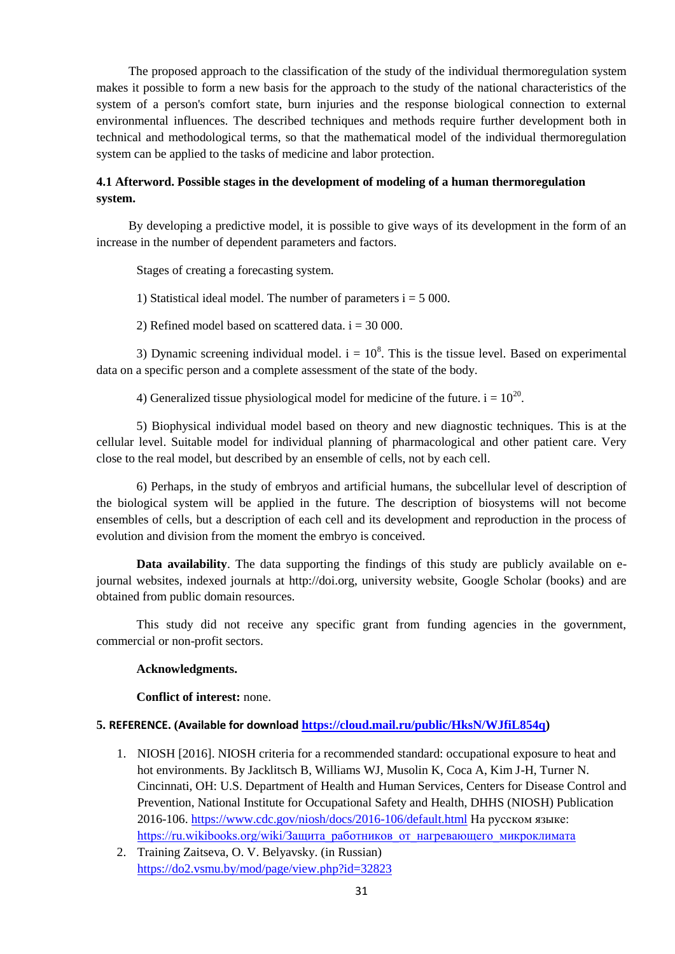The proposed approach to the classification of the study of the individual thermoregulation system makes it possible to form a new basis for the approach to the study of the national characteristics of the system of a person's comfort state, burn injuries and the response biological connection to external environmental influences. The described techniques and methods require further development both in technical and methodological terms, so that the mathematical model of the individual thermoregulation system can be applied to the tasks of medicine and labor protection.

# **4.1 Afterword. Possible stages in the development of modeling of a human thermoregulation system.**

By developing a predictive model, it is possible to give ways of its development in the form of an increase in the number of dependent parameters and factors.

Stages of creating a forecasting system.

1) Statistical ideal model. The number of parameters  $i = 5000$ .

2) Refined model based on scattered data.  $i = 30000$ .

3) Dynamic screening individual model.  $i = 10<sup>8</sup>$ . This is the tissue level. Based on experimental data on a specific person and a complete assessment of the state of the body.

4) Generalized tissue physiological model for medicine of the future.  $i = 10^{20}$ .

5) Biophysical individual model based on theory and new diagnostic techniques. This is at the cellular level. Suitable model for individual planning of pharmacological and other patient care. Very close to the real model, but described by an ensemble of cells, not by each cell.

6) Perhaps, in the study of embryos and artificial humans, the subcellular level of description of the biological system will be applied in the future. The description of biosystems will not become ensembles of cells, but a description of each cell and its development and reproduction in the process of evolution and division from the moment the embryo is conceived.

**Data availability**. The data supporting the findings of this study are publicly available on ejournal websites, indexed journals at http://doi.org, university website, Google Scholar (books) and are obtained from public domain resources.

This study did not receive any specific grant from funding agencies in the government, commercial or non-profit sectors.

#### **Acknowledgments.**

**Conflict of interest:** none.

#### **5. REFERENCE. (Available for download [https://cloud.mail.ru/public/HksN/WJfiL854q\)](https://cloud.mail.ru/public/HksN/WJfiL854q)**

- 1. NIOSH [2016]. NIOSH criteria for a recommended standard: occupational exposure to heat and hot environments. By Jacklitsch B, Williams WJ, Musolin K, Coca A, Kim J-H, Turner N. Cincinnati, OH: U.S. Department of Health and Human Services, Centers for Disease Control and Prevention, National Institute for Occupational Safety and Health, DHHS (NIOSH) Publication 2016-106.<https://www.cdc.gov/niosh/docs/2016-106/default.html> На русском языке: [https://ru.wikibooks.org/wiki/Защита\\_работников\\_от\\_нагревающего\\_микроклимата](https://ru.wikibooks.org/wiki/Защита_работников_от_нагревающего_микроклимата)
- 2. Training Zaitseva, O. V. Belyavsky. (in Russian) <https://do2.vsmu.by/mod/page/view.php?id=32823>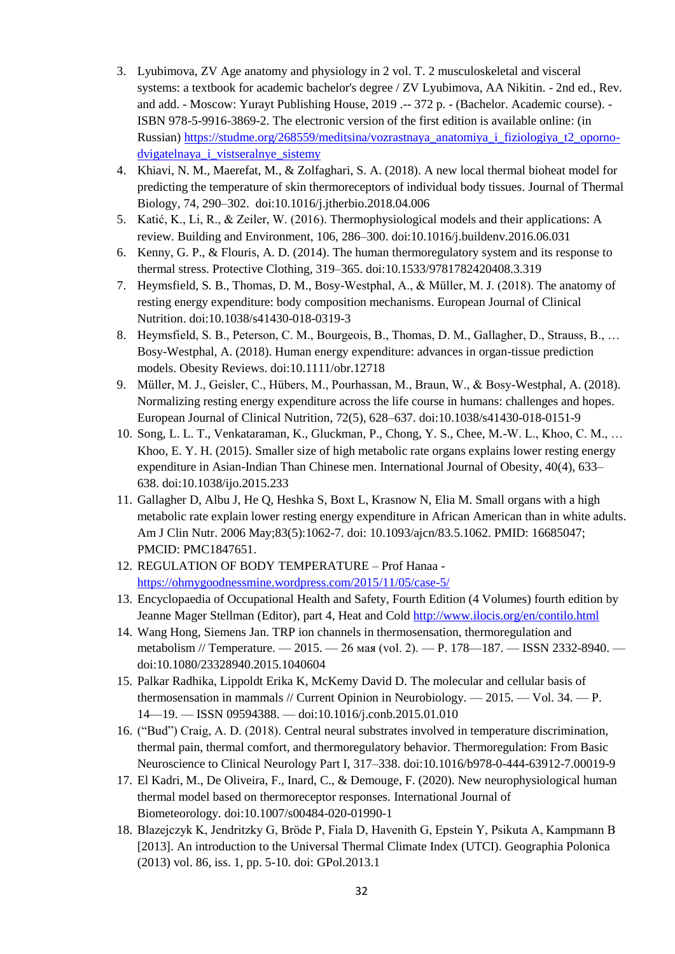- 3. Lyubimova, ZV Age anatomy and physiology in 2 vol. T. 2 musculoskeletal and visceral systems: a textbook for academic bachelor's degree / ZV Lyubimova, AA Nikitin. - 2nd ed., Rev. and add. - Moscow: Yurayt Publishing House, 2019 .-- 372 p. - (Bachelor. Academic course). - ISBN 978-5-9916-3869-2. The electronic version of the first edition is available online: (in Russian) [https://studme.org/268559/meditsina/vozrastnaya\\_anatomiya\\_i\\_fiziologiya\\_t2\\_oporno](https://studme.org/268559/meditsina/vozrastnaya_anatomiya_i_fiziologiya_t2_oporno-dvigatelnaya_i_vistseralnye_sistemy)[dvigatelnaya\\_i\\_vistseralnye\\_sistemy](https://studme.org/268559/meditsina/vozrastnaya_anatomiya_i_fiziologiya_t2_oporno-dvigatelnaya_i_vistseralnye_sistemy)
- 4. Khiavi, N. M., Maerefat, M., & Zolfaghari, S. A. (2018). A new local thermal bioheat model for predicting the temperature of skin thermoreceptors of individual body tissues. Journal of Thermal Biology, 74, 290–302. doi:10.1016/j.jtherbio.2018.04.006
- 5. Katić, K., Li, R., & Zeiler, W. (2016). Thermophysiological models and their applications: A review. Building and Environment, 106, 286–300. doi:10.1016/j.buildenv.2016.06.031
- 6. Kenny, G. P., & Flouris, A. D. (2014). The human thermoregulatory system and its response to thermal stress. Protective Clothing, 319–365. doi:10.1533/9781782420408.3.319
- 7. Heymsfield, S. B., Thomas, D. M., Bosy-Westphal, A., & Müller, M. J. (2018). The anatomy of resting energy expenditure: body composition mechanisms. European Journal of Clinical Nutrition. doi:10.1038/s41430-018-0319-3
- 8. Heymsfield, S. B., Peterson, C. M., Bourgeois, B., Thomas, D. M., Gallagher, D., Strauss, B., … Bosy-Westphal, A. (2018). Human energy expenditure: advances in organ-tissue prediction models. Obesity Reviews. doi:10.1111/obr.12718
- 9. Müller, M. J., Geisler, C., Hübers, M., Pourhassan, M., Braun, W., & Bosy-Westphal, A. (2018). Normalizing resting energy expenditure across the life course in humans: challenges and hopes. European Journal of Clinical Nutrition, 72(5), 628–637. doi:10.1038/s41430-018-0151-9
- 10. Song, L. L. T., Venkataraman, K., Gluckman, P., Chong, Y. S., Chee, M.-W. L., Khoo, C. M., … Khoo, E. Y. H. (2015). Smaller size of high metabolic rate organs explains lower resting energy expenditure in Asian-Indian Than Chinese men. International Journal of Obesity, 40(4), 633– 638. doi:10.1038/ijo.2015.233
- 11. Gallagher D, Albu J, He Q, Heshka S, Boxt L, Krasnow N, Elia M. Small organs with a high metabolic rate explain lower resting energy expenditure in African American than in white adults. Am J Clin Nutr. 2006 May;83(5):1062-7. doi: 10.1093/ajcn/83.5.1062. PMID: 16685047; PMCID: PMC1847651.
- 12. REGULATION OF BODY [TEMPERATURE](https://ohmygoodnessmine.files.wordpress.com/2015/11/regulation-of-body-temperature.pdf) Prof Hanaa <https://ohmygoodnessmine.wordpress.com/2015/11/05/case-5/>
- 13. Encyclopaedia of Occupational Health and Safety, Fourth Edition (4 Volumes) fourth edition by Jeanne Mager Stellman (Editor), part 4, Heat and Cold<http://www.ilocis.org/en/contilo.html>
- 14. Wang Hong, Siemens Jan. TRP ion channels in thermosensation, thermoregulation and metabolism // Temperature. — 2015. — 26 мая (vol. 2). — P. 178—187. — ISSN 2332-8940. doi:10.1080/23328940.2015.1040604
- 15. Palkar Radhika, Lippoldt Erika K, McKemy David D. The molecular and cellular basis of thermosensation in mammals // Current Opinion in Neurobiology. — 2015. — Vol. 34. — P. 14—19. — ISSN 09594388. — doi:10.1016/j.conb.2015.01.010
- 16. ("Bud") Craig, A. D. (2018). Central neural substrates involved in temperature discrimination, thermal pain, thermal comfort, and thermoregulatory behavior. Thermoregulation: From Basic Neuroscience to Clinical Neurology Part I, 317–338. doi:10.1016/b978-0-444-63912-7.00019-9
- 17. El Kadri, M., De Oliveira, F., Inard, C., & Demouge, F. (2020). New neurophysiological human thermal model based on thermoreceptor responses. International Journal of Biometeorology. doi:10.1007/s00484-020-01990-1
- 18. Blazejczyk K, Jendritzky G, Bröde P, Fiala D, Havenith G, Epstein Y, Psikuta A, Kampmann B [2013]. An introduction to the Universal Thermal Climate Index (UTCI). Geographia Polonica (2013) vol. 86, iss. 1, pp. 5-10. doi: GPol.2013.1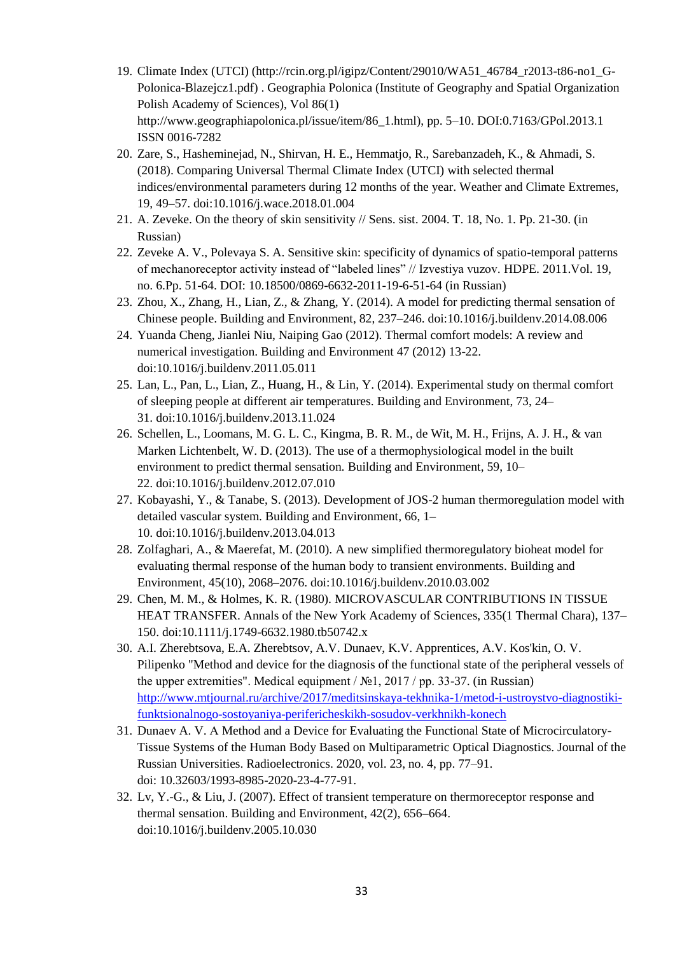- 19. Climate Index (UTCI) (http://rcin.org.pl/igipz/Content/29010/WA51\_46784\_r2013-t86-no1\_G-Polonica-Blazejcz1.pdf) . Geographia Polonica (Institute of Geography and Spatial Organization Polish Academy of Sciences), Vol 86(1) http://www.geographiapolonica.pl/issue/item/86\_1.html), pp. 5–10. DOI:0.7163/GPol.2013.1 ISSN 0016-7282
- 20. Zare, S., Hasheminejad, N., Shirvan, H. E., Hemmatjo, R., Sarebanzadeh, K., & Ahmadi, S. (2018). Comparing Universal Thermal Climate Index (UTCI) with selected thermal indices/environmental parameters during 12 months of the year. Weather and Climate Extremes, 19, 49–57. doi:10.1016/j.wace.2018.01.004
- 21. A. Zeveke. On the theory of skin sensitivity // Sens. sist. 2004. T. 18, No. 1. Pp. 21-30. (in Russian)
- 22. Zeveke A. V., Polevaya S. A. Sensitive skin: specificity of dynamics of spatio-temporal patterns of mechanoreceptor activity instead of "labeled lines" // Izvestiya vuzov. HDPE. 2011.Vol. 19, no. 6.Pp. 51-64. DOI: 10.18500/0869-6632-2011-19-6-51-64 (in Russian)
- 23. Zhou, X., Zhang, H., Lian, Z., & Zhang, Y. (2014). A model for predicting thermal sensation of Chinese people. Building and Environment, 82, 237–246. doi:10.1016/j.buildenv.2014.08.006
- 24. Yuanda Cheng, Jianlei Niu, Naiping Gao (2012). Thermal comfort models: A review and numerical investigation. Building and Environment 47 (2012) 13-22. doi:10.1016/j.buildenv.2011.05.011
- 25. Lan, L., Pan, L., Lian, Z., Huang, H., & Lin, Y. (2014). Experimental study on thermal comfort of sleeping people at different air temperatures. Building and Environment, 73, 24– 31. doi:10.1016/j.buildenv.2013.11.024
- 26. Schellen, L., Loomans, M. G. L. C., Kingma, B. R. M., de Wit, M. H., Frijns, A. J. H., & van Marken Lichtenbelt, W. D. (2013). The use of a thermophysiological model in the built environment to predict thermal sensation. Building and Environment, 59, 10– 22. doi:10.1016/j.buildenv.2012.07.010
- 27. Kobayashi, Y., & Tanabe, S. (2013). Development of JOS-2 human thermoregulation model with detailed vascular system. Building and Environment, 66, 1– 10. doi:10.1016/j.buildenv.2013.04.013
- 28. Zolfaghari, A., & Maerefat, M. (2010). A new simplified thermoregulatory bioheat model for evaluating thermal response of the human body to transient environments. Building and Environment, 45(10), 2068–2076. doi:10.1016/j.buildenv.2010.03.002
- 29. Chen, M. M., & Holmes, K. R. (1980). MICROVASCULAR CONTRIBUTIONS IN TISSUE HEAT TRANSFER. Annals of the New York Academy of Sciences, 335(1 Thermal Chara), 137– 150. doi:10.1111/j.1749-6632.1980.tb50742.x
- 30. A.I. Zherebtsova, E.A. Zherebtsov, A.V. Dunaev, K.V. Apprentices, A.V. Kos'kin, O. V. Pilipenko "Method and device for the diagnosis of the functional state of the peripheral vessels of the upper extremities". Medical equipment / №1, 2017 / pp. 33-37. (in Russian) [http://www.mtjournal.ru/archive/2017/meditsinskaya-tekhnika-1/metod-i-ustroystvo-diagnostiki](http://www.mtjournal.ru/archive/2017/meditsinskaya-tekhnika-1/metod-i-ustroystvo-diagnostiki-funktsionalnogo-sostoyaniya-perifericheskikh-sosudov-verkhnikh-konech)[funktsionalnogo-sostoyaniya-perifericheskikh-sosudov-verkhnikh-konech](http://www.mtjournal.ru/archive/2017/meditsinskaya-tekhnika-1/metod-i-ustroystvo-diagnostiki-funktsionalnogo-sostoyaniya-perifericheskikh-sosudov-verkhnikh-konech)
- 31. Dunaev A. V. А Method and a Device for Evaluating the Functional State of Microcirculatory-Tissue Systems of the Human Body Based on Multiparametric Optical Diagnostics. Journal of the Russian Universities. Radioelectronics. 2020, vol. 23, no. 4, pp. 77–91. doi: 10.32603/1993-8985-2020-23-4-77-91.
- 32. Lv, Y.-G., & Liu, J. (2007). Effect of transient temperature on thermoreceptor response and thermal sensation. Building and Environment, 42(2), 656–664. doi:10.1016/j.buildenv.2005.10.030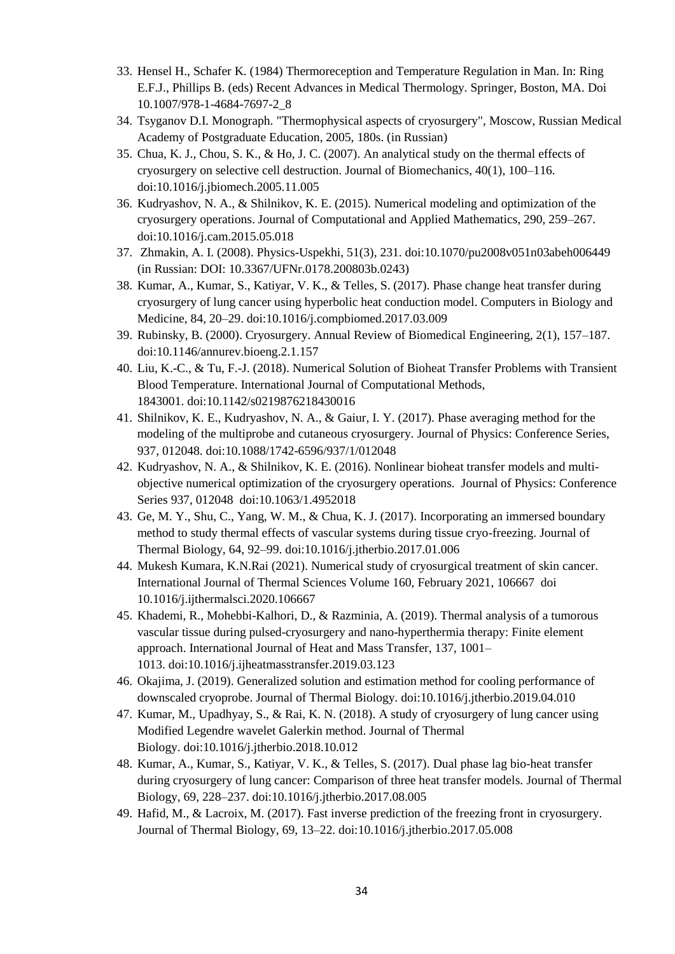- 33. Hensel H., Schafer K. (1984) Thermoreception and Temperature Regulation in Man. In: Ring E.F.J., Phillips B. (eds) Recent Advances in Medical Thermology. Springer, Boston, MA. Doi 10.1007/978-1-4684-7697-2\_8
- 34. Tsyganov D.I. Monograph. "Thermophysical aspects of cryosurgery", Moscow, Russian Medical Academy of Postgraduate Education, 2005, 180s. (in Russian)
- 35. Chua, K. J., Chou, S. K., & Ho, J. C. (2007). An analytical study on the thermal effects of cryosurgery on selective cell destruction. Journal of Biomechanics, 40(1), 100–116. doi:10.1016/j.jbiomech.2005.11.005
- 36. Kudryashov, N. A., & Shilnikov, K. E. (2015). Numerical modeling and optimization of the cryosurgery operations. Journal of Computational and Applied Mathematics, 290, 259–267. doi:10.1016/j.cam.2015.05.018
- 37. Zhmakin, A. I. (2008). Physics-Uspekhi, 51(3), 231. doi:10.1070/pu2008v051n03abeh006449 (in Russian: DOI: 10.3367/UFNr.0178.200803b.0243)
- 38. Kumar, A., Kumar, S., Katiyar, V. K., & Telles, S. (2017). Phase change heat transfer during cryosurgery of lung cancer using hyperbolic heat conduction model. Computers in Biology and Medicine, 84, 20–29. doi:10.1016/j.compbiomed.2017.03.009
- 39. Rubinsky, B. (2000). Cryosurgery. Annual Review of Biomedical Engineering, 2(1), 157–187. doi:10.1146/annurev.bioeng.2.1.157
- 40. Liu, K.-C., & Tu, F.-J. (2018). Numerical Solution of Bioheat Transfer Problems with Transient Blood Temperature. International Journal of Computational Methods, 1843001. doi:10.1142/s0219876218430016
- 41. Shilnikov, K. E., Kudryashov, N. A., & Gaiur, I. Y. (2017). Phase averaging method for the modeling of the multiprobe and cutaneous cryosurgery. Journal of Physics: Conference Series, 937, 012048. doi:10.1088/1742-6596/937/1/012048
- 42. Kudryashov, N. A., & Shilnikov, K. E. (2016). Nonlinear bioheat transfer models and multiobjective numerical optimization of the cryosurgery operations. Journal of Physics: Conference Series 937, 012048 doi:10.1063/1.4952018
- 43. Ge, M. Y., Shu, C., Yang, W. M., & Chua, K. J. (2017). Incorporating an immersed boundary method to study thermal effects of vascular systems during tissue cryo-freezing. Journal of Thermal Biology, 64, 92–99. doi:10.1016/j.jtherbio.2017.01.006
- 44. Mukesh Kumara, K.N.Rai (2021). Numerical study of cryosurgical treatment of skin cancer. International Journal of Thermal Sciences Volume 160, February 2021, 106667 doi 10.1016/j.ijthermalsci.2020.106667
- 45. Khademi, R., Mohebbi-Kalhori, D., & Razminia, A. (2019). Thermal analysis of a tumorous vascular tissue during pulsed-cryosurgery and nano-hyperthermia therapy: Finite element approach. International Journal of Heat and Mass Transfer, 137, 1001– 1013. doi:10.1016/j.ijheatmasstransfer.2019.03.123
- 46. Okajima, J. (2019). Generalized solution and estimation method for cooling performance of downscaled cryoprobe. Journal of Thermal Biology. doi:10.1016/j.jtherbio.2019.04.010
- 47. Kumar, M., Upadhyay, S., & Rai, K. N. (2018). A study of cryosurgery of lung cancer using Modified Legendre wavelet Galerkin method. Journal of Thermal Biology. doi:10.1016/j.jtherbio.2018.10.012
- 48. Kumar, A., Kumar, S., Katiyar, V. K., & Telles, S. (2017). Dual phase lag bio-heat transfer during cryosurgery of lung cancer: Comparison of three heat transfer models. Journal of Thermal Biology, 69, 228–237. doi:10.1016/j.jtherbio.2017.08.005
- 49. Hafid, M., & Lacroix, M. (2017). Fast inverse prediction of the freezing front in cryosurgery. Journal of Thermal Biology, 69, 13–22. doi:10.1016/j.jtherbio.2017.05.008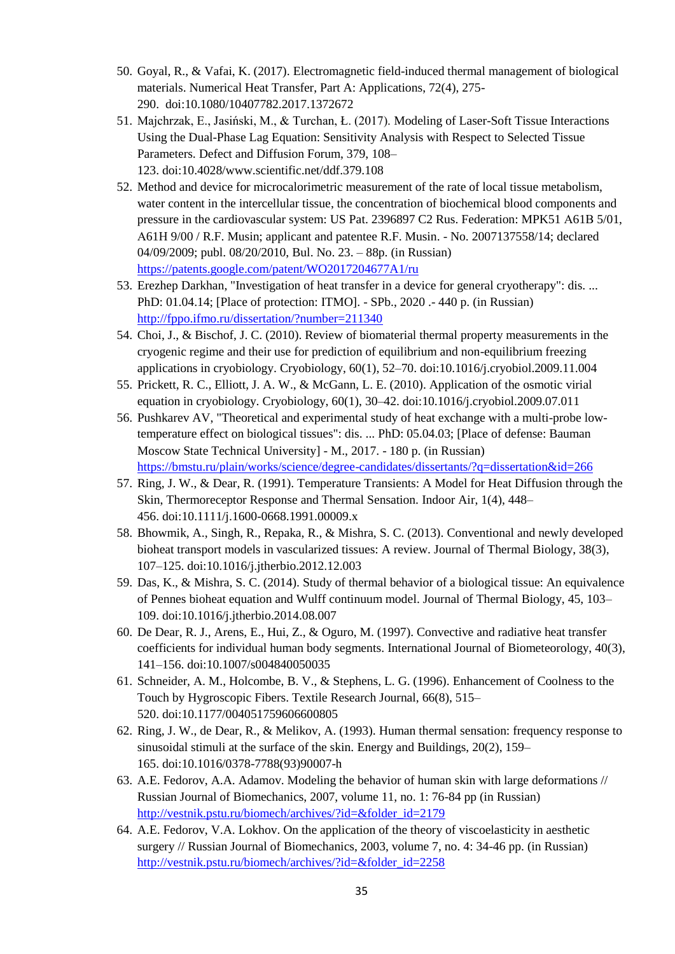- 50. Goyal, R., & Vafai, K. (2017). Electromagnetic field-induced thermal management of biological materials. Numerical Heat Transfer, Part A: Applications, 72(4), 275- 290. doi:10.1080/10407782.2017.1372672
- 51. Majchrzak, E., Jasiński, M., & Turchan, Ł. (2017). Modeling of Laser-Soft Tissue Interactions Using the Dual-Phase Lag Equation: Sensitivity Analysis with Respect to Selected Tissue Parameters. Defect and Diffusion Forum, 379, 108– 123. doi:10.4028/www.scientific.net/ddf.379.108
- 52. Method and device for microcalorimetric measurement of the rate of local tissue metabolism, water content in the intercellular tissue, the concentration of biochemical blood components and pressure in the cardiovascular system: US Pat. 2396897 C2 Rus. Federation: MPK51 А61В 5/01, А61Н 9/00 / R.F. Musin; applicant and patentee R.F. Musin. - No. 2007137558/14; declared 04/09/2009; publ. 08/20/2010, Bul. No. 23. – 88p. (in Russian) <https://patents.google.com/patent/WO2017204677A1/ru>
- 53. Erezhep Darkhan, "Investigation of heat transfer in a device for general cryotherapy": dis. ... PhD: 01.04.14; [Place of protection: ITMO]. - SPb., 2020 .- 440 p. (in Russian) <http://fppo.ifmo.ru/dissertation/?number=211340>
- 54. Choi, J., & Bischof, J. C. (2010). Review of biomaterial thermal property measurements in the cryogenic regime and their use for prediction of equilibrium and non-equilibrium freezing applications in cryobiology. Cryobiology, 60(1), 52–70. doi:10.1016/j.cryobiol.2009.11.004
- 55. Prickett, R. C., Elliott, J. A. W., & McGann, L. E. (2010). Application of the osmotic virial equation in cryobiology. Cryobiology, 60(1), 30–42. doi:10.1016/j.cryobiol.2009.07.011
- 56. Pushkarev AV, "Theoretical and experimental study of heat exchange with a multi-probe lowtemperature effect on biological tissues": dis. ... PhD: 05.04.03; [Place of defense: Bauman Moscow State Technical University] - M., 2017. - 180 p. (in Russian) <https://bmstu.ru/plain/works/science/degree-candidates/dissertants/?q=dissertation&id=266>
- 57. Ring, J. W., & Dear, R. (1991). Temperature Transients: A Model for Heat Diffusion through the Skin, Thermoreceptor Response and Thermal Sensation. Indoor Air, 1(4), 448– 456. doi:10.1111/j.1600-0668.1991.00009.x
- 58. Bhowmik, A., Singh, R., Repaka, R., & Mishra, S. C. (2013). Conventional and newly developed bioheat transport models in vascularized tissues: A review. Journal of Thermal Biology, 38(3), 107–125. doi:10.1016/j.jtherbio.2012.12.003
- 59. Das, K., & Mishra, S. C. (2014). Study of thermal behavior of a biological tissue: An equivalence of Pennes bioheat equation and Wulff continuum model. Journal of Thermal Biology, 45, 103– 109. doi:10.1016/j.jtherbio.2014.08.007
- 60. De Dear, R. J., Arens, E., Hui, Z., & Oguro, M. (1997). Convective and radiative heat transfer coefficients for individual human body segments. International Journal of Biometeorology, 40(3), 141–156. doi:10.1007/s004840050035
- 61. Schneider, A. M., Holcombe, B. V., & Stephens, L. G. (1996). Enhancement of Coolness to the Touch by Hygroscopic Fibers. Textile Research Journal, 66(8), 515– 520. doi:10.1177/004051759606600805
- 62. Ring, J. W., de Dear, R., & Melikov, A. (1993). Human thermal sensation: frequency response to sinusoidal stimuli at the surface of the skin. Energy and Buildings, 20(2), 159– 165. doi:10.1016/0378-7788(93)90007-h
- 63. A.E. Fedorov, A.A. Adamov. Modeling the behavior of human skin with large deformations // Russian Journal of Biomechanics, 2007, volume 11, no. 1: 76-84 pp (in Russian) [http://vestnik.pstu.ru/biomech/archives/?id=&folder\\_id=2179](http://vestnik.pstu.ru/biomech/archives/?id=&folder_id=2179)
- 64. A.E. Fedorov, V.A. Lokhov. On the application of the theory of viscoelasticity in aesthetic surgery // Russian Journal of Biomechanics, 2003, volume 7, no. 4: 34-46 pp. (in Russian) [http://vestnik.pstu.ru/biomech/archives/?id=&folder\\_id=2258](http://vestnik.pstu.ru/biomech/archives/?id=&folder_id=2258)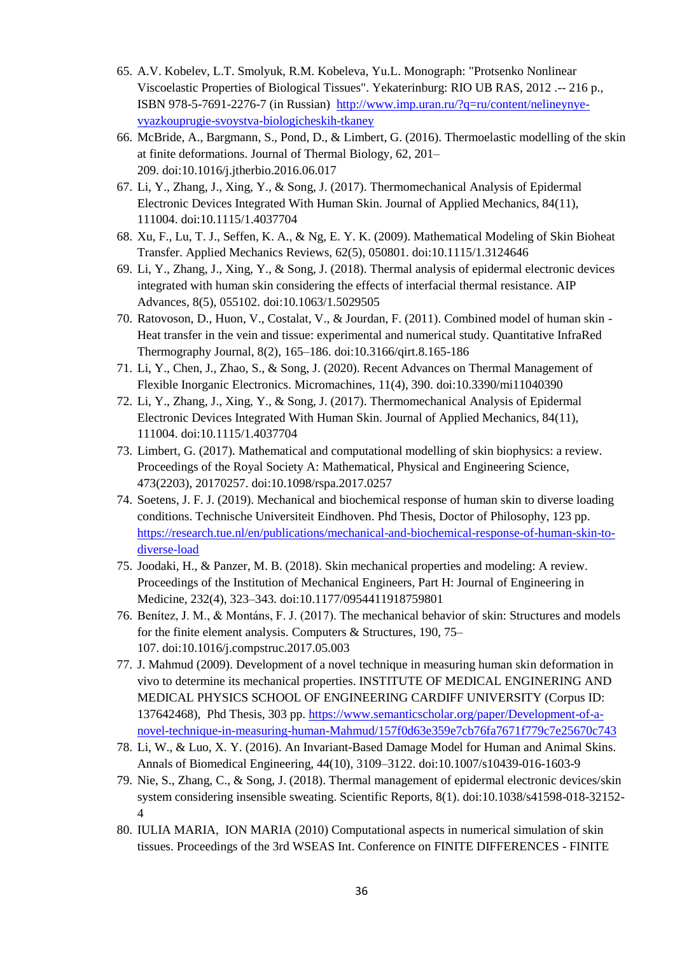- 65. A.V. Kobelev, L.T. Smolyuk, R.M. Kobeleva, Yu.L. Monograph: "Protsenko Nonlinear Viscoelastic Properties of Biological Tissues". Yekaterinburg: RIO UB RAS, 2012 .-- 216 p., ISBN 978-5-7691-2276-7 (in Russian) [http://www.imp.uran.ru/?q=ru/content/nelineynye](http://www.imp.uran.ru/?q=ru/content/nelineynye-vyazkouprugie-svoystva-biologicheskih-tkaney)[vyazkouprugie-svoystva-biologicheskih-tkaney](http://www.imp.uran.ru/?q=ru/content/nelineynye-vyazkouprugie-svoystva-biologicheskih-tkaney)
- 66. McBride, A., Bargmann, S., Pond, D., & Limbert, G. (2016). Thermoelastic modelling of the skin at finite deformations. Journal of Thermal Biology, 62, 201– 209. doi:10.1016/j.jtherbio.2016.06.017
- 67. Li, Y., Zhang, J., Xing, Y., & Song, J. (2017). Thermomechanical Analysis of Epidermal Electronic Devices Integrated With Human Skin. Journal of Applied Mechanics, 84(11), 111004. doi:10.1115/1.4037704
- 68. Xu, F., Lu, T. J., Seffen, K. A., & Ng, E. Y. K. (2009). Mathematical Modeling of Skin Bioheat Transfer. Applied Mechanics Reviews, 62(5), 050801. doi:10.1115/1.3124646
- 69. Li, Y., Zhang, J., Xing, Y., & Song, J. (2018). Thermal analysis of epidermal electronic devices integrated with human skin considering the effects of interfacial thermal resistance. AIP Advances, 8(5), 055102. doi:10.1063/1.5029505
- 70. Ratovoson, D., Huon, V., Costalat, V., & Jourdan, F. (2011). Combined model of human skin Heat transfer in the vein and tissue: experimental and numerical study. Quantitative InfraRed Thermography Journal, 8(2), 165–186. doi:10.3166/qirt.8.165-186
- 71. Li, Y., Chen, J., Zhao, S., & Song, J. (2020). Recent Advances on Thermal Management of Flexible Inorganic Electronics. Micromachines, 11(4), 390. doi:10.3390/mi11040390
- 72. Li, Y., Zhang, J., Xing, Y., & Song, J. (2017). Thermomechanical Analysis of Epidermal Electronic Devices Integrated With Human Skin. Journal of Applied Mechanics, 84(11), 111004. doi:10.1115/1.4037704
- 73. Limbert, G. (2017). Mathematical and computational modelling of skin biophysics: a review. Proceedings of the Royal Society A: Mathematical, Physical and Engineering Science, 473(2203), 20170257. doi:10.1098/rspa.2017.0257
- 74. Soetens, J. F. J. (2019). Mechanical and biochemical response of human skin to diverse loading conditions. Technische Universiteit Eindhoven. Phd Thesis, Doctor of Philosophy, 123 pp. [https://research.tue.nl/en/publications/mechanical-and-biochemical-response-of-human-skin-to](https://research.tue.nl/en/publications/mechanical-and-biochemical-response-of-human-skin-to-diverse-load)[diverse-load](https://research.tue.nl/en/publications/mechanical-and-biochemical-response-of-human-skin-to-diverse-load)
- 75. Joodaki, H., & Panzer, M. B. (2018). Skin mechanical properties and modeling: A review. Proceedings of the Institution of Mechanical Engineers, Part H: Journal of Engineering in Medicine, 232(4), 323–343. doi:10.1177/0954411918759801
- 76. Benítez, J. M., & Montáns, F. J. (2017). The mechanical behavior of skin: Structures and models for the finite element analysis. Computers & Structures, 190, 75– 107. doi:10.1016/j.compstruc.2017.05.003
- 77. J. Mahmud (2009). Development of a novel technique in measuring human skin deformation in vivo to determine its mechanical properties. INSTITUTE OF MEDICAL ENGINERING AND MEDICAL PHYSICS SCHOOL OF ENGINEERING CARDIFF UNIVERSITY (Corpus ID: 137642468), Phd Thesis, 303 pp. [https://www.semanticscholar.org/paper/Development-of-a](https://www.semanticscholar.org/paper/Development-of-a-novel-technique-in-measuring-human-Mahmud/157f0d63e359e7cb76fa7671f779c7e25670c743)[novel-technique-in-measuring-human-Mahmud/157f0d63e359e7cb76fa7671f779c7e25670c743](https://www.semanticscholar.org/paper/Development-of-a-novel-technique-in-measuring-human-Mahmud/157f0d63e359e7cb76fa7671f779c7e25670c743)
- 78. Li, W., & Luo, X. Y. (2016). An Invariant-Based Damage Model for Human and Animal Skins. Annals of Biomedical Engineering, 44(10), 3109–3122. doi:10.1007/s10439-016-1603-9
- 79. Nie, S., Zhang, C., & Song, J. (2018). Thermal management of epidermal electronic devices/skin system considering insensible sweating. Scientific Reports, 8(1). doi:10.1038/s41598-018-32152- 4
- 80. IULIA MARIA, ION MARIA (2010) Computational aspects in numerical simulation of skin tissues. Proceedings of the 3rd WSEAS Int. Conference on FINITE DIFFERENCES - FINITE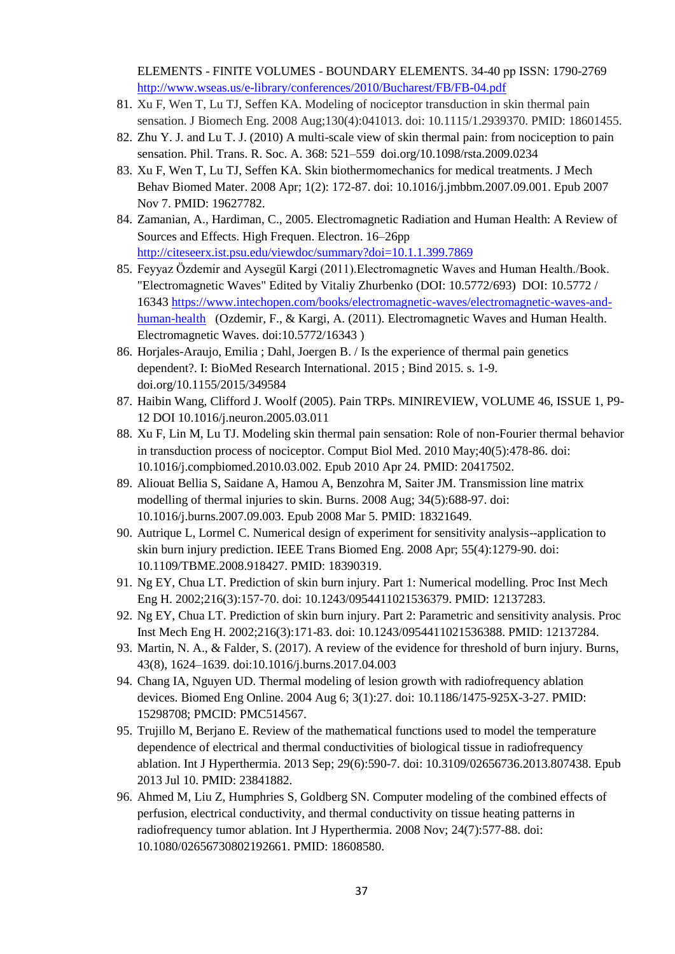ELEMENTS - FINITE VOLUMES - BOUNDARY ELEMENTS. 34-40 рр ISSN: 1790-2769 <http://www.wseas.us/e-library/conferences/2010/Bucharest/FB/FB-04.pdf>

- 81. Xu F, Wen T, Lu TJ, Seffen KA. Modeling of nociceptor transduction in skin thermal pain sensation. J Biomech Eng. 2008 Aug;130(4):041013. doi: 10.1115/1.2939370. PMID: 18601455.
- 82. Zhu Y. J. and Lu T. J. (2010) A multi-scale view of skin thermal pain: from nociception to pain sensation. Phil. Trans. R. Soc. A. 368: 521–559 doi.org/10.1098/rsta.2009.0234
- 83. Xu F, Wen T, Lu TJ, Seffen KA. Skin biothermomechanics for medical treatments. J Mech Behav Biomed Mater. 2008 Apr; 1(2): 172-87. doi: 10.1016/j.jmbbm.2007.09.001. Epub 2007 Nov 7. PMID: 19627782.
- 84. Zamanian, A., Hardiman, C., 2005. Electromagnetic Radiation and Human Health: A Review of Sources and Effects. High Frequen. Electron. 16–26pp <http://citeseerx.ist.psu.edu/viewdoc/summary?doi=10.1.1.399.7869>
- 85. Feyyaz Özdemir and Aysegül Kargi (2011).Electromagnetic Waves and Human Health./Book. "Electromagnetic Waves" Edited by Vitaliy Zhurbenko (DOI: 10.5772/693) DOI: 10.5772 / 16343 [https://www.intechopen.com/books/electromagnetic-waves/electromagnetic-waves-and](https://www.intechopen.com/books/electromagnetic-waves/electromagnetic-waves-and-human-health)[human-health](https://www.intechopen.com/books/electromagnetic-waves/electromagnetic-waves-and-human-health) (Ozdemir, F., & Kargi, A. (2011). Electromagnetic Waves and Human Health. Electromagnetic Waves. doi:10.5772/16343 )
- 86. Horjales-Araujo, Emilia ; Dahl, Joergen B. / Is the experience of thermal pain genetics dependent?. I: BioMed Research International. 2015 ; Bind 2015. s. 1-9. doi.org/10.1155/2015/349584
- 87. Haibin Wang, Clifford J. Woolf (2005). Pain TRPs. MINIREVIEW, VOLUME 46, ISSUE 1, P9- 12 DOI 10.1016/j.neuron.2005.03.011
- 88. Xu F, Lin M, Lu TJ. Modeling skin thermal pain sensation: Role of non-Fourier thermal behavior in transduction process of nociceptor. Comput Biol Med. 2010 May;40(5):478-86. doi: 10.1016/j.compbiomed.2010.03.002. Epub 2010 Apr 24. PMID: 20417502.
- 89. Aliouat Bellia S, Saidane A, Hamou A, Benzohra M, Saiter JM. Transmission line matrix modelling of thermal injuries to skin. Burns. 2008 Aug; 34(5):688-97. doi: 10.1016/j.burns.2007.09.003. Epub 2008 Mar 5. PMID: 18321649.
- 90. Autrique L, Lormel C. Numerical design of experiment for sensitivity analysis--application to skin burn injury prediction. IEEE Trans Biomed Eng. 2008 Apr; 55(4):1279-90. doi: 10.1109/TBME.2008.918427. PMID: 18390319.
- 91. Ng EY, Chua LT. Prediction of skin burn injury. Part 1: Numerical modelling. Proc Inst Mech Eng H. 2002;216(3):157-70. doi: 10.1243/0954411021536379. PMID: 12137283.
- 92. Ng EY, Chua LT. Prediction of skin burn injury. Part 2: Parametric and sensitivity analysis. Proc Inst Mech Eng H. 2002;216(3):171-83. doi: 10.1243/0954411021536388. PMID: 12137284.
- 93. Martin, N. A., & Falder, S. (2017). A review of the evidence for threshold of burn injury. Burns, 43(8), 1624–1639. doi:10.1016/j.burns.2017.04.003
- 94. Chang IA, Nguyen UD. Thermal modeling of lesion growth with radiofrequency ablation devices. Biomed Eng Online. 2004 Aug 6; 3(1):27. doi: 10.1186/1475-925X-3-27. PMID: 15298708; PMCID: PMC514567.
- 95. Trujillo M, Berjano E. Review of the mathematical functions used to model the temperature dependence of electrical and thermal conductivities of biological tissue in radiofrequency ablation. Int J Hyperthermia. 2013 Sep; 29(6):590-7. doi: 10.3109/02656736.2013.807438. Epub 2013 Jul 10. PMID: 23841882.
- 96. Ahmed M, Liu Z, Humphries S, Goldberg SN. Computer modeling of the combined effects of perfusion, electrical conductivity, and thermal conductivity on tissue heating patterns in radiofrequency tumor ablation. Int J Hyperthermia. 2008 Nov; 24(7):577-88. doi: 10.1080/02656730802192661. PMID: 18608580.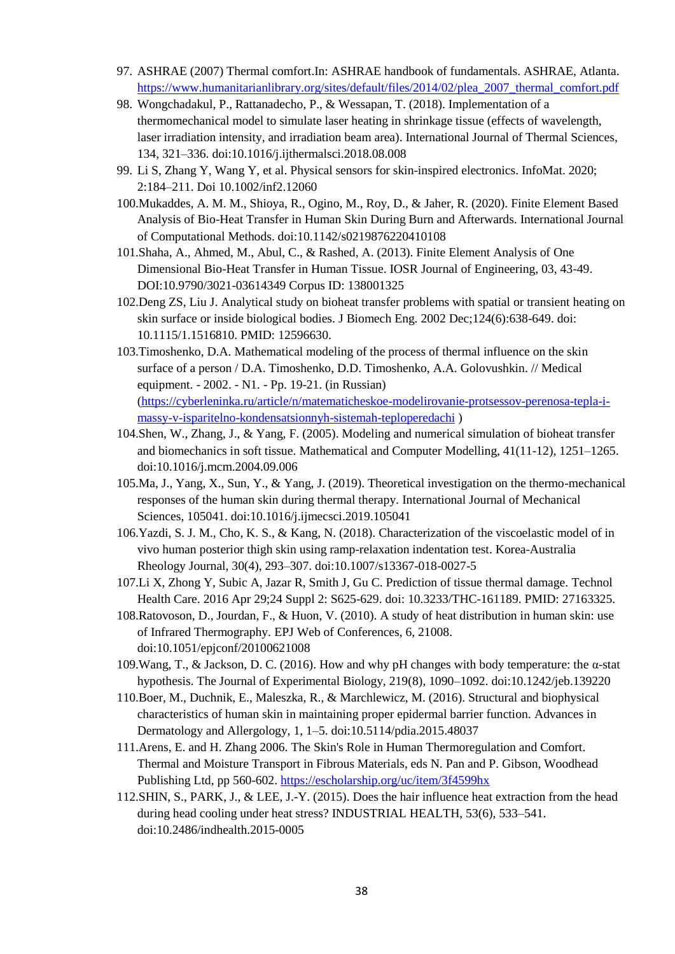- 97. ASHRAE (2007) Thermal comfort.In: ASHRAE handbook of fundamentals. ASHRAE, Atlanta. [https://www.humanitarianlibrary.org/sites/default/files/2014/02/plea\\_2007\\_thermal\\_comfort.pdf](https://www.humanitarianlibrary.org/sites/default/files/2014/02/plea_2007_thermal_comfort.pdf)
- 98. Wongchadakul, P., Rattanadecho, P., & Wessapan, T. (2018). Implementation of a thermomechanical model to simulate laser heating in shrinkage tissue (effects of wavelength, laser irradiation intensity, and irradiation beam area). International Journal of Thermal Sciences, 134, 321–336. doi:10.1016/j.ijthermalsci.2018.08.008
- 99. Li S, Zhang Y, Wang Y, et al. Physical sensors for skin-inspired electronics. InfoMat. 2020; 2:184–211. Doi 10.1002/inf2.12060
- 100.Mukaddes, A. M. M., Shioya, R., Ogino, M., Roy, D., & Jaher, R. (2020). Finite Element Based Analysis of Bio-Heat Transfer in Human Skin During Burn and Afterwards. International Journal of Computational Methods. doi:10.1142/s0219876220410108
- 101.Shaha, A., Ahmed, M., Abul, C., & Rashed, A. (2013). Finite Element Analysis of One Dimensional Bio-Heat Transfer in Human Tissue. IOSR Journal of Engineering, 03, 43-49. DOI:10.9790/3021-03614349 Corpus ID: 138001325
- 102.Deng ZS, Liu J. Analytical study on bioheat transfer problems with spatial or transient heating on skin surface or inside biological bodies. J Biomech Eng. 2002 Dec;124(6):638-649. doi: 10.1115/1.1516810. PMID: 12596630.
- 103.Timoshenko, D.A. Mathematical modeling of the process of thermal influence on the skin surface of a person / D.A. Timoshenko, D.D. Timoshenko, A.A. Golovushkin. // Medical equipment. - 2002. - N1. - Pp. 19-21. (in Russian) [\(https://cyberleninka.ru/article/n/matematicheskoe-modelirovanie-protsessov-perenosa-tepla-i](https://cyberleninka.ru/article/n/matematicheskoe-modelirovanie-protsessov-perenosa-tepla-i-massy-v-isparitelno-kondensatsionnyh-sistemah-teploperedachi)[massy-v-isparitelno-kondensatsionnyh-sistemah-teploperedachi](https://cyberleninka.ru/article/n/matematicheskoe-modelirovanie-protsessov-perenosa-tepla-i-massy-v-isparitelno-kondensatsionnyh-sistemah-teploperedachi) )
- 104.Shen, W., Zhang, J., & Yang, F. (2005). Modeling and numerical simulation of bioheat transfer and biomechanics in soft tissue. Mathematical and Computer Modelling, 41(11-12), 1251–1265. doi:10.1016/j.mcm.2004.09.006
- 105.Ma, J., Yang, X., Sun, Y., & Yang, J. (2019). Theoretical investigation on the thermo-mechanical responses of the human skin during thermal therapy. International Journal of Mechanical Sciences, 105041. doi:10.1016/j.ijmecsci.2019.105041
- 106.Yazdi, S. J. M., Cho, K. S., & Kang, N. (2018). Characterization of the viscoelastic model of in vivo human posterior thigh skin using ramp-relaxation indentation test. Korea-Australia Rheology Journal, 30(4), 293–307. doi:10.1007/s13367-018-0027-5
- 107.Li X, Zhong Y, Subic A, Jazar R, Smith J, Gu C. Prediction of tissue thermal damage. Technol Health Care. 2016 Apr 29;24 Suppl 2: S625-629. doi: 10.3233/THC-161189. PMID: 27163325.
- 108.Ratovoson, D., Jourdan, F., & Huon, V. (2010). A study of heat distribution in human skin: use of Infrared Thermography. EPJ Web of Conferences, 6, 21008. doi:10.1051/epjconf/20100621008
- 109.Wang, T., & Jackson, D. C. (2016). How and why pH changes with body temperature: the  $\alpha$ -stat hypothesis. The Journal of Experimental Biology, 219(8), 1090–1092. doi:10.1242/jeb.139220
- 110.Boer, M., Duchnik, E., Maleszka, R., & Marchlewicz, M. (2016). Structural and biophysical characteristics of human skin in maintaining proper epidermal barrier function. Advances in Dermatology and Allergology, 1, 1–5. doi:10.5114/pdia.2015.48037
- 111.Arens, E. and H. Zhang 2006. The Skin's Role in Human Thermoregulation and Comfort. Thermal and Moisture Transport in Fibrous Materials, eds N. Pan and P. Gibson, Woodhead Publishing Ltd, pp 560-602.<https://escholarship.org/uc/item/3f4599hx>
- 112.SHIN, S., PARK, J., & LEE, J.-Y. (2015). Does the hair influence heat extraction from the head during head cooling under heat stress? INDUSTRIAL HEALTH, 53(6), 533–541. doi:10.2486/indhealth.2015-0005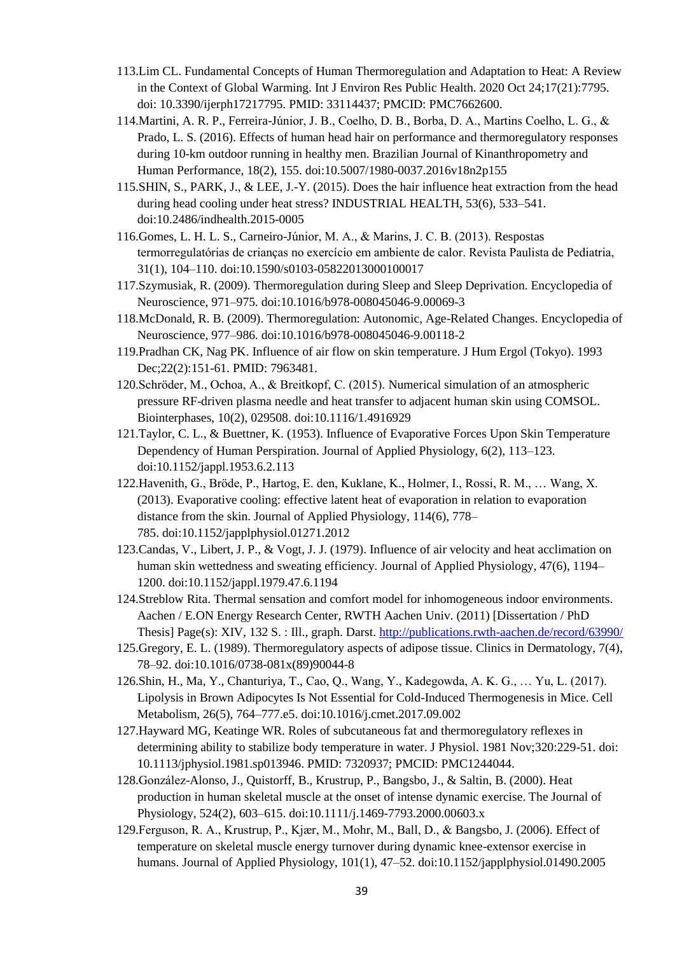- 113.Lim CL. Fundamental Concepts of Human Thermoregulation and Adaptation to Heat: A Review in the Context of Global Warming. Int J Environ Res Public Health. 2020 Oct 24;17(21):7795. doi: 10.3390/ijerph17217795. PMID: 33114437; PMCID: PMC7662600.
- 114.Martini, A. R. P., Ferreira-Júnior, J. B., Coelho, D. B., Borba, D. A., Martins Coelho, L. G., & Prado, L. S. (2016). Effects of human head hair on performance and thermoregulatory responses during 10-km outdoor running in healthy men. Brazilian Journal of Kinanthropometry and Human Performance, 18(2), 155. doi:10.5007/1980-0037.2016v18n2p155
- 115.SHIN, S., PARK, J., & LEE, J.-Y. (2015). Does the hair influence heat extraction from the head during head cooling under heat stress? INDUSTRIAL HEALTH, 53(6), 533–541. doi:10.2486/indhealth.2015-0005
- 116.Gomes, L. H. L. S., Carneiro-Júnior, M. A., & Marins, J. C. B. (2013). Respostas termorregulatórias de crianças no exercício em ambiente de calor. Revista Paulista de Pediatria, 31(1), 104–110. doi:10.1590/s0103-05822013000100017
- 117.Szymusiak, R. (2009). Thermoregulation during Sleep and Sleep Deprivation. Encyclopedia of Neuroscience, 971–975. doi:10.1016/b978-008045046-9.00069-3
- 118.McDonald, R. B. (2009). Thermoregulation: Autonomic, Age-Related Changes. Encyclopedia of Neuroscience, 977–986. doi:10.1016/b978-008045046-9.00118-2
- 119.Pradhan CK, Nag PK. Influence of air flow on skin temperature. J Hum Ergol (Tokyo). 1993 Dec;22(2):151-61. PMID: 7963481.
- 120.Schröder, M., Ochoa, A., & Breitkopf, C. (2015). Numerical simulation of an atmospheric pressure RF-driven plasma needle and heat transfer to adjacent human skin using COMSOL. Biointerphases, 10(2), 029508. doi:10.1116/1.4916929
- 121.Taylor, C. L., & Buettner, K. (1953). Influence of Evaporative Forces Upon Skin Temperature Dependency of Human Perspiration. Journal of Applied Physiology, 6(2), 113–123. doi:10.1152/jappl.1953.6.2.113
- 122.Havenith, G., Bröde, P., Hartog, E. den, Kuklane, K., Holmer, I., Rossi, R. M., … Wang, X. (2013). Evaporative cooling: effective latent heat of evaporation in relation to evaporation distance from the skin. Journal of Applied Physiology, 114(6), 778– 785. doi:10.1152/japplphysiol.01271.2012
- 123.Candas, V., Libert, J. P., & Vogt, J. J. (1979). Influence of air velocity and heat acclimation on human skin wettedness and sweating efficiency. Journal of Applied Physiology, 47(6), 1194– 1200. doi:10.1152/jappl.1979.47.6.1194
- 124.Streblow Rita. Thermal sensation and comfort model for inhomogeneous indoor environments. Aachen / E.ON Energy Research Center, RWTH Aachen Univ. (2011) [Dissertation / PhD Thesis] Page(s): XIV, 132 S. : Ill., graph. Darst.<http://publications.rwth-aachen.de/record/63990/>
- 125.Gregory, E. L. (1989). Thermoregulatory aspects of adipose tissue. Clinics in Dermatology, 7(4), 78–92. doi:10.1016/0738-081x(89)90044-8
- 126.Shin, H., Ma, Y., Chanturiya, T., Cao, Q., Wang, Y., Kadegowda, A. K. G., … Yu, L. (2017). Lipolysis in Brown Adipocytes Is Not Essential for Cold-Induced Thermogenesis in Mice. Cell Metabolism, 26(5), 764–777.e5. doi:10.1016/j.cmet.2017.09.002
- 127.Hayward MG, Keatinge WR. Roles of subcutaneous fat and thermoregulatory reflexes in determining ability to stabilize body temperature in water. J Physiol. 1981 Nov;320:229-51. doi: 10.1113/jphysiol.1981.sp013946. PMID: 7320937; PMCID: PMC1244044.
- 128.González-Alonso, J., Quistorff, B., Krustrup, P., Bangsbo, J., & Saltin, B. (2000). Heat production in human skeletal muscle at the onset of intense dynamic exercise. The Journal of Physiology, 524(2), 603–615. doi:10.1111/j.1469-7793.2000.00603.x
- 129.Ferguson, R. A., Krustrup, P., Kjær, M., Mohr, M., Ball, D., & Bangsbo, J. (2006). Effect of temperature on skeletal muscle energy turnover during dynamic knee-extensor exercise in humans. Journal of Applied Physiology, 101(1), 47–52. doi:10.1152/japplphysiol.01490.2005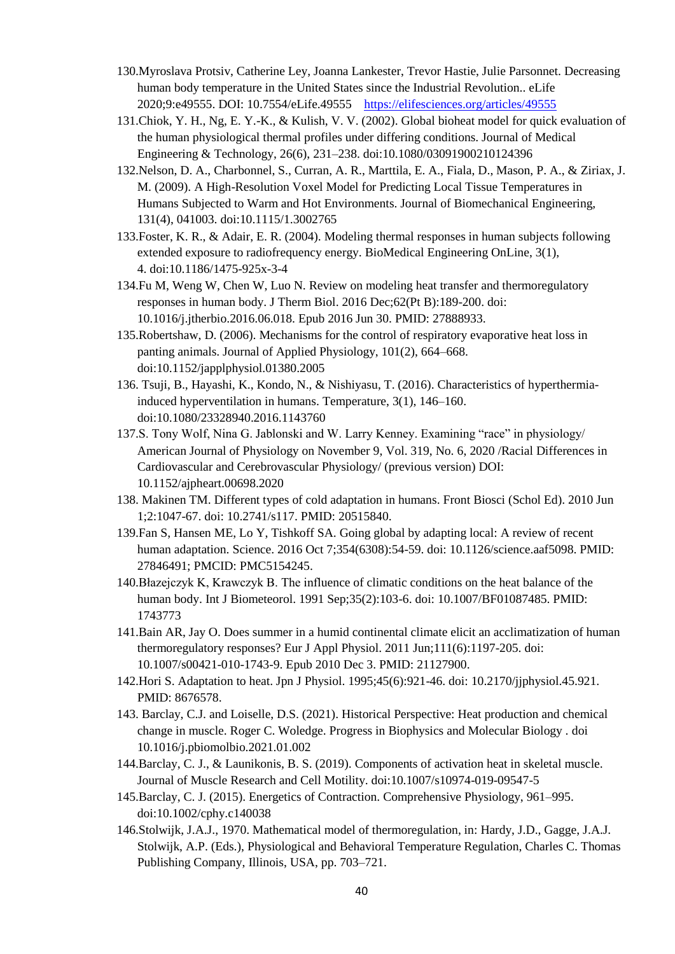- 130.Myroslava Protsiv, Catherine Ley, Joanna Lankester, Trevor Hastie, Julie Parsonnet. Decreasing human body temperature in the United States since the Industrial Revolution.. eLife 2020;9:e49555. DOI: 10.7554/eLife.49555 <https://elifesciences.org/articles/49555>
- 131.Chiok, Y. H., Ng, E. Y.-K., & Kulish, V. V. (2002). Global bioheat model for quick evaluation of the human physiological thermal profiles under differing conditions. Journal of Medical Engineering & Technology, 26(6), 231–238. doi:10.1080/03091900210124396
- 132.Nelson, D. A., Charbonnel, S., Curran, A. R., Marttila, E. A., Fiala, D., Mason, P. A., & Ziriax, J. M. (2009). A High-Resolution Voxel Model for Predicting Local Tissue Temperatures in Humans Subjected to Warm and Hot Environments. Journal of Biomechanical Engineering, 131(4), 041003. doi:10.1115/1.3002765
- 133.Foster, K. R., & Adair, E. R. (2004). Modeling thermal responses in human subjects following extended exposure to radiofrequency energy. BioMedical Engineering OnLine, 3(1), 4. doi:10.1186/1475-925x-3-4
- 134.Fu M, Weng W, Chen W, Luo N. Review on modeling heat transfer and thermoregulatory responses in human body. J Therm Biol. 2016 Dec;62(Pt B):189-200. doi: 10.1016/j.jtherbio.2016.06.018. Epub 2016 Jun 30. PMID: 27888933.
- 135.Robertshaw, D. (2006). Mechanisms for the control of respiratory evaporative heat loss in panting animals. Journal of Applied Physiology, 101(2), 664–668. doi:10.1152/japplphysiol.01380.2005
- 136. Tsuji, B., Hayashi, K., Kondo, N., & Nishiyasu, T. (2016). Characteristics of hyperthermiainduced hyperventilation in humans. Temperature, 3(1), 146–160. doi:10.1080/23328940.2016.1143760
- 137.S. Tony Wolf, Nina G. Jablonski and W. Larry Kenney. Examining "race" in physiology/ American Journal of Physiology on November 9, Vol. 319, No. 6, 2020 /Racial Differences in Cardiovascular and Cerebrovascular Physiology/ (previous version) DOI: 10.1152/ajpheart.00698.2020
- 138. Makinen TM. Different types of cold adaptation in humans. Front Biosci (Schol Ed). 2010 Jun 1;2:1047-67. doi: 10.2741/s117. PMID: 20515840.
- 139.Fan S, Hansen ME, Lo Y, Tishkoff SA. Going global by adapting local: A review of recent human adaptation. Science. 2016 Oct 7;354(6308):54-59. doi: 10.1126/science.aaf5098. PMID: 27846491; PMCID: PMC5154245.
- 140.Błazejczyk K, Krawczyk B. The influence of climatic conditions on the heat balance of the human body. Int J Biometeorol. 1991 Sep;35(2):103-6. doi: 10.1007/BF01087485. PMID: 1743773
- 141.Bain AR, Jay O. Does summer in a humid continental climate elicit an acclimatization of human thermoregulatory responses? Eur J Appl Physiol. 2011 Jun;111(6):1197-205. doi: 10.1007/s00421-010-1743-9. Epub 2010 Dec 3. PMID: 21127900.
- 142.Hori S. Adaptation to heat. Jpn J Physiol. 1995;45(6):921-46. doi: 10.2170/jjphysiol.45.921. PMID: 8676578.
- 143. Barclay, C.J. and Loiselle, D.S. (2021). Historical Perspective: Heat production and chemical change in muscle. Roger C. Woledge. Progress in Biophysics and Molecular Biology . doi 10.1016/j.pbiomolbio.2021.01.002
- 144.Barclay, C. J., & Launikonis, B. S. (2019). Components of activation heat in skeletal muscle. Journal of Muscle Research and Cell Motility. doi:10.1007/s10974-019-09547-5
- 145.Barclay, C. J. (2015). Energetics of Contraction. Comprehensive Physiology, 961–995. doi:10.1002/cphy.c140038
- 146.Stolwijk, J.A.J., 1970. Mathematical model of thermoregulation, in: Hardy, J.D., Gagge, J.A.J. Stolwijk, A.P. (Eds.), Physiological and Behavioral Temperature Regulation, Charles C. Thomas Publishing Company, Illinois, USA, pp. 703–721.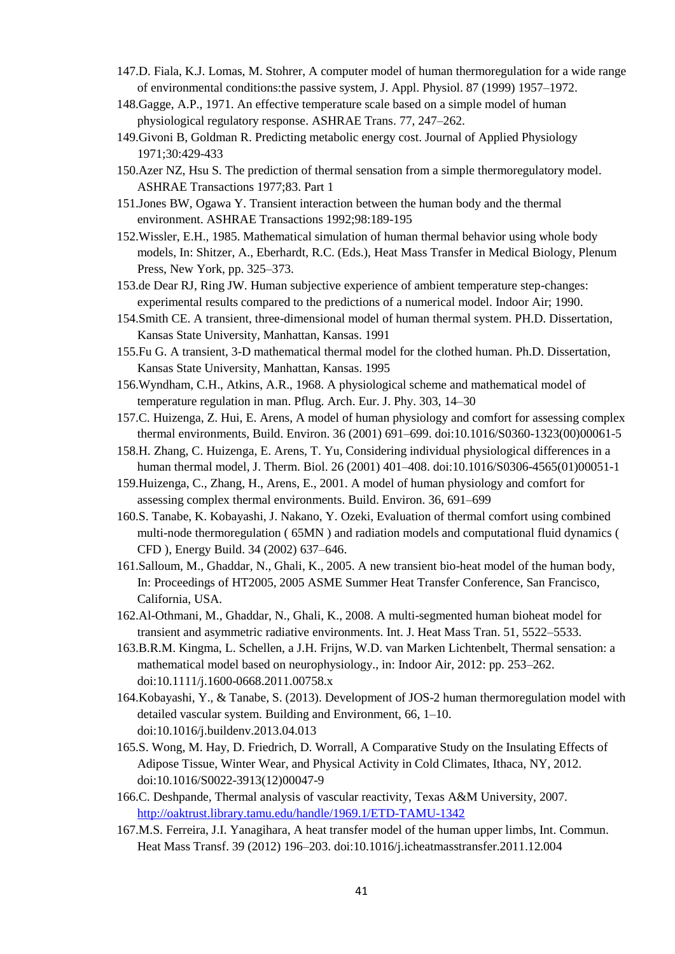- 147.D. Fiala, K.J. Lomas, M. Stohrer, A computer model of human thermoregulation for a wide range of environmental conditions:the passive system, J. Appl. Physiol. 87 (1999) 1957–1972.
- 148.Gagge, A.P., 1971. An effective temperature scale based on a simple model of human physiological regulatory response. ASHRAE Trans. 77, 247–262.
- 149.Givoni B, Goldman R. Predicting metabolic energy cost. Journal of Applied Physiology 1971;30:429-433
- 150.Azer NZ, Hsu S. The prediction of thermal sensation from a simple thermoregulatory model. ASHRAE Transactions 1977;83. Part 1
- 151.Jones BW, Ogawa Y. Transient interaction between the human body and the thermal environment. ASHRAE Transactions 1992;98:189-195
- 152.Wissler, E.H., 1985. Mathematical simulation of human thermal behavior using whole body models, In: Shitzer, A., Eberhardt, R.C. (Eds.), Heat Mass Transfer in Medical Biology, Plenum Press, New York, pp. 325–373.
- 153.de Dear RJ, Ring JW. Human subjective experience of ambient temperature step-changes: experimental results compared to the predictions of a numerical model. Indoor Air; 1990.
- 154.Smith CE. A transient, three-dimensional model of human thermal system. PH.D. Dissertation, Kansas State University, Manhattan, Kansas. 1991
- 155.Fu G. A transient, 3-D mathematical thermal model for the clothed human. Ph.D. Dissertation, Kansas State University, Manhattan, Kansas. 1995
- 156.Wyndham, C.H., Atkins, A.R., 1968. A physiological scheme and mathematical model of temperature regulation in man. Pflug. Arch. Eur. J. Phy. 303, 14–30
- 157.C. Huizenga, Z. Hui, E. Arens, A model of human physiology and comfort for assessing complex thermal environments, Build. Environ. 36 (2001) 691–699. doi:10.1016/S0360-1323(00)00061-5
- 158.H. Zhang, C. Huizenga, E. Arens, T. Yu, Considering individual physiological differences in a human thermal model, J. Therm. Biol. 26 (2001) 401–408. doi:10.1016/S0306-4565(01)00051-1
- 159.Huizenga, C., Zhang, H., Arens, E., 2001. A model of human physiology and comfort for assessing complex thermal environments. Build. Environ. 36, 691–699
- 160.S. Tanabe, K. Kobayashi, J. Nakano, Y. Ozeki, Evaluation of thermal comfort using combined multi-node thermoregulation ( 65MN ) and radiation models and computational fluid dynamics ( CFD ), Energy Build. 34 (2002) 637–646.
- 161.Salloum, M., Ghaddar, N., Ghali, K., 2005. A new transient bio-heat model of the human body, In: Proceedings of HT2005, 2005 ASME Summer Heat Transfer Conference, San Francisco, California, USA.
- 162.Al-Othmani, M., Ghaddar, N., Ghali, K., 2008. A multi-segmented human bioheat model for transient and asymmetric radiative environments. Int. J. Heat Mass Tran. 51, 5522–5533.
- 163.B.R.M. Kingma, L. Schellen, a J.H. Frijns, W.D. van Marken Lichtenbelt, Thermal sensation: a mathematical model based on neurophysiology., in: Indoor Air, 2012: pp. 253–262. doi:10.1111/j.1600-0668.2011.00758.x
- 164.Kobayashi, Y., & Tanabe, S. (2013). Development of JOS-2 human thermoregulation model with detailed vascular system. Building and Environment, 66, 1–10. doi:10.1016/j.buildenv.2013.04.013
- 165.S. Wong, M. Hay, D. Friedrich, D. Worrall, A Comparative Study on the Insulating Effects of Adipose Tissue, Winter Wear, and Physical Activity in Cold Climates, Ithaca, NY, 2012. doi:10.1016/S0022-3913(12)00047-9
- 166.C. Deshpande, Thermal analysis of vascular reactivity, Texas A&M University, 2007. <http://oaktrust.library.tamu.edu/handle/1969.1/ETD-TAMU-1342>
- 167.M.S. Ferreira, J.I. Yanagihara, A heat transfer model of the human upper limbs, Int. Commun. Heat Mass Transf. 39 (2012) 196–203. doi:10.1016/j.icheatmasstransfer.2011.12.004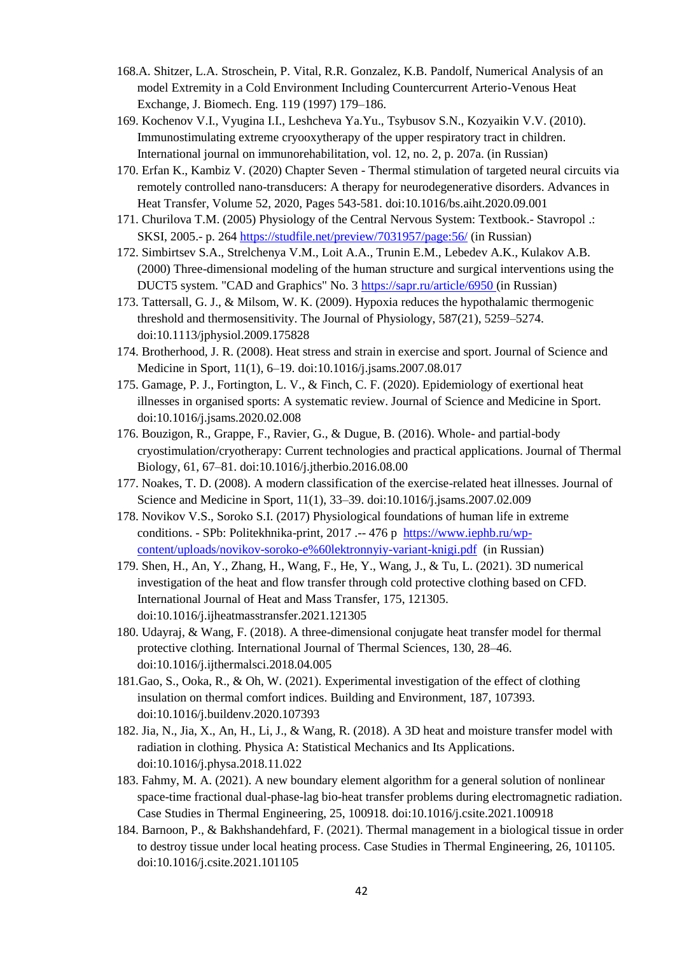- 168.A. Shitzer, L.A. Stroschein, P. Vital, R.R. Gonzalez, K.B. Pandolf, Numerical Analysis of an model Extremity in a Cold Environment Including Countercurrent Arterio-Venous Heat Exchange, J. Biomech. Eng. 119 (1997) 179–186.
- 169. Kochenov V.I., Vyugina I.I., Leshcheva Ya.Yu., Tsybusov S.N., Kozyaikin V.V. (2010). Immunostimulating extreme cryooxytherapy of the upper respiratory tract in children. International journal on immunorehabilitation, vol. 12, no. 2, p. 207a. (in Russian)
- 170. Erfan K., Kambiz V. (2020) Chapter Seven Thermal stimulation of targeted neural circuits via remotely controlled nano-transducers: A therapy for neurodegenerative disorders. Advances in Heat Transfer, Volume 52, 2020, Pages 543-581. doi:10.1016/bs.aiht.2020.09.001
- 171. Churilova T.M. (2005) Physiology of the Central Nervous System: Textbook.- Stavropol .: SKSI, 2005.- p. 264<https://studfile.net/preview/7031957/page:56/> (in Russian)
- 172. Simbirtsev S.A., Strelchenya V.M., Loit A.A., Trunin E.M., Lebedev A.K., Kulakov A.B. (2000) Three-dimensional modeling of the human structure and surgical interventions using the DUCT5 system. "CAD and Graphics" No. 3<https://sapr.ru/article/6950> (in Russian)
- 173. Tattersall, G. J., & Milsom, W. K. (2009). Hypoxia reduces the hypothalamic thermogenic threshold and thermosensitivity. The Journal of Physiology, 587(21), 5259–5274. doi:10.1113/jphysiol.2009.175828
- 174. Brotherhood, J. R. (2008). Heat stress and strain in exercise and sport. Journal of Science and Medicine in Sport, 11(1), 6–19. doi:10.1016/j.jsams.2007.08.017
- 175. Gamage, P. J., Fortington, L. V., & Finch, C. F. (2020). Epidemiology of exertional heat illnesses in organised sports: A systematic review. Journal of Science and Medicine in Sport. doi:10.1016/j.jsams.2020.02.008
- 176. Bouzigon, R., Grappe, F., Ravier, G., & Dugue, B. (2016). Whole- and partial-body cryostimulation/cryotherapy: Current technologies and practical applications. Journal of Thermal Biology, 61, 67–81. doi:10.1016/j.jtherbio.2016.08.00
- 177. Noakes, T. D. (2008). A modern classification of the exercise-related heat illnesses. Journal of Science and Medicine in Sport, 11(1), 33–39. doi:10.1016/j.jsams.2007.02.009
- 178. Novikov V.S., Soroko S.I. (2017) Physiological foundations of human life in extreme conditions. - SPb: Politekhnika-print, 2017 .-- 476 p [https://www.iephb.ru/wp](https://www.iephb.ru/wp-content/uploads/novikov-soroko-e%60lektronnyiy-variant-knigi.pdf)[content/uploads/novikov-soroko-e%60lektronnyiy-variant-knigi.pdf](https://www.iephb.ru/wp-content/uploads/novikov-soroko-e%60lektronnyiy-variant-knigi.pdf) (in Russian)
- 179. Shen, H., An, Y., Zhang, H., Wang, F., He, Y., Wang, J., & Tu, L. (2021). 3D numerical investigation of the heat and flow transfer through cold protective clothing based on CFD. International Journal of Heat and Mass Transfer, 175, 121305. doi:10.1016/j.ijheatmasstransfer.2021.121305
- 180. Udayraj, & Wang, F. (2018). A three-dimensional conjugate heat transfer model for thermal protective clothing. International Journal of Thermal Sciences, 130, 28–46. doi:10.1016/j.ijthermalsci.2018.04.005
- 181.Gao, S., Ooka, R., & Oh, W. (2021). Experimental investigation of the effect of clothing insulation on thermal comfort indices. Building and Environment, 187, 107393. doi:10.1016/j.buildenv.2020.107393
- 182. Jia, N., Jia, X., An, H., Li, J., & Wang, R. (2018). A 3D heat and moisture transfer model with radiation in clothing. Physica A: Statistical Mechanics and Its Applications. doi:10.1016/j.physa.2018.11.022
- 183. Fahmy, M. A. (2021). A new boundary element algorithm for a general solution of nonlinear space-time fractional dual-phase-lag bio-heat transfer problems during electromagnetic radiation. Case Studies in Thermal Engineering, 25, 100918. doi:10.1016/j.csite.2021.100918
- 184. Barnoon, P., & Bakhshandehfard, F. (2021). Thermal management in a biological tissue in order to destroy tissue under local heating process. Case Studies in Thermal Engineering, 26, 101105. doi:10.1016/j.csite.2021.101105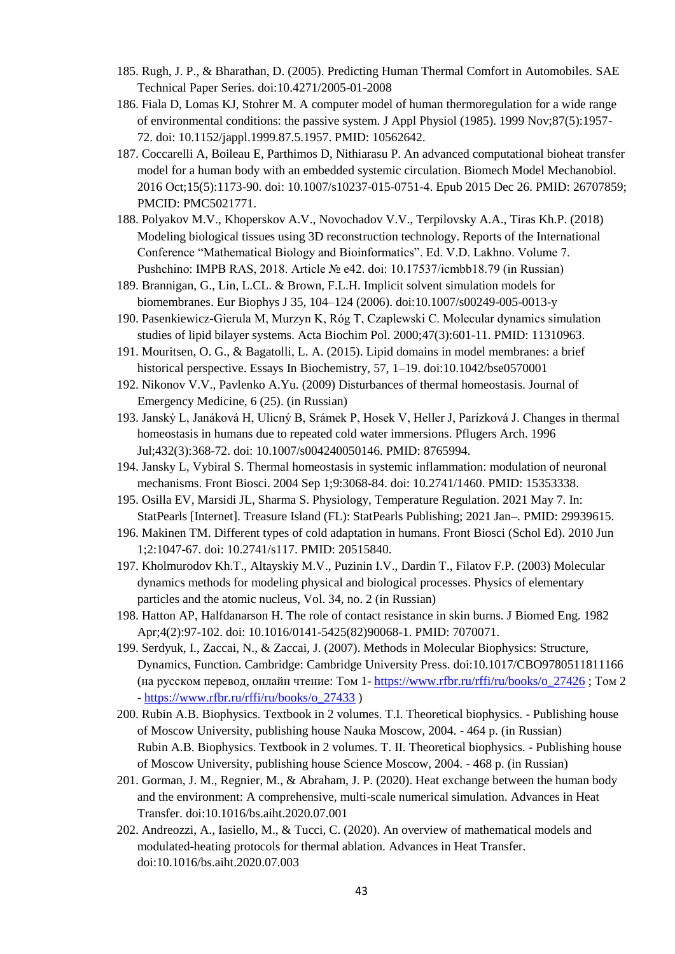- 185. Rugh, J. P., & Bharathan, D. (2005). Predicting Human Thermal Comfort in Automobiles. SAE Technical Paper Series. doi:10.4271/2005-01-2008
- 186. Fiala D, Lomas KJ, Stohrer M. A computer model of human thermoregulation for a wide range of environmental conditions: the passive system. J Appl Physiol (1985). 1999 Nov;87(5):1957- 72. doi: 10.1152/jappl.1999.87.5.1957. PMID: 10562642.
- 187. Coccarelli A, Boileau E, Parthimos D, Nithiarasu P. An advanced computational bioheat transfer model for a human body with an embedded systemic circulation. Biomech Model Mechanobiol. 2016 Oct;15(5):1173-90. doi: 10.1007/s10237-015-0751-4. Epub 2015 Dec 26. PMID: 26707859; PMCID: PMC5021771.
- 188. Polyakov M.V., Khoperskov A.V., Novochadov V.V., Terpilovsky A.A., Tiras Kh.P. (2018) Modeling biological tissues using 3D reconstruction technology. Reports of the International Conference "Mathematical Biology and Bioinformatics". Ed. V.D. Lakhno. Volume 7. Pushchino: IMPB RAS, 2018. Article № e42. doi: 10.17537/icmbb18.79 (in Russian)
- 189. Brannigan, G., Lin, L.CL. & Brown, F.L.H. Implicit solvent simulation models for biomembranes. Eur Biophys J 35, 104–124 (2006). doi:10.1007/s00249-005-0013-y
- 190. Pasenkiewicz-Gierula M, Murzyn K, Róg T, Czaplewski C. Molecular dynamics simulation studies of lipid bilayer systems. Acta Biochim Pol. 2000;47(3):601-11. PMID: 11310963.
- 191. Mouritsen, O. G., & Bagatolli, L. A. (2015). Lipid domains in model membranes: a brief historical perspective. Essays In Biochemistry, 57, 1–19. doi:10.1042/bse0570001
- 192. Nikonov V.V., Pavlenko A.Yu. (2009) Disturbances of thermal homeostasis. Journal of Emergency Medicine, 6 (25). (in Russian)
- 193. Janský L, Janáková H, Ulicný B, Srámek P, Hosek V, Heller J, Parízková J. Changes in thermal homeostasis in humans due to repeated cold water immersions. Pflugers Arch. 1996 Jul;432(3):368-72. doi: 10.1007/s004240050146. PMID: 8765994.
- 194. Jansky L, Vybiral S. Thermal homeostasis in systemic inflammation: modulation of neuronal mechanisms. Front Biosci. 2004 Sep 1;9:3068-84. doi: 10.2741/1460. PMID: 15353338.
- 195. Osilla EV, Marsidi JL, Sharma S. Physiology, Temperature Regulation. 2021 May 7. In: StatPearls [Internet]. Treasure Island (FL): StatPearls Publishing; 2021 Jan–. PMID: 29939615.
- 196. Makinen TM. Different types of cold adaptation in humans. Front Biosci (Schol Ed). 2010 Jun 1;2:1047-67. doi: 10.2741/s117. PMID: 20515840.
- 197. Kholmurodov Kh.T., Altayskiy M.V., Puzinin I.V., Dardin T., Filatov F.P. (2003) Molecular dynamics methods for modeling physical and biological processes. Physics of elementary particles and the atomic nucleus, Vol. 34, no. 2 (in Russian)
- 198. Hatton AP, Halfdanarson H. The role of contact resistance in skin burns. J Biomed Eng. 1982 Apr;4(2):97-102. doi: 10.1016/0141-5425(82)90068-1. PMID: 7070071.
- 199. Serdyuk, I., Zaccai, N., & Zaccai, J. (2007). Methods in Molecular Biophysics: Structure, Dynamics, Function. Cambridge: Cambridge University Press. doi:10.1017/CBO9780511811166 (на русском перевод, онлайн чтение: Том 1- [https://www.rfbr.ru/rffi/ru/books/o\\_27426](https://www.rfbr.ru/rffi/ru/books/o_27426) ; Том 2 - [https://www.rfbr.ru/rffi/ru/books/o\\_27433](https://www.rfbr.ru/rffi/ru/books/o_27433) )
- 200. Rubin A.B. Biophysics. Textbook in 2 volumes. T.I. Theoretical biophysics. Publishing house of Moscow University, publishing house Nauka Moscow, 2004. - 464 p. (in Russian) Rubin A.B. Biophysics. Textbook in 2 volumes. T. II. Theoretical biophysics. - Publishing house of Moscow University, publishing house Science Moscow, 2004. - 468 p. (in Russian)
- 201. Gorman, J. M., Regnier, M., & Abraham, J. P. (2020). Heat exchange between the human body and the environment: A comprehensive, multi-scale numerical simulation. Advances in Heat Transfer. doi:10.1016/bs.aiht.2020.07.001
- 202. Andreozzi, A., Iasiello, M., & Tucci, C. (2020). An overview of mathematical models and modulated-heating protocols for thermal ablation. Advances in Heat Transfer. doi:10.1016/bs.aiht.2020.07.003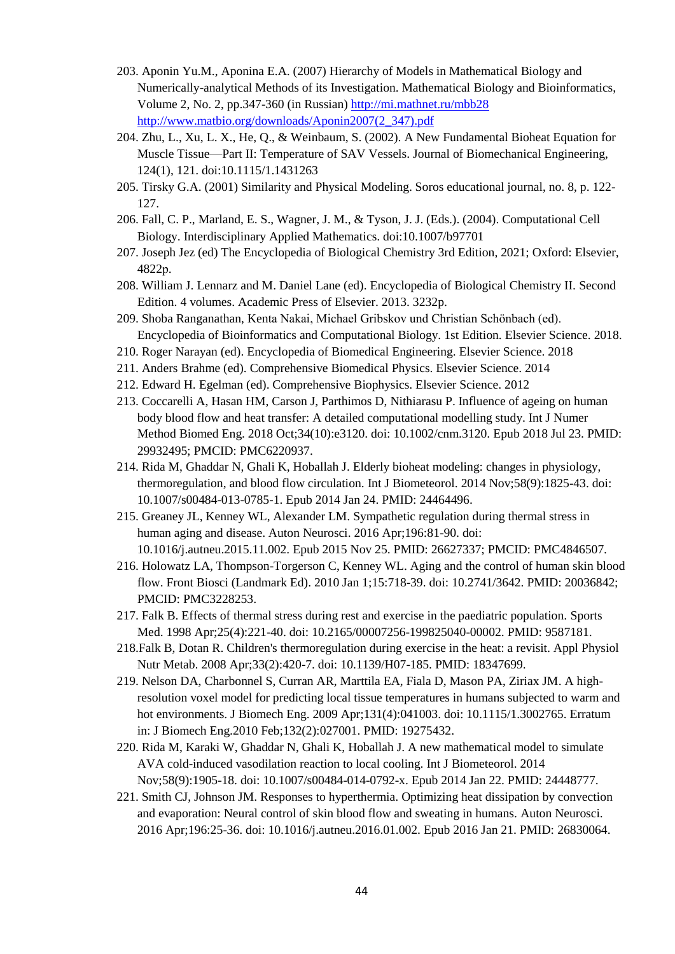- 203. Aponin Yu.M., Aponina E.A. (2007) Hierarchy of Models in Mathematical Biology and Numerically-analytical Methods of its Investigation. Mathematical Biology and Bioinformatics, Volume 2, No. 2, pp.347-360 (in Russian)<http://mi.mathnet.ru/mbb28> [http://www.matbio.org/downloads/Aponin2007\(2\\_347\).pdf](http://www.matbio.org/downloads/Aponin2007(2_347).pdf)
- 204. Zhu, L., Xu, L. X., He, Q., & Weinbaum, S. (2002). A New Fundamental Bioheat Equation for Muscle Tissue—Part II: Temperature of SAV Vessels. Journal of Biomechanical Engineering, 124(1), 121. doi:10.1115/1.1431263
- 205. Tirsky G.A. (2001) Similarity and Physical Modeling. Soros educational journal, no. 8, p. 122- 127.
- 206. Fall, C. P., Marland, E. S., Wagner, J. M., & Tyson, J. J. (Eds.). (2004). Computational Cell Biology. Interdisciplinary Applied Mathematics. doi:10.1007/b97701
- 207. Joseph Jez (ed) The Encyclopedia of Biological Chemistry 3rd Edition, 2021; Oxford: Elsevier, 4822р.
- 208. William J. Lennarz and M. Daniel Lane (ed). Encyclopedia of Biological Chemistry II. Second Edition. 4 volumes. Academic Press of Elsevier. 2013. 3232p.
- 209. Shoba Ranganathan, Kenta Nakai, Michael Gribskov und Christian Schönbach (ed). Encyclopedia of Bioinformatics and Computational Biology. 1st Edition. Elsevier Science. 2018.
- 210. Roger Narayan (ed). Encyclopedia of Biomedical Engineering. Elsevier Science. 2018
- 211. Anders Brahme (ed). Comprehensive Biomedical Physics. Elsevier Science. 2014
- 212. Edward H. Egelman (ed). Comprehensive Biophysics. Elsevier Science. 2012
- 213. Coccarelli A, Hasan HM, Carson J, Parthimos D, Nithiarasu P. Influence of ageing on human body blood flow and heat transfer: A detailed computational modelling study. Int J Numer Method Biomed Eng. 2018 Oct;34(10):e3120. doi: 10.1002/cnm.3120. Epub 2018 Jul 23. PMID: 29932495; PMCID: PMC6220937.
- 214. Rida M, Ghaddar N, Ghali K, Hoballah J. Elderly bioheat modeling: changes in physiology, thermoregulation, and blood flow circulation. Int J Biometeorol. 2014 Nov;58(9):1825-43. doi: 10.1007/s00484-013-0785-1. Epub 2014 Jan 24. PMID: 24464496.
- 215. Greaney JL, Kenney WL, Alexander LM. Sympathetic regulation during thermal stress in human aging and disease. Auton Neurosci. 2016 Apr;196:81-90. doi: 10.1016/j.autneu.2015.11.002. Epub 2015 Nov 25. PMID: 26627337; PMCID: PMC4846507.
- 216. Holowatz LA, Thompson-Torgerson C, Kenney WL. Aging and the control of human skin blood flow. Front Biosci (Landmark Ed). 2010 Jan 1;15:718-39. doi: 10.2741/3642. PMID: 20036842; PMCID: PMC3228253.
- 217. Falk B. Effects of thermal stress during rest and exercise in the paediatric population. Sports Med. 1998 Apr;25(4):221-40. doi: 10.2165/00007256-199825040-00002. PMID: 9587181.
- 218.Falk B, Dotan R. Children's thermoregulation during exercise in the heat: a revisit. Appl Physiol Nutr Metab. 2008 Apr;33(2):420-7. doi: 10.1139/H07-185. PMID: 18347699.
- 219. Nelson DA, Charbonnel S, Curran AR, Marttila EA, Fiala D, Mason PA, Ziriax JM. A highresolution voxel model for predicting local tissue temperatures in humans subjected to warm and hot environments. J Biomech Eng. 2009 Apr;131(4):041003. doi: 10.1115/1.3002765. Erratum in: J Biomech Eng.2010 Feb;132(2):027001. PMID: 19275432.
- 220. Rida M, Karaki W, Ghaddar N, Ghali K, Hoballah J. A new mathematical model to simulate AVA cold-induced vasodilation reaction to local cooling. Int J Biometeorol. 2014 Nov;58(9):1905-18. doi: 10.1007/s00484-014-0792-x. Epub 2014 Jan 22. PMID: 24448777.
- 221. Smith CJ, Johnson JM. Responses to hyperthermia. Optimizing heat dissipation by convection and evaporation: Neural control of skin blood flow and sweating in humans. Auton Neurosci. 2016 Apr;196:25-36. doi: 10.1016/j.autneu.2016.01.002. Epub 2016 Jan 21. PMID: 26830064.